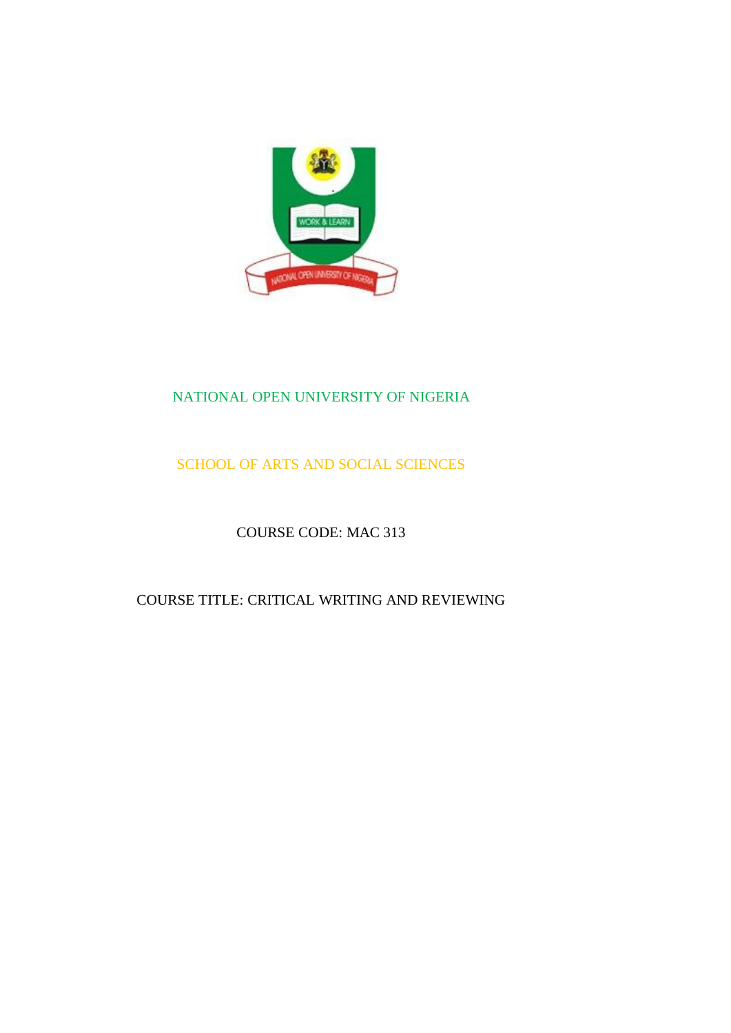

## NATIONAL OPEN UNIVERSITY OF NIGERIA

## SCHOOL OF ARTS AND SOCIAL SCIENCES

## COURSE CODE: MAC 313

## COURSE TITLE: CRITICAL WRITING AND REVIEWING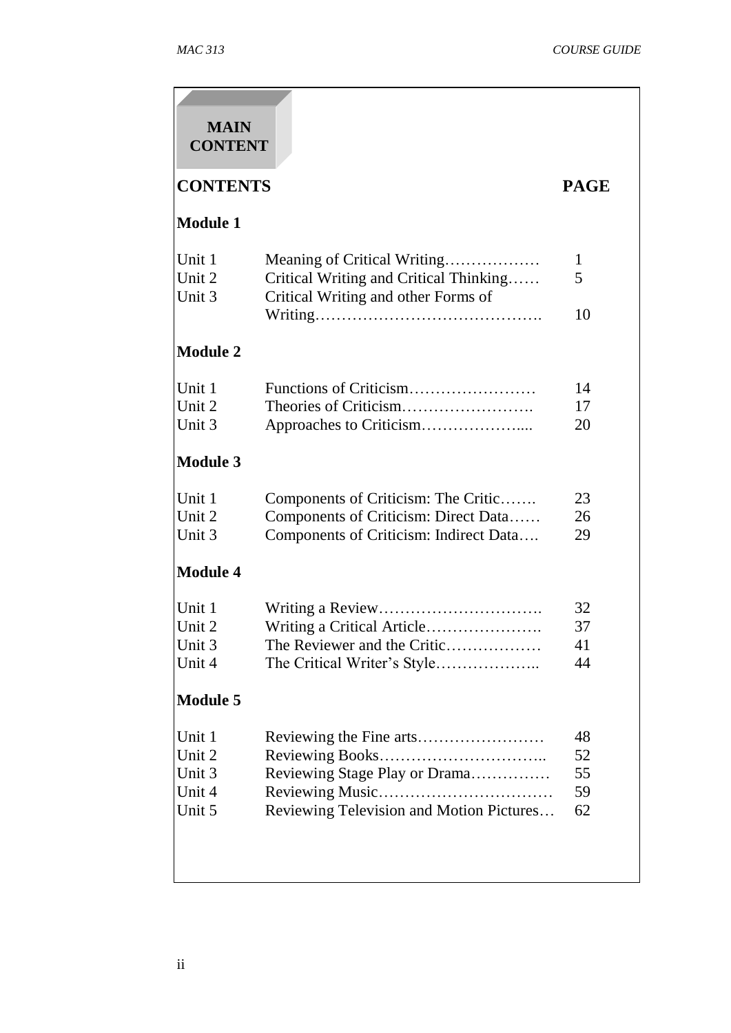| <b>MAIN</b><br><b>CONTENT</b>                  |                                                                                                                       |                            |
|------------------------------------------------|-----------------------------------------------------------------------------------------------------------------------|----------------------------|
| <b>CONTENTS</b>                                |                                                                                                                       | <b>PAGE</b>                |
| <b>Module 1</b>                                |                                                                                                                       |                            |
| Unit 1<br>Unit 2<br>Unit 3                     | Meaning of Critical Writing<br>Critical Writing and Critical Thinking<br>Critical Writing and other Forms of          | 1<br>5                     |
| <b>Module 2</b>                                |                                                                                                                       | 10                         |
| Unit 1<br>Unit 2<br>Unit 3                     |                                                                                                                       | 14<br>17<br>20             |
| <b>Module 3</b>                                |                                                                                                                       |                            |
| Unit 1<br>Unit 2<br>Unit 3                     | Components of Criticism: The Critic<br>Components of Criticism: Direct Data<br>Components of Criticism: Indirect Data | 23<br>26<br>29             |
| <b>Module 4</b>                                |                                                                                                                       |                            |
| Unit 1<br>Unit 2<br>Unit 3<br>Unit 4           | Writing a Critical Article<br>The Reviewer and the Critic                                                             | 32<br>37<br>41<br>44       |
| <b>Module 5</b>                                |                                                                                                                       |                            |
| Unit 1<br>Unit 2<br>Unit 3<br>Unit 4<br>Unit 5 | Reviewing Stage Play or Drama<br>Reviewing Television and Motion Pictures                                             | 48<br>52<br>55<br>59<br>62 |
|                                                |                                                                                                                       |                            |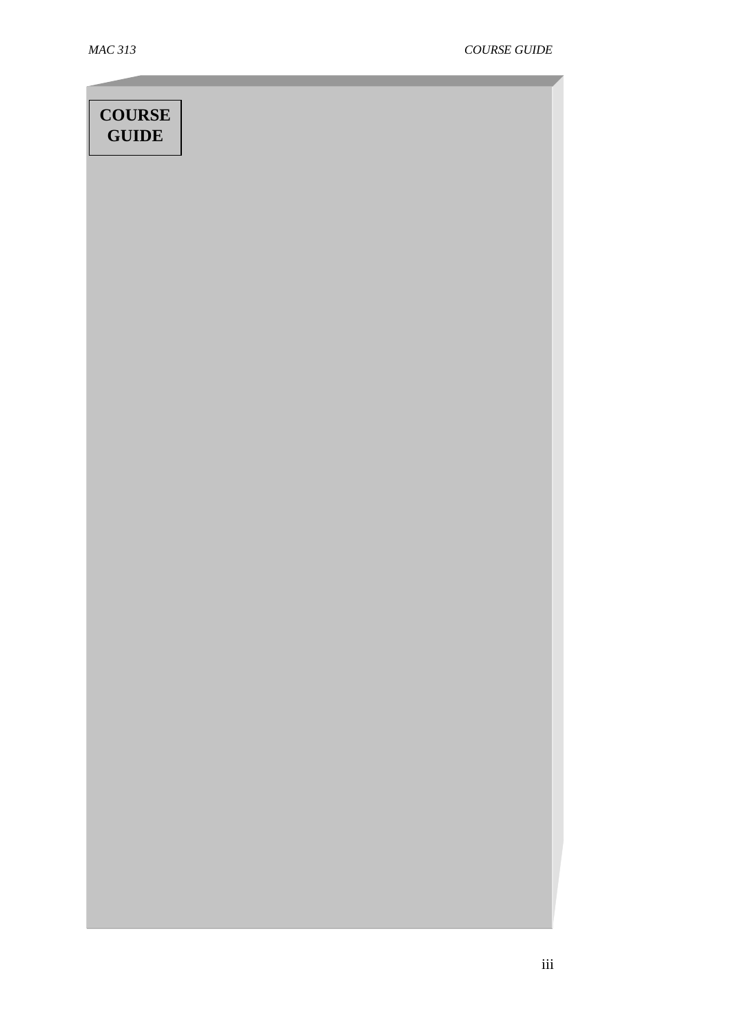# **COURSE GUIDE**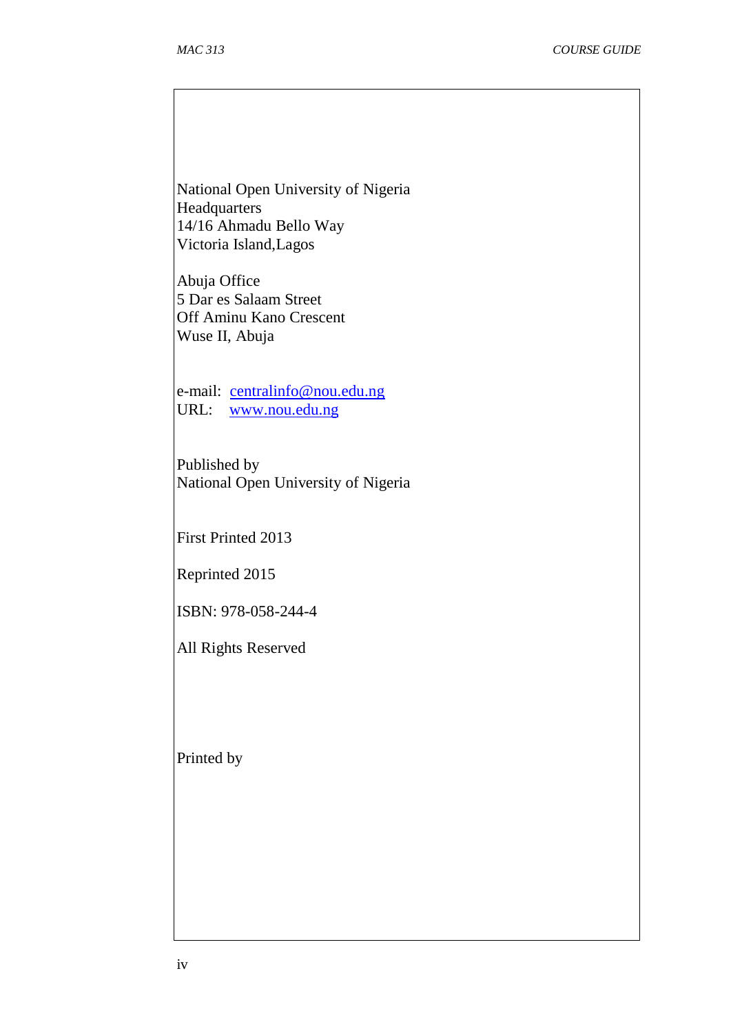National Open University of Nigeria **Headquarters** 14/16 Ahmadu Bello Way Victoria Island,Lagos

Abuja Office 5 Dar es Salaam Street Off Aminu Kano Crescent Wuse II, Abuja

e-mail: [centralinfo@nou.edu.ng](mailto:centralinfo@nou.edu.ng) URL: [www.nou.edu.ng](http://www.nou.edu.ng/)

Published by National Open University of Nigeria

First Printed 2013

Reprinted 2015

ISBN: 978-058-244-4

All Rights Reserved

Printed by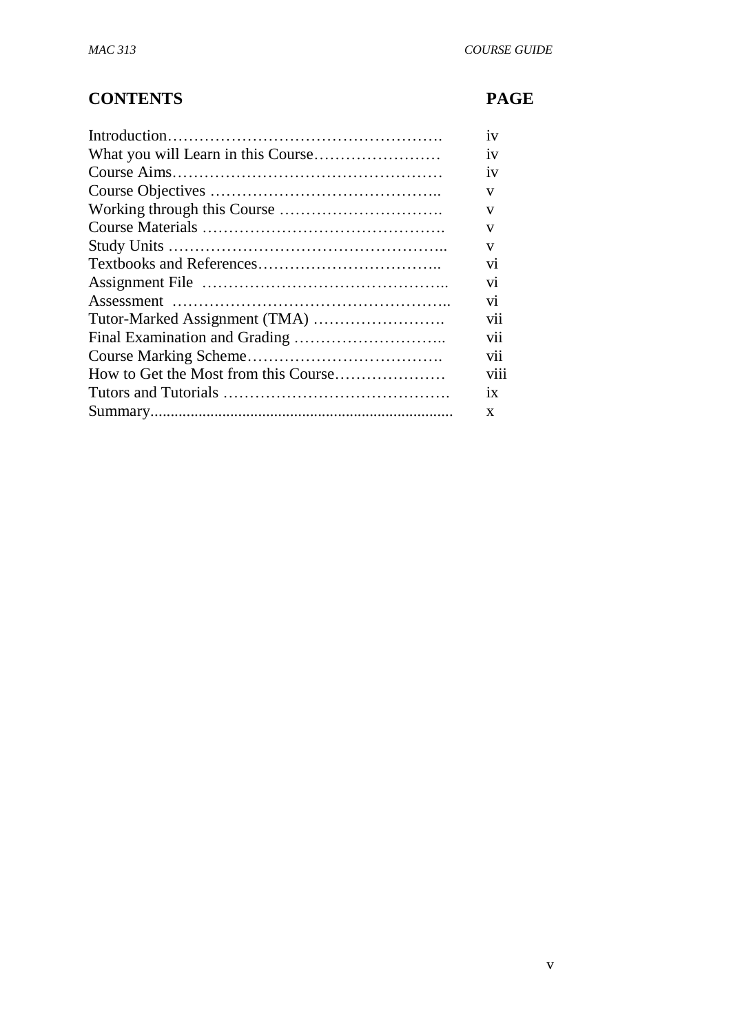## **CONTENTS PAGE**

| 1V   |
|------|
| 1V   |
| 1V   |
| V    |
| V    |
| V    |
| V    |
| V1   |
| V1   |
| V1   |
| vii  |
| V11  |
| V11  |
| V111 |
| 1X   |
| X    |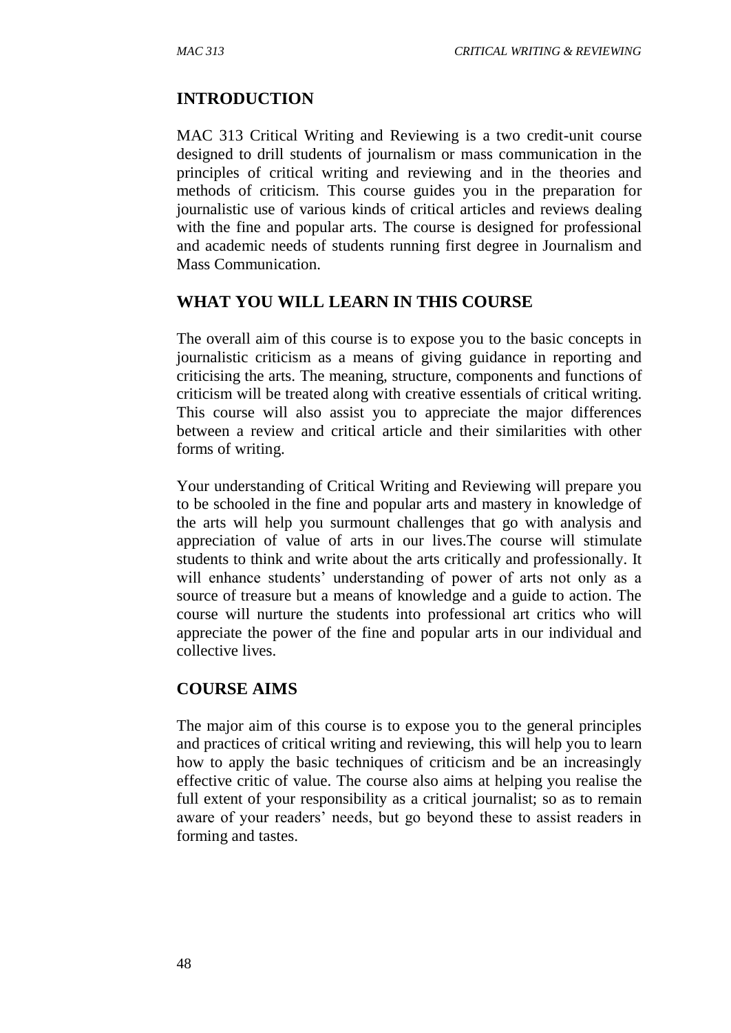#### **INTRODUCTION**

MAC 313 Critical Writing and Reviewing is a two credit-unit course designed to drill students of journalism or mass communication in the principles of critical writing and reviewing and in the theories and methods of criticism. This course guides you in the preparation for journalistic use of various kinds of critical articles and reviews dealing with the fine and popular arts. The course is designed for professional and academic needs of students running first degree in Journalism and Mass Communication.

#### **WHAT YOU WILL LEARN IN THIS COURSE**

The overall aim of this course is to expose you to the basic concepts in journalistic criticism as a means of giving guidance in reporting and criticising the arts. The meaning, structure, components and functions of criticism will be treated along with creative essentials of critical writing. This course will also assist you to appreciate the major differences between a review and critical article and their similarities with other forms of writing.

Your understanding of Critical Writing and Reviewing will prepare you to be schooled in the fine and popular arts and mastery in knowledge of the arts will help you surmount challenges that go with analysis and appreciation of value of arts in our lives.The course will stimulate students to think and write about the arts critically and professionally. It will enhance students' understanding of power of arts not only as a source of treasure but a means of knowledge and a guide to action. The course will nurture the students into professional art critics who will appreciate the power of the fine and popular arts in our individual and collective lives.

#### **COURSE AIMS**

The major aim of this course is to expose you to the general principles and practices of critical writing and reviewing, this will help you to learn how to apply the basic techniques of criticism and be an increasingly effective critic of value. The course also aims at helping you realise the full extent of your responsibility as a critical journalist; so as to remain aware of your readers' needs, but go beyond these to assist readers in forming and tastes.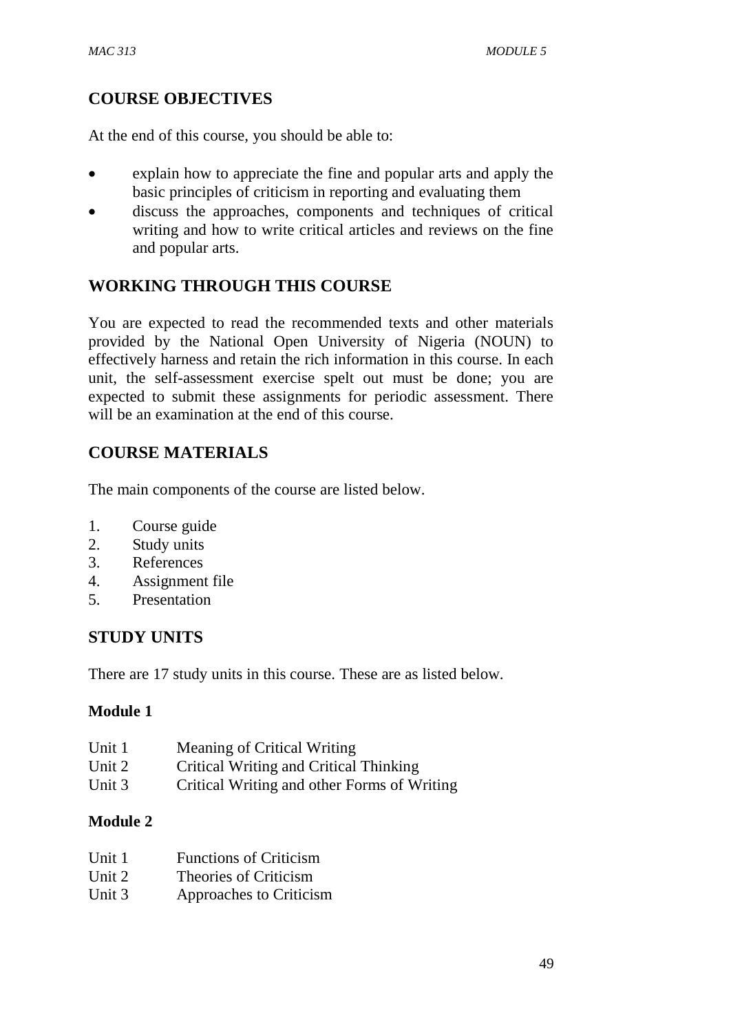#### **COURSE OBJECTIVES**

At the end of this course, you should be able to:

- explain how to appreciate the fine and popular arts and apply the basic principles of criticism in reporting and evaluating them
- discuss the approaches, components and techniques of critical writing and how to write critical articles and reviews on the fine and popular arts.

#### **WORKING THROUGH THIS COURSE**

You are expected to read the recommended texts and other materials provided by the National Open University of Nigeria (NOUN) to effectively harness and retain the rich information in this course. In each unit, the self-assessment exercise spelt out must be done; you are expected to submit these assignments for periodic assessment. There will be an examination at the end of this course.

#### **COURSE MATERIALS**

The main components of the course are listed below.

- 1. Course guide
- 2. Study units
- 3. References
- 4. Assignment file
- 5. Presentation

#### **STUDY UNITS**

There are 17 study units in this course. These are as listed below.

#### **Module 1**

| Unit 1 | Meaning of Critical Writing                 |
|--------|---------------------------------------------|
| Unit 2 | Critical Writing and Critical Thinking      |
| Unit 3 | Critical Writing and other Forms of Writing |

#### **Module 2**

| Unit 1 | <b>Functions of Criticism</b> |
|--------|-------------------------------|
| Unit 2 | Theories of Criticism         |
| Unit 3 | Approaches to Criticism       |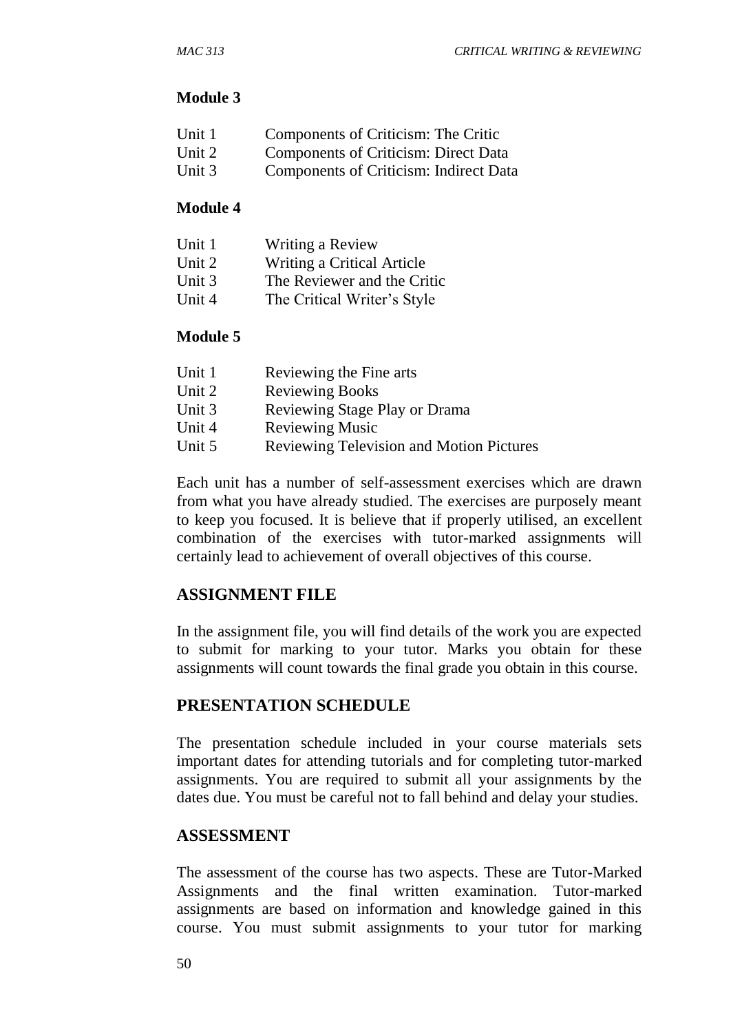#### **Module 3**

| Unit 1                   | Components of Criticism: The Critic  |
|--------------------------|--------------------------------------|
| $\overline{\text{List}}$ | Components of Criticism: Direct Date |

- Unit 2 Components of Criticism: Direct Data
- Unit 3 Components of Criticism: Indirect Data

#### **Module 4**

| Unit 1 | Writing a Review            |
|--------|-----------------------------|
| Unit 2 | Writing a Critical Article  |
| Unit 3 | The Reviewer and the Critic |
| Unit 4 | The Critical Writer's Style |

#### **Module 5**

| Unit 1 | Reviewing the Fine arts                         |
|--------|-------------------------------------------------|
| Unit 2 | <b>Reviewing Books</b>                          |
| Unit 3 | Reviewing Stage Play or Drama                   |
| Unit 4 | <b>Reviewing Music</b>                          |
| Unit 5 | <b>Reviewing Television and Motion Pictures</b> |

Each unit has a number of self-assessment exercises which are drawn from what you have already studied. The exercises are purposely meant to keep you focused. It is believe that if properly utilised, an excellent combination of the exercises with tutor-marked assignments will certainly lead to achievement of overall objectives of this course.

#### **ASSIGNMENT FILE**

In the assignment file, you will find details of the work you are expected to submit for marking to your tutor. Marks you obtain for these assignments will count towards the final grade you obtain in this course.

#### **PRESENTATION SCHEDULE**

The presentation schedule included in your course materials sets important dates for attending tutorials and for completing tutor-marked assignments. You are required to submit all your assignments by the dates due. You must be careful not to fall behind and delay your studies.

#### **ASSESSMENT**

The assessment of the course has two aspects. These are Tutor-Marked Assignments and the final written examination. Tutor-marked assignments are based on information and knowledge gained in this course. You must submit assignments to your tutor for marking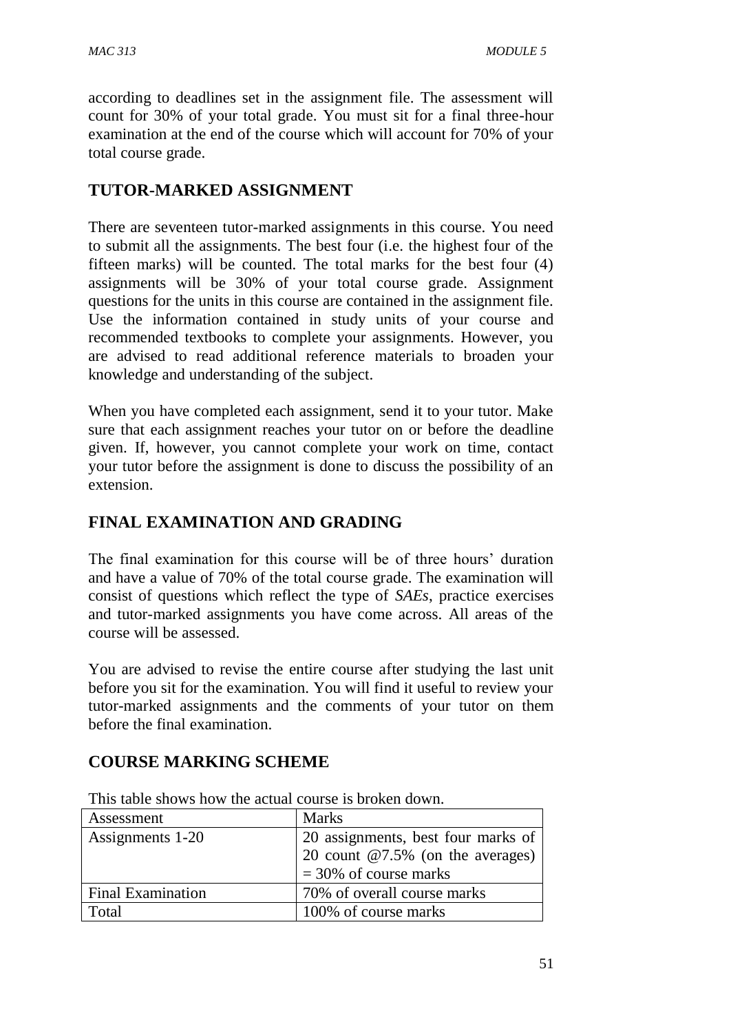according to deadlines set in the assignment file. The assessment will count for 30% of your total grade. You must sit for a final three-hour examination at the end of the course which will account for 70% of your total course grade.

## **TUTOR-MARKED ASSIGNMENT**

There are seventeen tutor-marked assignments in this course. You need to submit all the assignments. The best four (i.e. the highest four of the fifteen marks) will be counted. The total marks for the best four (4) assignments will be 30% of your total course grade. Assignment questions for the units in this course are contained in the assignment file. Use the information contained in study units of your course and recommended textbooks to complete your assignments. However, you are advised to read additional reference materials to broaden your knowledge and understanding of the subject.

When you have completed each assignment, send it to your tutor. Make sure that each assignment reaches your tutor on or before the deadline given. If, however, you cannot complete your work on time, contact your tutor before the assignment is done to discuss the possibility of an extension.

## **FINAL EXAMINATION AND GRADING**

The final examination for this course will be of three hours' duration and have a value of 70% of the total course grade. The examination will consist of questions which reflect the type of *SAEs*, practice exercises and tutor-marked assignments you have come across. All areas of the course will be assessed.

You are advised to revise the entire course after studying the last unit before you sit for the examination. You will find it useful to review your tutor-marked assignments and the comments of your tutor on them before the final examination.

#### **COURSE MARKING SCHEME**

| Assessment               | <b>Marks</b>                        |  |
|--------------------------|-------------------------------------|--|
| Assignments 1-20         | 20 assignments, best four marks of  |  |
|                          | 20 count $@7.5\%$ (on the averages) |  |
|                          | $=$ 30% of course marks             |  |
| <b>Final Examination</b> | 70% of overall course marks         |  |
| Total                    | 100% of course marks                |  |

This table shows how the actual course is broken down.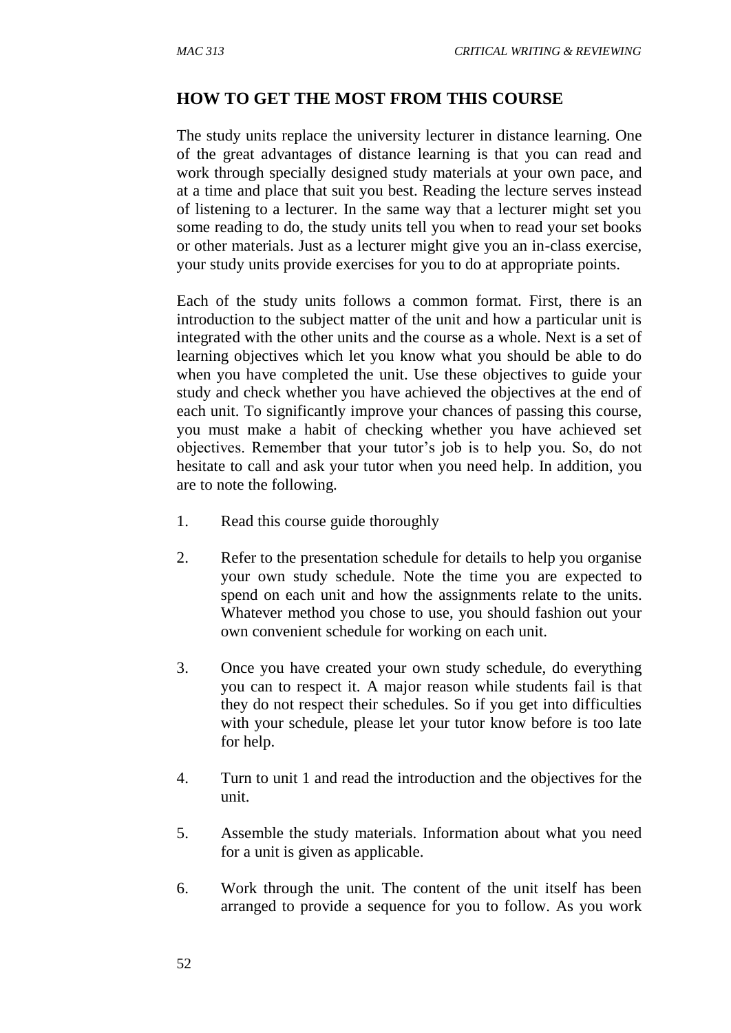#### **HOW TO GET THE MOST FROM THIS COURSE**

The study units replace the university lecturer in distance learning. One of the great advantages of distance learning is that you can read and work through specially designed study materials at your own pace, and at a time and place that suit you best. Reading the lecture serves instead of listening to a lecturer. In the same way that a lecturer might set you some reading to do, the study units tell you when to read your set books or other materials. Just as a lecturer might give you an in-class exercise, your study units provide exercises for you to do at appropriate points.

Each of the study units follows a common format. First, there is an introduction to the subject matter of the unit and how a particular unit is integrated with the other units and the course as a whole. Next is a set of learning objectives which let you know what you should be able to do when you have completed the unit. Use these objectives to guide your study and check whether you have achieved the objectives at the end of each unit. To significantly improve your chances of passing this course, you must make a habit of checking whether you have achieved set objectives. Remember that your tutor's job is to help you. So, do not hesitate to call and ask your tutor when you need help. In addition, you are to note the following.

- 1. Read this course guide thoroughly
- 2. Refer to the presentation schedule for details to help you organise your own study schedule. Note the time you are expected to spend on each unit and how the assignments relate to the units. Whatever method you chose to use, you should fashion out your own convenient schedule for working on each unit.
- 3. Once you have created your own study schedule, do everything you can to respect it. A major reason while students fail is that they do not respect their schedules. So if you get into difficulties with your schedule, please let your tutor know before is too late for help.
- 4. Turn to unit 1 and read the introduction and the objectives for the unit.
- 5. Assemble the study materials. Information about what you need for a unit is given as applicable.
- 6. Work through the unit. The content of the unit itself has been arranged to provide a sequence for you to follow. As you work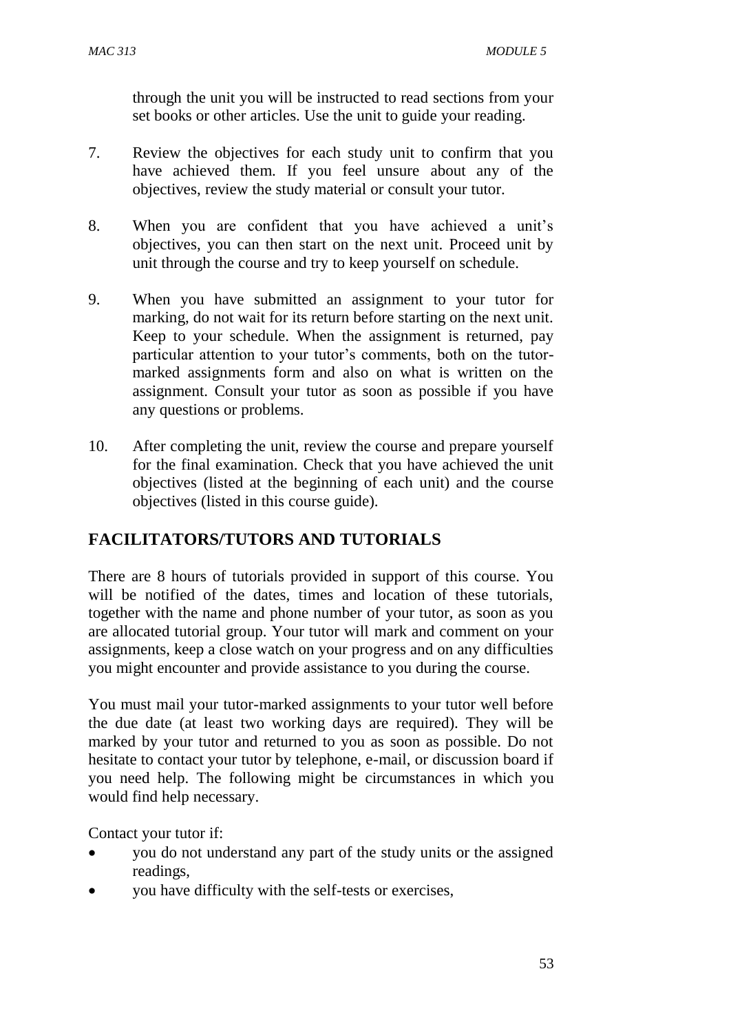through the unit you will be instructed to read sections from your set books or other articles. Use the unit to guide your reading.

- 7. Review the objectives for each study unit to confirm that you have achieved them. If you feel unsure about any of the objectives, review the study material or consult your tutor.
- 8. When you are confident that you have achieved a unit's objectives, you can then start on the next unit. Proceed unit by unit through the course and try to keep yourself on schedule.
- 9. When you have submitted an assignment to your tutor for marking, do not wait for its return before starting on the next unit. Keep to your schedule. When the assignment is returned, pay particular attention to your tutor's comments, both on the tutormarked assignments form and also on what is written on the assignment. Consult your tutor as soon as possible if you have any questions or problems.
- 10. After completing the unit, review the course and prepare yourself for the final examination. Check that you have achieved the unit objectives (listed at the beginning of each unit) and the course objectives (listed in this course guide).

## **FACILITATORS/TUTORS AND TUTORIALS**

There are 8 hours of tutorials provided in support of this course. You will be notified of the dates, times and location of these tutorials, together with the name and phone number of your tutor, as soon as you are allocated tutorial group. Your tutor will mark and comment on your assignments, keep a close watch on your progress and on any difficulties you might encounter and provide assistance to you during the course.

You must mail your tutor-marked assignments to your tutor well before the due date (at least two working days are required). They will be marked by your tutor and returned to you as soon as possible. Do not hesitate to contact your tutor by telephone, e-mail, or discussion board if you need help. The following might be circumstances in which you would find help necessary.

Contact your tutor if:

- you do not understand any part of the study units or the assigned readings,
- you have difficulty with the self-tests or exercises,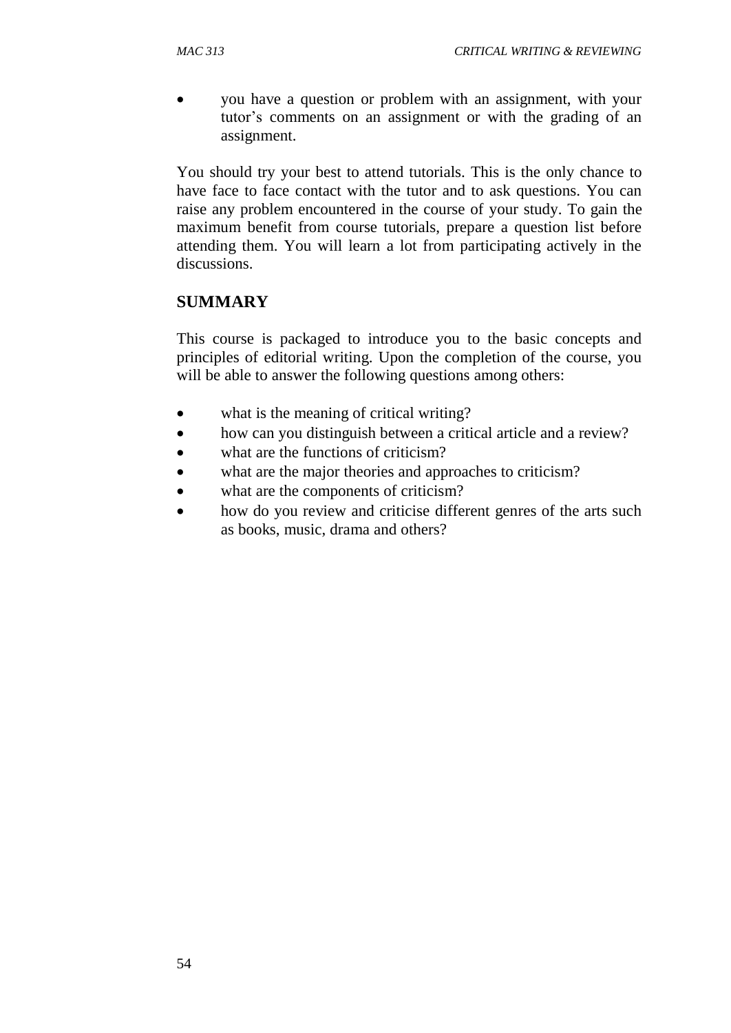you have a question or problem with an assignment, with your tutor's comments on an assignment or with the grading of an assignment.

You should try your best to attend tutorials. This is the only chance to have face to face contact with the tutor and to ask questions. You can raise any problem encountered in the course of your study. To gain the maximum benefit from course tutorials, prepare a question list before attending them. You will learn a lot from participating actively in the discussions.

#### **SUMMARY**

This course is packaged to introduce you to the basic concepts and principles of editorial writing. Upon the completion of the course, you will be able to answer the following questions among others:

- what is the meaning of critical writing?
- how can you distinguish between a critical article and a review?
- what are the functions of criticism?
- what are the major theories and approaches to criticism?
- what are the components of criticism?
- how do you review and criticise different genres of the arts such as books, music, drama and others?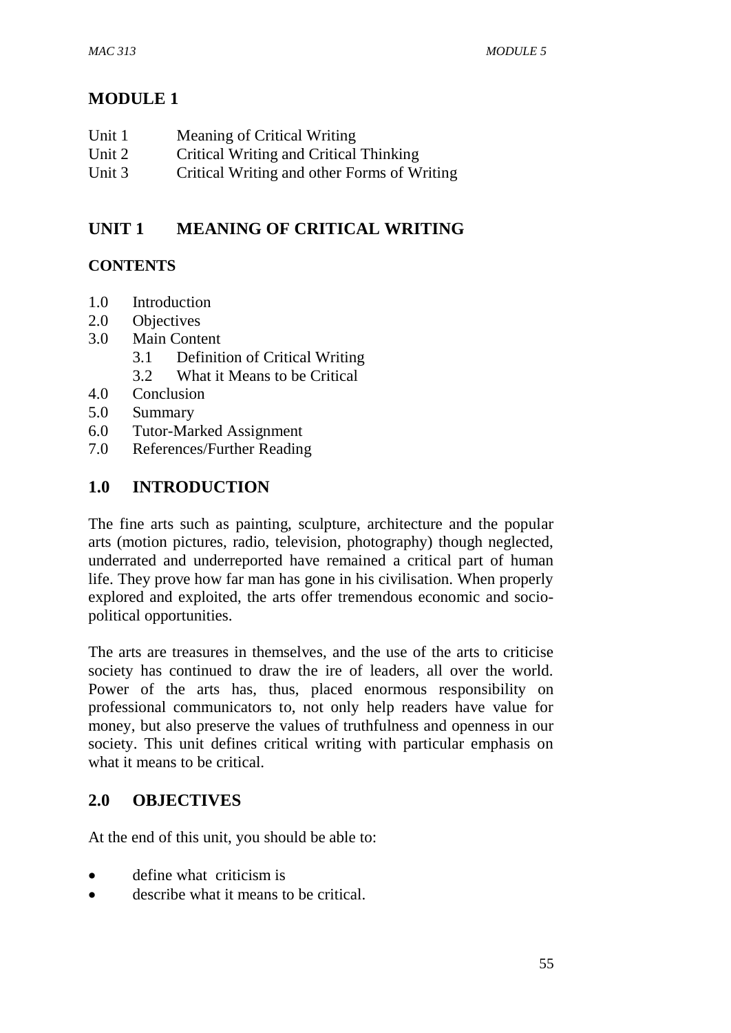## **MODULE 1**

| Unit 1 | Meaning of Critical Writing                 |
|--------|---------------------------------------------|
| Unit 2 | Critical Writing and Critical Thinking      |
| Unit 3 | Critical Writing and other Forms of Writing |

## **UNIT 1 MEANING OF CRITICAL WRITING**

#### **CONTENTS**

- 1.0 Introduction
- 2.0 Objectives
- 3.0 Main Content
	- 3.1 Definition of Critical Writing
	- 3.2 What it Means to be Critical
- 4.0 Conclusion
- 5.0 Summary
- 6.0 Tutor-Marked Assignment
- 7.0 References/Further Reading

## **1.0 INTRODUCTION**

The fine arts such as painting, sculpture, architecture and the popular arts (motion pictures, radio, television, photography) though neglected, underrated and underreported have remained a critical part of human life. They prove how far man has gone in his civilisation. When properly explored and exploited, the arts offer tremendous economic and sociopolitical opportunities.

The arts are treasures in themselves, and the use of the arts to criticise society has continued to draw the ire of leaders, all over the world. Power of the arts has, thus, placed enormous responsibility on professional communicators to, not only help readers have value for money, but also preserve the values of truthfulness and openness in our society. This unit defines critical writing with particular emphasis on what it means to be critical.

#### **2.0 OBJECTIVES**

At the end of this unit, you should be able to:

- define what criticism is
- describe what it means to be critical.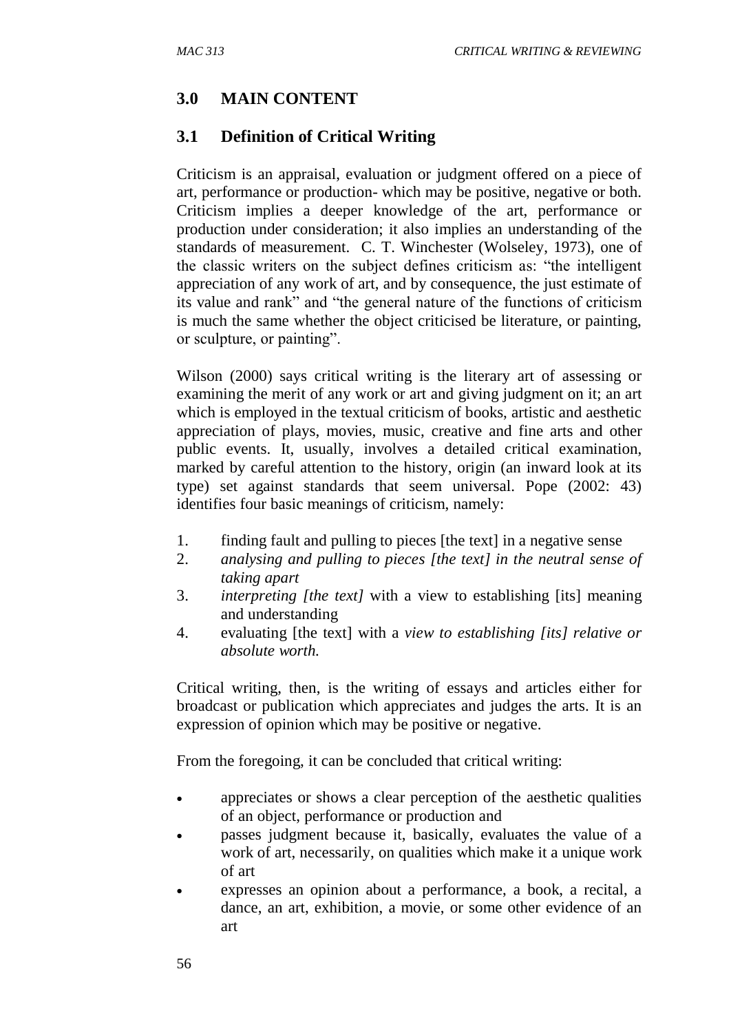#### **3.0 MAIN CONTENT**

#### **3.1 Definition of Critical Writing**

Criticism is an appraisal, evaluation or judgment offered on a piece of art, performance or production- which may be positive, negative or both. Criticism implies a deeper knowledge of the art, performance or production under consideration; it also implies an understanding of the standards of measurement. C. T. Winchester (Wolseley, 1973), one of the classic writers on the subject defines criticism as: "the intelligent appreciation of any work of art, and by consequence, the just estimate of its value and rank" and "the general nature of the functions of criticism is much the same whether the object criticised be literature, or painting, or sculpture, or painting".

Wilson (2000) says critical writing is the literary art of assessing or examining the merit of any work or art and giving judgment on it; an art which is employed in the textual criticism of books, artistic and aesthetic appreciation of plays, movies, music, creative and fine arts and other public events. It, usually, involves a detailed critical examination, marked by careful attention to the history, origin (an inward look at its type) set against standards that seem universal. Pope (2002: 43) identifies four basic meanings of criticism, namely:

- 1. finding fault and pulling to pieces [the text] in a negative sense
- 2. *analysing and pulling to pieces [the text] in the neutral sense of taking apart*
- 3. *interpreting [the text]* with a view to establishing [its] meaning and understanding
- 4. evaluating [the text] with a *view to establishing [its] relative or absolute worth.*

Critical writing, then, is the writing of essays and articles either for broadcast or publication which appreciates and judges the arts. It is an expression of opinion which may be positive or negative.

From the foregoing, it can be concluded that critical writing:

- appreciates or shows a clear perception of the aesthetic qualities of an object, performance or production and
- passes judgment because it, basically, evaluates the value of a work of art, necessarily, on qualities which make it a unique work of art
- expresses an opinion about a performance, a book, a recital, a dance, an art, exhibition, a movie, or some other evidence of an art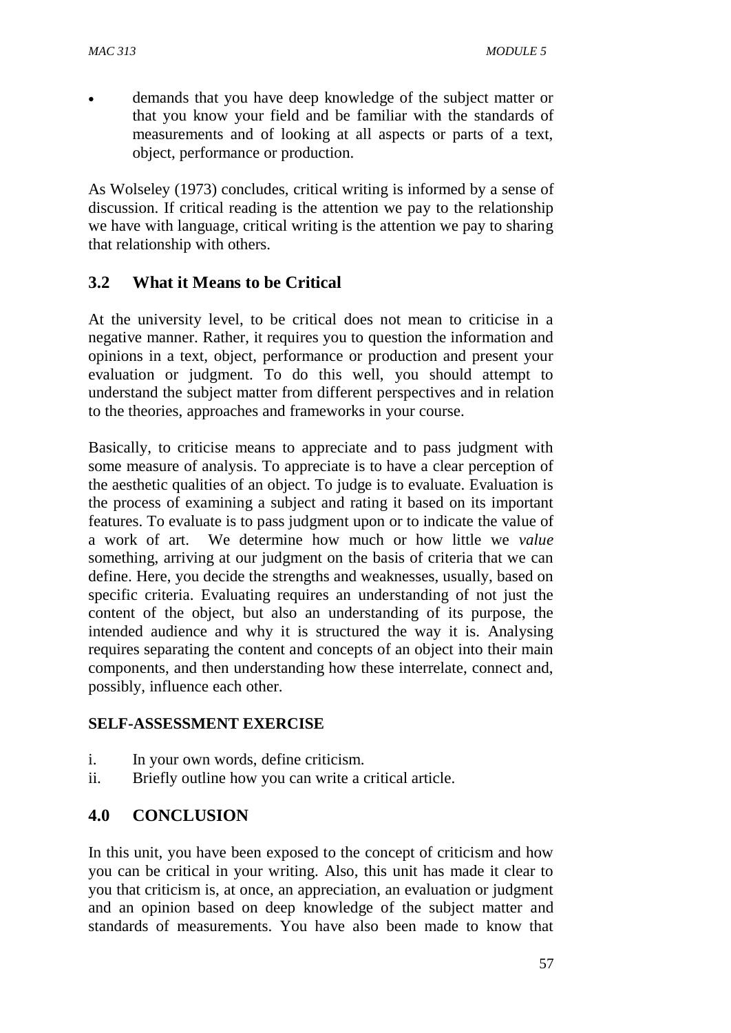demands that you have deep knowledge of the subject matter or that you know your field and be familiar with the standards of measurements and of looking at all aspects or parts of a text, object, performance or production.

As Wolseley (1973) concludes, critical writing is informed by a sense of discussion. If critical reading is the attention we pay to the relationship we have with language, critical writing is the attention we pay to sharing that relationship with others.

#### **3.2 What it Means to be Critical**

At the university level, to be critical does not mean to criticise in a negative manner. Rather, it requires you to question the information and opinions in a text, object, performance or production and present your evaluation or judgment. To do this well, you should attempt to understand the subject matter from different perspectives and in relation to the theories, approaches and frameworks in your course.

Basically, to criticise means to appreciate and to pass judgment with some measure of analysis. To appreciate is to have a clear perception of the aesthetic qualities of an object. To judge is to evaluate. Evaluation is the process of examining a subject and rating it based on its important features. To evaluate is to pass judgment upon or to indicate the value of a work of art. We determine how much or how little we *value* something, arriving at our judgment on the basis of criteria that we can define. Here, you decide the strengths and weaknesses, usually, based on specific criteria. Evaluating requires an understanding of not just the content of the object, but also an understanding of its purpose, the intended audience and why it is structured the way it is. Analysing requires separating the content and concepts of an object into their main components, and then understanding how these interrelate, connect and, possibly, influence each other.

#### **SELF-ASSESSMENT EXERCISE**

- i. In your own words, define criticism.
- ii. Briefly outline how you can write a critical article.

#### **4.0 CONCLUSION**

In this unit, you have been exposed to the concept of criticism and how you can be critical in your writing. Also, this unit has made it clear to you that criticism is, at once, an appreciation, an evaluation or judgment and an opinion based on deep knowledge of the subject matter and standards of measurements. You have also been made to know that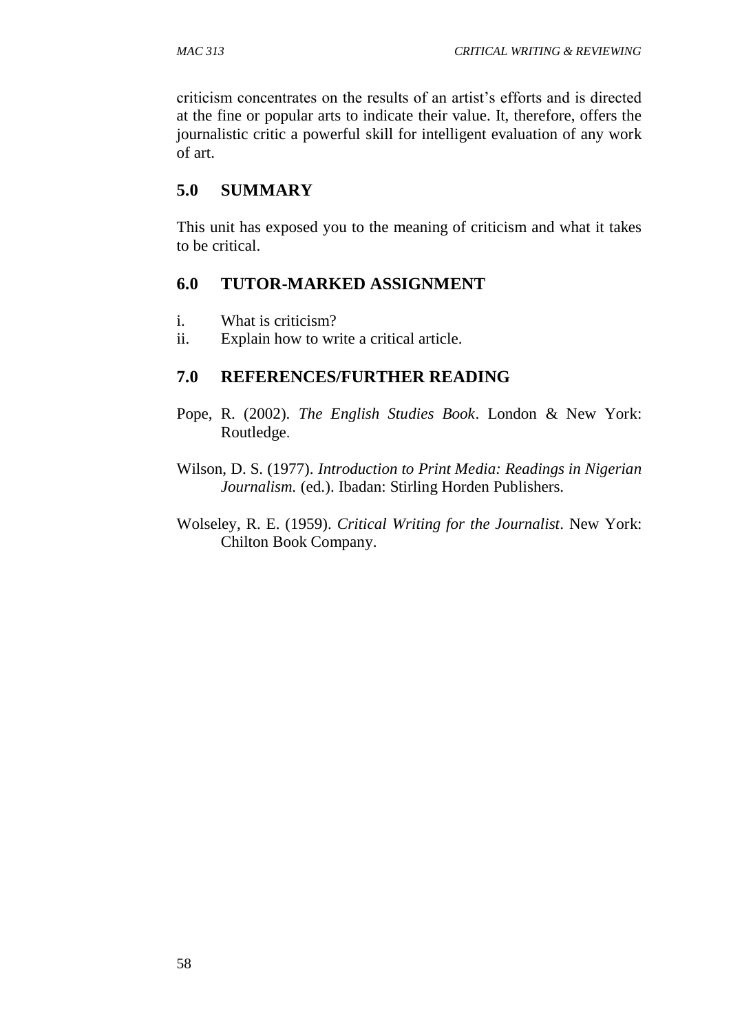criticism concentrates on the results of an artist's efforts and is directed at the fine or popular arts to indicate their value. It, therefore, offers the journalistic critic a powerful skill for intelligent evaluation of any work of art.

#### **5.0 SUMMARY**

This unit has exposed you to the meaning of criticism and what it takes to be critical.

#### **6.0 TUTOR-MARKED ASSIGNMENT**

- i. What is criticism?
- ii. Explain how to write a critical article.

#### **7.0 REFERENCES/FURTHER READING**

- Pope, R. (2002). *The English Studies Book*. London & New York: Routledge.
- Wilson, D. S. (1977). *Introduction to Print Media: Readings in Nigerian Journalism.* (ed.). Ibadan: Stirling Horden Publishers.
- Wolseley, R. E. (1959). *Critical Writing for the Journalist*. New York: Chilton Book Company.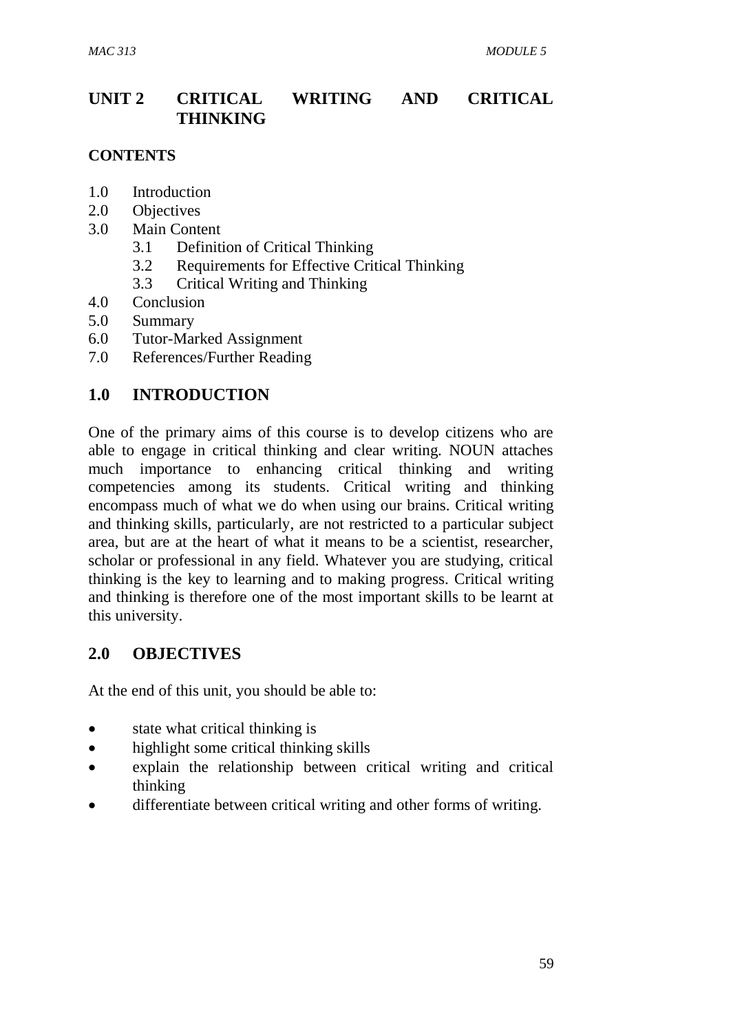## **UNIT 2 CRITICAL WRITING AND CRITICAL THINKING**

#### **CONTENTS**

- 1.0 Introduction
- 2.0 Objectives
- 3.0 Main Content
	- 3.1 Definition of Critical Thinking
	- 3.2 Requirements for Effective Critical Thinking
	- 3.3 Critical Writing and Thinking
- 4.0 Conclusion
- 5.0 Summary
- 6.0 Tutor-Marked Assignment
- 7.0 References/Further Reading

#### **1.0 INTRODUCTION**

One of the primary aims of this course is to develop citizens who are able to engage in critical thinking and clear writing. NOUN attaches much importance to enhancing critical thinking and writing competencies among its students. Critical writing and thinking encompass much of what we do when using our brains. Critical writing and thinking skills, particularly, are not restricted to a particular subject area, but are at the heart of what it means to be a scientist, researcher, scholar or professional in any field. Whatever you are studying, critical thinking is the key to learning and to making progress. Critical writing and thinking is therefore one of the most important skills to be learnt at this university.

#### **2.0 OBJECTIVES**

At the end of this unit, you should be able to:

- state what critical thinking is
- highlight some critical thinking skills
- explain the relationship between critical writing and critical thinking
- differentiate between critical writing and other forms of writing.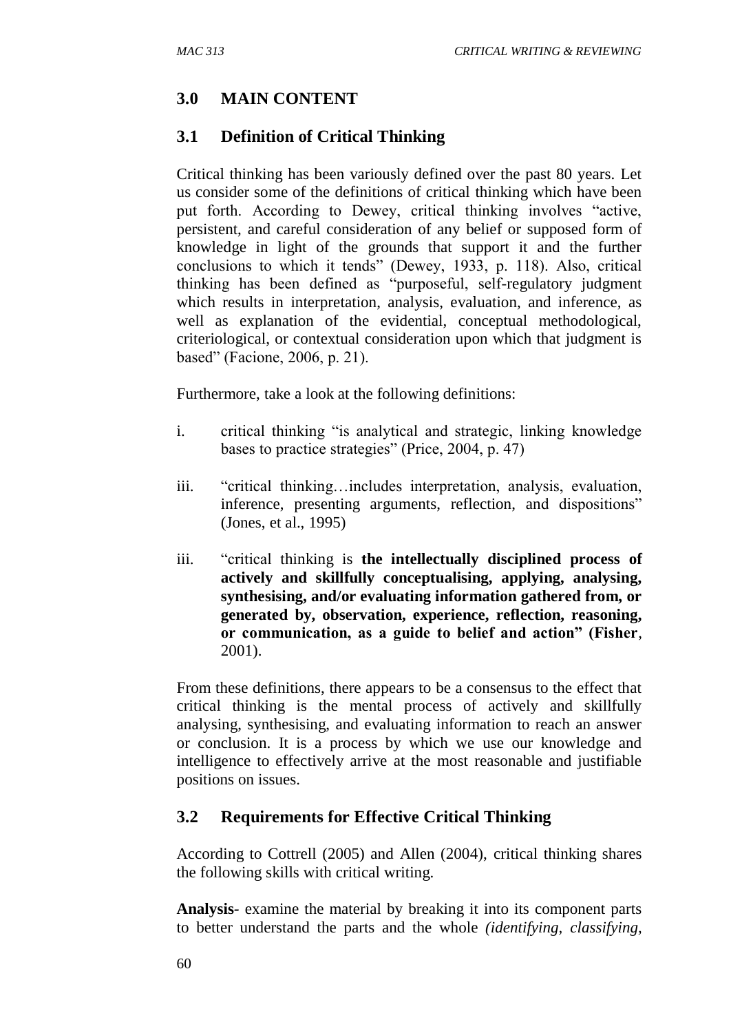#### **3.0 MAIN CONTENT**

#### **3.1 Definition of Critical Thinking**

Critical thinking has been variously defined over the past 80 years. Let us consider some of the definitions of critical thinking which have been put forth. According to Dewey, critical thinking involves "active, persistent, and careful consideration of any belief or supposed form of knowledge in light of the grounds that support it and the further conclusions to which it tends" (Dewey, 1933, p. 118). Also, critical thinking has been defined as "purposeful, self-regulatory judgment which results in interpretation, analysis, evaluation, and inference, as well as explanation of the evidential, conceptual methodological, criteriological, or contextual consideration upon which that judgment is based" (Facione, 2006, p. 21).

Furthermore, take a look at the following definitions:

- i. critical thinking "is analytical and strategic, linking knowledge bases to practice strategies" (Price, 2004, p. 47)
- iii. "critical thinking…includes interpretation, analysis, evaluation, inference, presenting arguments, reflection, and dispositions" (Jones, et al., 1995)
- iii. "critical thinking is **the intellectually disciplined process of actively and skillfully conceptualising, applying, analysing, synthesising, and/or evaluating information gathered from, or generated by, observation, experience, reflection, reasoning, or communication, as a guide to belief and action" (Fisher**, 2001).

From these definitions, there appears to be a consensus to the effect that critical thinking is the mental process of actively and skillfully analysing, synthesising, and evaluating information to reach an answer or conclusion. It is a process by which we use our knowledge and intelligence to effectively arrive at the most reasonable and justifiable positions on issues.

#### **3.2 Requirements for Effective Critical Thinking**

According to Cottrell (2005) and Allen (2004), critical thinking shares the following skills with critical writing.

**Analysis***-* examine the material by breaking it into its component parts to better understand the parts and the whole *(identifying, classifying,*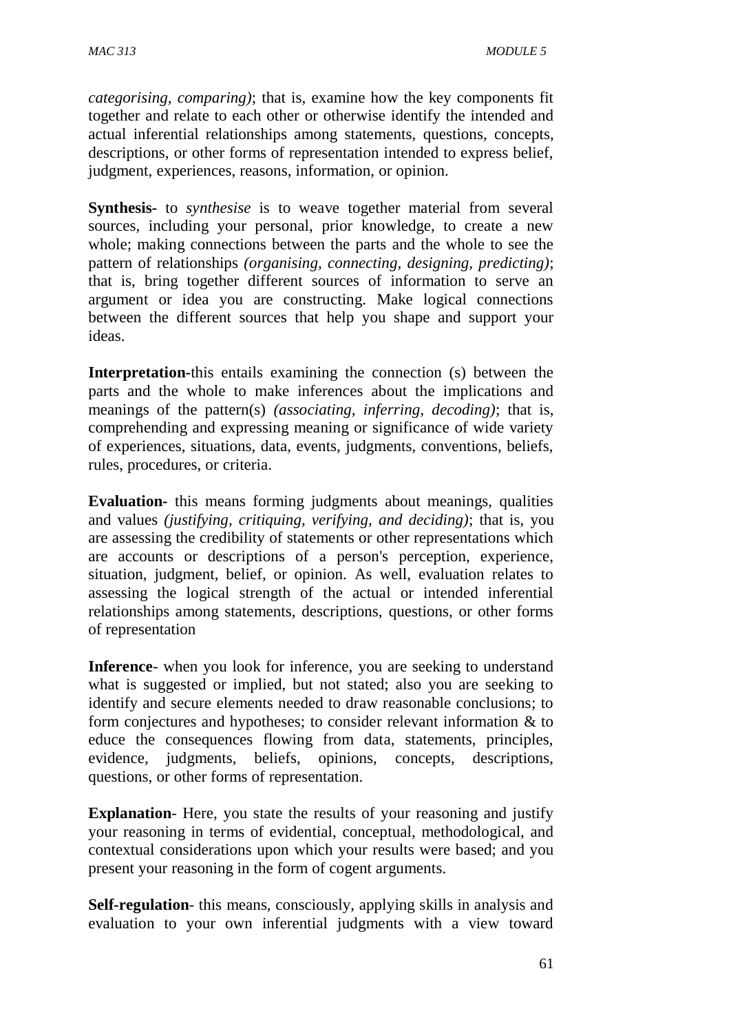*categorising, comparing)*; that is, examine how the key components fit together and relate to each other or otherwise identify the intended and actual inferential relationships among statements, questions, concepts, descriptions, or other forms of representation intended to express belief, judgment, experiences, reasons, information, or opinion.

**Synthesis***-* to *synthesise* is to weave together material from several sources, including your personal, prior knowledge, to create a new whole; making connections between the parts and the whole to see the pattern of relationships *(organising, connecting, designing, predicting)*; that is, bring together different sources of information to serve an argument or idea you are constructing. Make logical connections between the different sources that help you shape and support your ideas.

**Interpretation***-*this entails examining the connection (s) between the parts and the whole to make inferences about the implications and meanings of the pattern(s) *(associating, inferring, decoding)*; that is, comprehending and expressing meaning or significance of wide variety of experiences, situations, data, events, judgments, conventions, beliefs, rules, procedures, or criteria.

**Evaluation***-* this means forming judgments about meanings, qualities and values *(justifying, critiquing, verifying, and deciding)*; that is, you are assessing the credibility of statements or other representations which are accounts or descriptions of a person's perception, experience, situation, judgment, belief, or opinion. As well, evaluation relates to assessing the logical strength of the actual or intended inferential relationships among statements, descriptions, questions, or other forms of representation

**Inference**- when you look for inference, you are seeking to understand what is suggested or implied, but not stated; also you are seeking to identify and secure elements needed to draw reasonable conclusions; to form conjectures and hypotheses; to consider relevant information & to educe the consequences flowing from data, statements, principles, evidence, judgments, beliefs, opinions, concepts, descriptions, questions, or other forms of representation.

**Explanation**- Here, you state the results of your reasoning and justify your reasoning in terms of evidential, conceptual, methodological, and contextual considerations upon which your results were based; and you present your reasoning in the form of cogent arguments.

**Self-regulation**- this means, consciously, applying skills in analysis and evaluation to your own inferential judgments with a view toward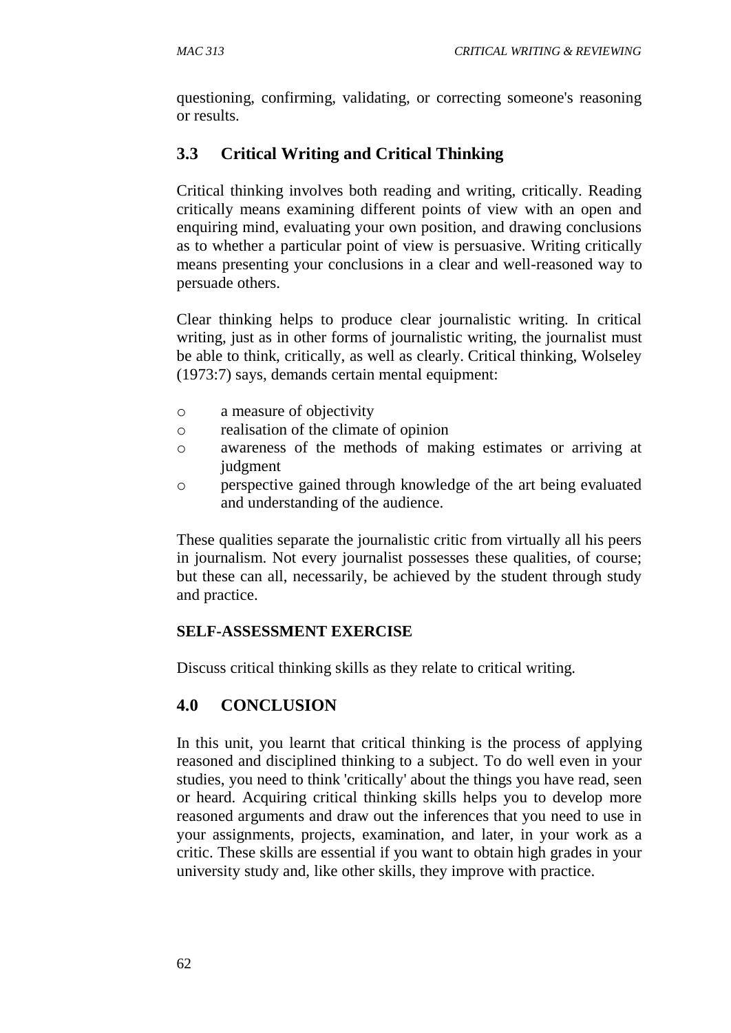questioning, confirming, validating, or correcting someone's reasoning or results.

## **3.3 Critical Writing and Critical Thinking**

Critical thinking involves both reading and writing, critically. Reading critically means examining different points of view with an open and enquiring mind, evaluating your own position, and drawing conclusions as to whether a particular point of view is persuasive. Writing critically means presenting your conclusions in a clear and well-reasoned way to persuade others.

Clear thinking helps to produce clear journalistic writing. In critical writing, just as in other forms of journalistic writing, the journalist must be able to think, critically, as well as clearly. Critical thinking, Wolseley (1973:7) says, demands certain mental equipment:

- o a measure of objectivity
- o realisation of the climate of opinion
- o awareness of the methods of making estimates or arriving at judgment
- o perspective gained through knowledge of the art being evaluated and understanding of the audience.

These qualities separate the journalistic critic from virtually all his peers in journalism. Not every journalist possesses these qualities, of course; but these can all, necessarily, be achieved by the student through study and practice.

#### **SELF-ASSESSMENT EXERCISE**

Discuss critical thinking skills as they relate to critical writing.

## **4.0 CONCLUSION**

In this unit, you learnt that critical thinking is the process of applying reasoned and disciplined thinking to a subject. To do well even in your studies, you need to think 'critically' about the things you have read, seen or heard. Acquiring critical thinking skills helps you to develop more reasoned arguments and draw out the inferences that you need to use in your assignments, projects, examination, and later, in your work as a critic. These skills are essential if you want to obtain high grades in your university study and, like other skills, they improve with practice.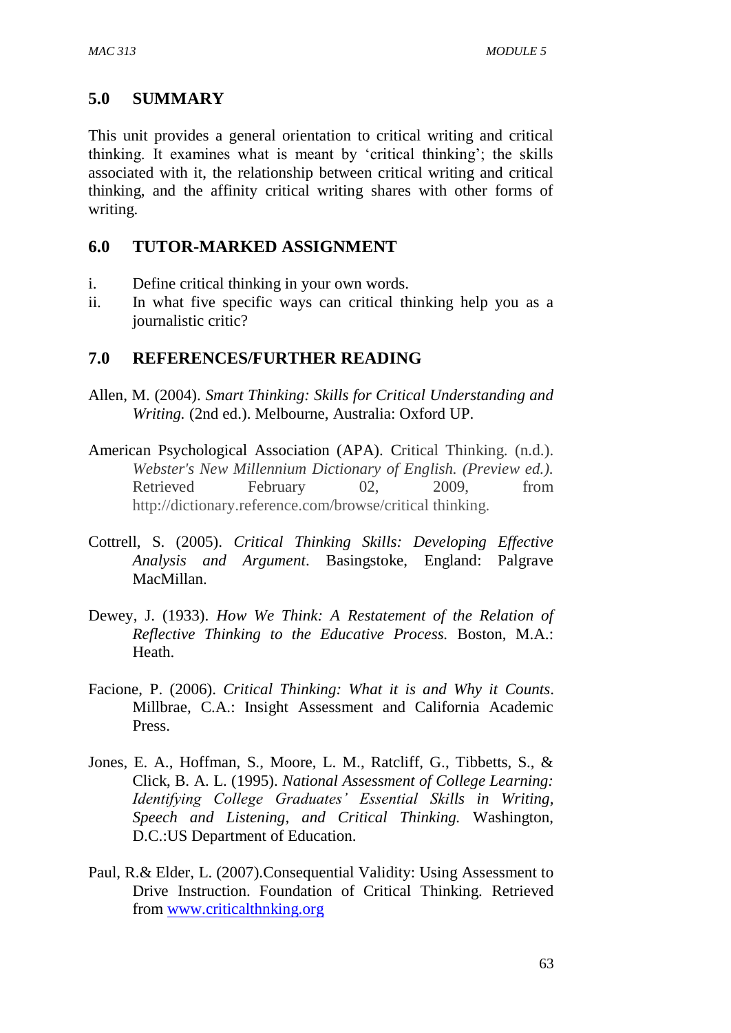#### **5.0 SUMMARY**

This unit provides a general orientation to critical writing and critical thinking. It examines what is meant by 'critical thinking'; the skills associated with it, the relationship between critical writing and critical thinking, and the affinity critical writing shares with other forms of writing.

#### **6.0 TUTOR-MARKED ASSIGNMENT**

- i. Define critical thinking in your own words.
- ii. In what five specific ways can critical thinking help you as a journalistic critic?

#### **7.0 REFERENCES/FURTHER READING**

- Allen, M. (2004). *Smart Thinking: Skills for Critical Understanding and Writing.* (2nd ed.). Melbourne, Australia: Oxford UP.
- American Psychological Association (APA). Critical Thinking. (n.d.). *Webster's New Millennium Dictionary of English. (Preview ed.).*  Retrieved February 02, 2009, from http://dictionary.reference.com/browse/critical thinking.
- Cottrell, S. (2005). *Critical Thinking Skills: Developing Effective Analysis and Argument*. Basingstoke, England: Palgrave MacMillan.
- Dewey, J. (1933). *How We Think: A Restatement of the Relation of Reflective Thinking to the Educative Process.* Boston, M.A.: Heath.
- Facione, P. (2006). *Critical Thinking: What it is and Why it Counts*. Millbrae, C.A.: Insight Assessment and California Academic Press.
- Jones, E. A., Hoffman, S., Moore, L. M., Ratcliff, G., Tibbetts, S., & Click, B. A. L. (1995). *National Assessment of College Learning: Identifying College Graduates' Essential Skills in Writing, Speech and Listening, and Critical Thinking.* Washington, D.C.:US Department of Education.
- Paul, R.& Elder, L. (2007).Consequential Validity: Using Assessment to Drive Instruction. Foundation of Critical Thinking. Retrieved from [www.criticalthnking.org](http://www.criticalthnking.org/)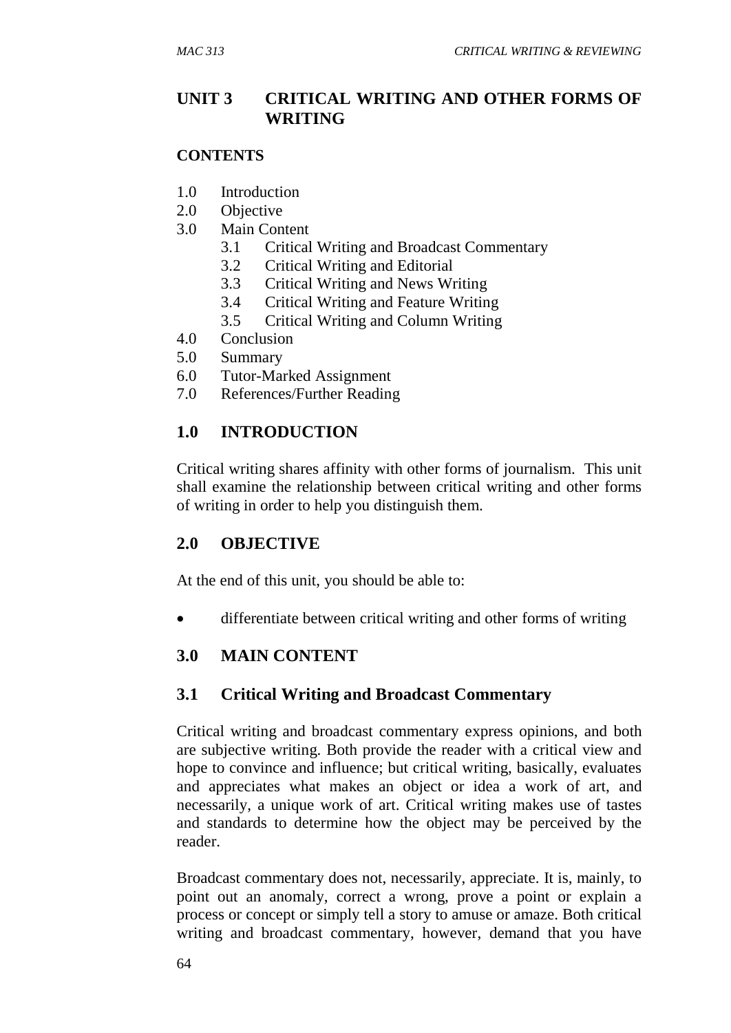#### **UNIT 3 CRITICAL WRITING AND OTHER FORMS OF WRITING**

#### **CONTENTS**

- 1.0 Introduction
- 2.0 Objective
- 3.0 Main Content
	- 3.1 Critical Writing and Broadcast Commentary
	- 3.2 Critical Writing and Editorial
	- 3.3 Critical Writing and News Writing
	- 3.4 Critical Writing and Feature Writing
	- 3.5 Critical Writing and Column Writing
- 4.0 Conclusion
- 5.0 Summary
- 6.0 Tutor-Marked Assignment
- 7.0 References/Further Reading

#### **1.0 INTRODUCTION**

Critical writing shares affinity with other forms of journalism. This unit shall examine the relationship between critical writing and other forms of writing in order to help you distinguish them.

#### **2.0 OBJECTIVE**

At the end of this unit, you should be able to:

differentiate between critical writing and other forms of writing

## **3.0 MAIN CONTENT**

#### **3.1 Critical Writing and Broadcast Commentary**

Critical writing and broadcast commentary express opinions, and both are subjective writing. Both provide the reader with a critical view and hope to convince and influence; but critical writing, basically, evaluates and appreciates what makes an object or idea a work of art, and necessarily, a unique work of art. Critical writing makes use of tastes and standards to determine how the object may be perceived by the reader.

Broadcast commentary does not, necessarily, appreciate. It is, mainly, to point out an anomaly, correct a wrong, prove a point or explain a process or concept or simply tell a story to amuse or amaze. Both critical writing and broadcast commentary, however, demand that you have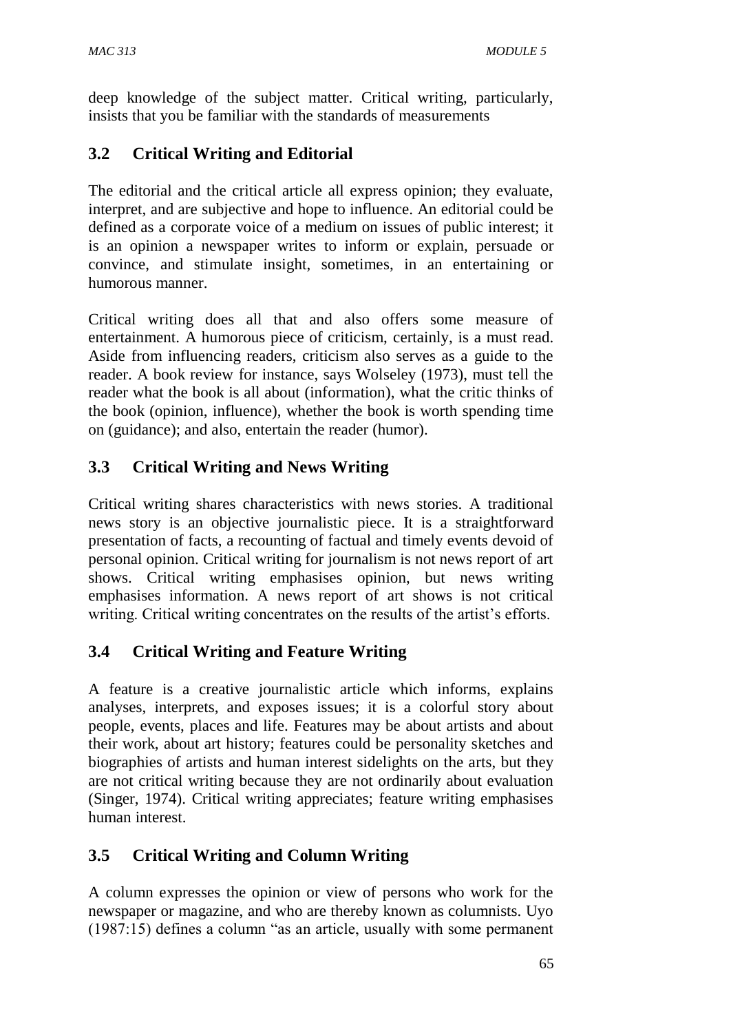deep knowledge of the subject matter. Critical writing, particularly, insists that you be familiar with the standards of measurements

## **3.2 Critical Writing and Editorial**

The editorial and the critical article all express opinion; they evaluate, interpret, and are subjective and hope to influence. An editorial could be defined as a corporate voice of a medium on issues of public interest; it is an opinion a newspaper writes to inform or explain, persuade or convince, and stimulate insight, sometimes, in an entertaining or humorous manner.

Critical writing does all that and also offers some measure of entertainment. A humorous piece of criticism, certainly, is a must read. Aside from influencing readers, criticism also serves as a guide to the reader. A book review for instance, says Wolseley (1973), must tell the reader what the book is all about (information), what the critic thinks of the book (opinion, influence), whether the book is worth spending time on (guidance); and also, entertain the reader (humor).

## **3.3 Critical Writing and News Writing**

Critical writing shares characteristics with news stories. A traditional news story is an objective journalistic piece. It is a straightforward presentation of facts, a recounting of factual and timely events devoid of personal opinion. Critical writing for journalism is not news report of art shows. Critical writing emphasises opinion, but news writing emphasises information. A news report of art shows is not critical writing. Critical writing concentrates on the results of the artist's efforts.

## **3.4 Critical Writing and Feature Writing**

A feature is a creative journalistic article which informs, explains analyses, interprets, and exposes issues; it is a colorful story about people, events, places and life. Features may be about artists and about their work, about art history; features could be personality sketches and biographies of artists and human interest sidelights on the arts, but they are not critical writing because they are not ordinarily about evaluation (Singer, 1974). Critical writing appreciates; feature writing emphasises human interest.

## **3.5 Critical Writing and Column Writing**

A column expresses the opinion or view of persons who work for the newspaper or magazine, and who are thereby known as columnists. Uyo (1987:15) defines a column "as an article, usually with some permanent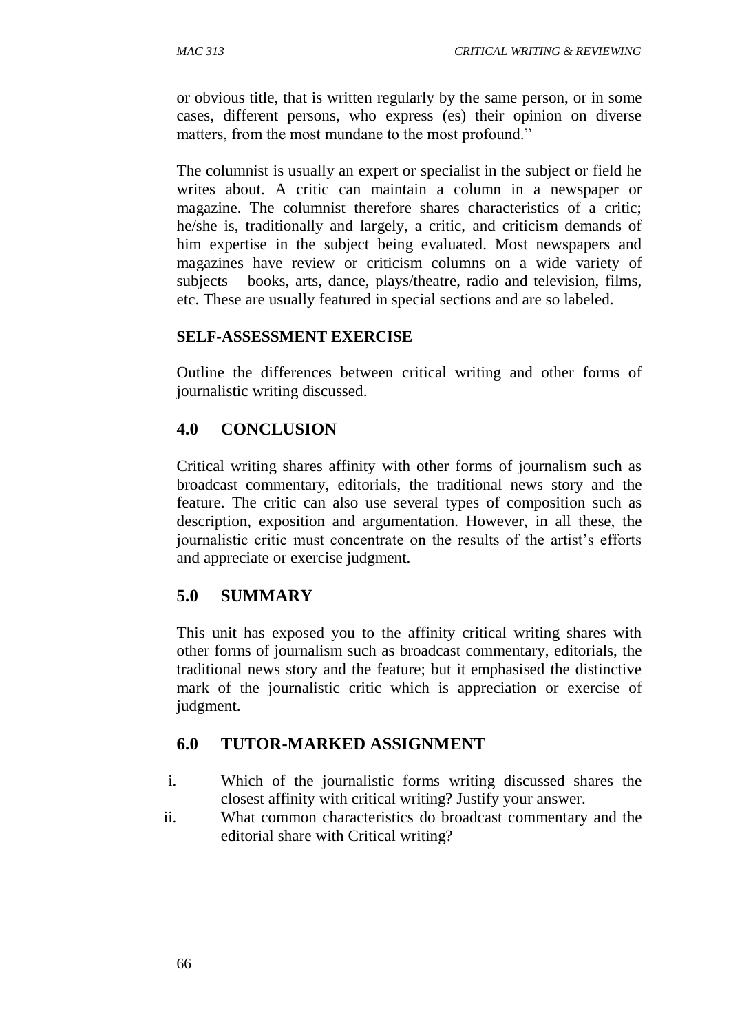or obvious title, that is written regularly by the same person, or in some cases, different persons, who express (es) their opinion on diverse matters, from the most mundane to the most profound."

The columnist is usually an expert or specialist in the subject or field he writes about. A critic can maintain a column in a newspaper or magazine. The columnist therefore shares characteristics of a critic; he/she is, traditionally and largely, a critic, and criticism demands of him expertise in the subject being evaluated. Most newspapers and magazines have review or criticism columns on a wide variety of subjects – books, arts, dance, plays/theatre, radio and television, films, etc. These are usually featured in special sections and are so labeled.

#### **SELF-ASSESSMENT EXERCISE**

Outline the differences between critical writing and other forms of journalistic writing discussed.

#### **4.0 CONCLUSION**

Critical writing shares affinity with other forms of journalism such as broadcast commentary, editorials, the traditional news story and the feature. The critic can also use several types of composition such as description, exposition and argumentation. However, in all these, the journalistic critic must concentrate on the results of the artist's efforts and appreciate or exercise judgment.

#### **5.0 SUMMARY**

This unit has exposed you to the affinity critical writing shares with other forms of journalism such as broadcast commentary, editorials, the traditional news story and the feature; but it emphasised the distinctive mark of the journalistic critic which is appreciation or exercise of judgment.

#### **6.0 TUTOR-MARKED ASSIGNMENT**

- i. Which of the journalistic forms writing discussed shares the closest affinity with critical writing? Justify your answer.
- ii. What common characteristics do broadcast commentary and the editorial share with Critical writing?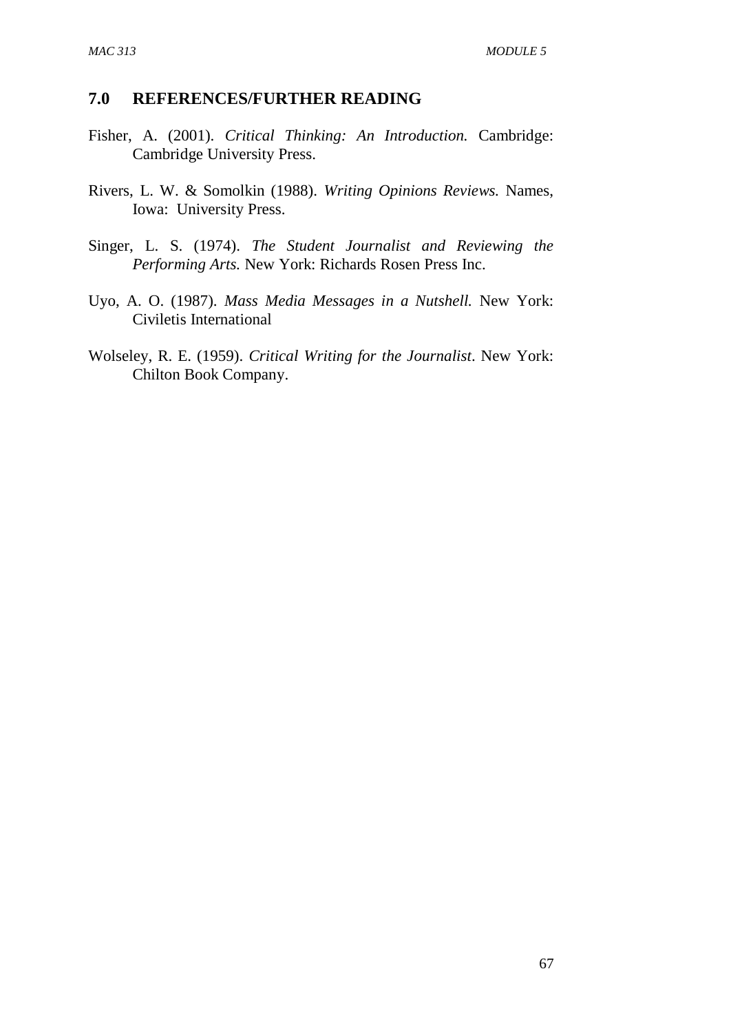#### **7.0 REFERENCES/FURTHER READING**

- Fisher, A. (2001). *Critical Thinking: An Introduction.* Cambridge: Cambridge University Press.
- Rivers, L. W. & Somolkin (1988). *Writing Opinions Reviews.* Names, Iowa: University Press.
- Singer, L. S. (1974). *The Student Journalist and Reviewing the Performing Arts.* New York: Richards Rosen Press Inc.
- Uyo, A. O. (1987). *Mass Media Messages in a Nutshell.* New York: Civiletis International
- Wolseley, R. E. (1959). *Critical Writing for the Journalist*. New York: Chilton Book Company.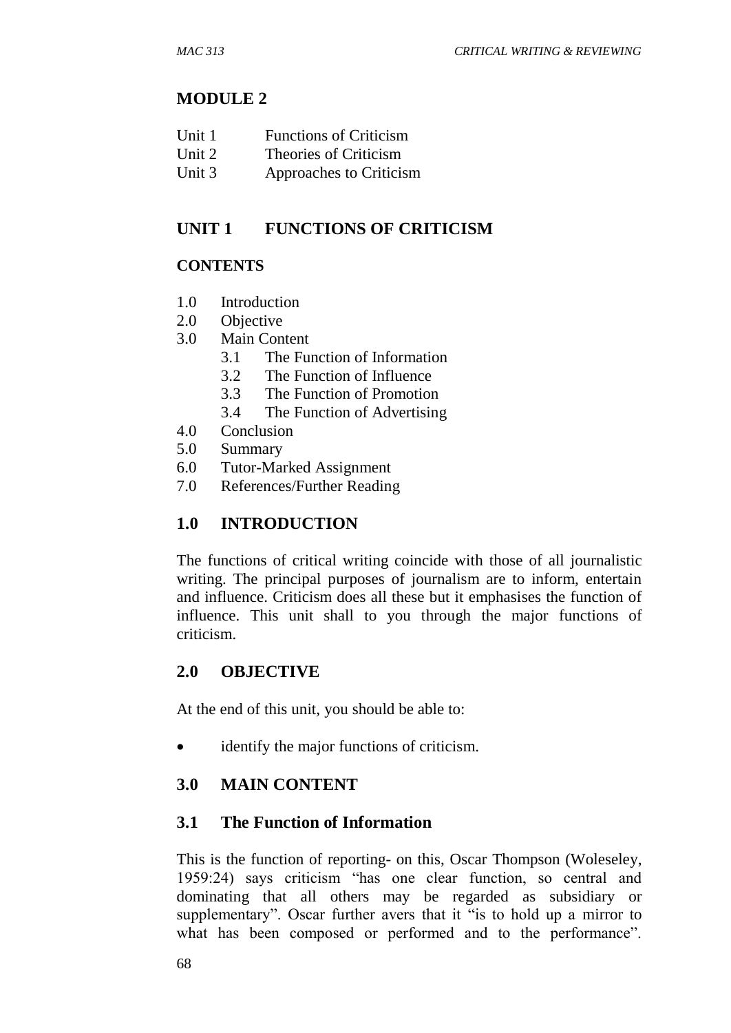#### **MODULE 2**

| Unit 1 |  | <b>Functions of Criticism</b> |
|--------|--|-------------------------------|
|--------|--|-------------------------------|

- Unit 2 Theories of Criticism
- Unit 3 Approaches to Criticism

#### **UNIT 1 FUNCTIONS OF CRITICISM**

#### **CONTENTS**

- 1.0 Introduction
- 2.0 Objective
- 3.0 Main Content
	- 3.1 The Function of Information
	- 3.2 The Function of Influence
	- 3.3 The Function of Promotion
	- 3.4 The Function of Advertising
- 4.0 Conclusion
- 5.0 Summary
- 6.0 Tutor-Marked Assignment
- 7.0 References/Further Reading

## **1.0 INTRODUCTION**

The functions of critical writing coincide with those of all journalistic writing. The principal purposes of journalism are to inform, entertain and influence. Criticism does all these but it emphasises the function of influence. This unit shall to you through the major functions of criticism.

#### **2.0 OBJECTIVE**

At the end of this unit, you should be able to:

identify the major functions of criticism.

## **3.0 MAIN CONTENT**

#### **3.1 The Function of Information**

This is the function of reporting- on this, Oscar Thompson (Woleseley, 1959:24) says criticism "has one clear function, so central and dominating that all others may be regarded as subsidiary or supplementary". Oscar further avers that it "is to hold up a mirror to what has been composed or performed and to the performance".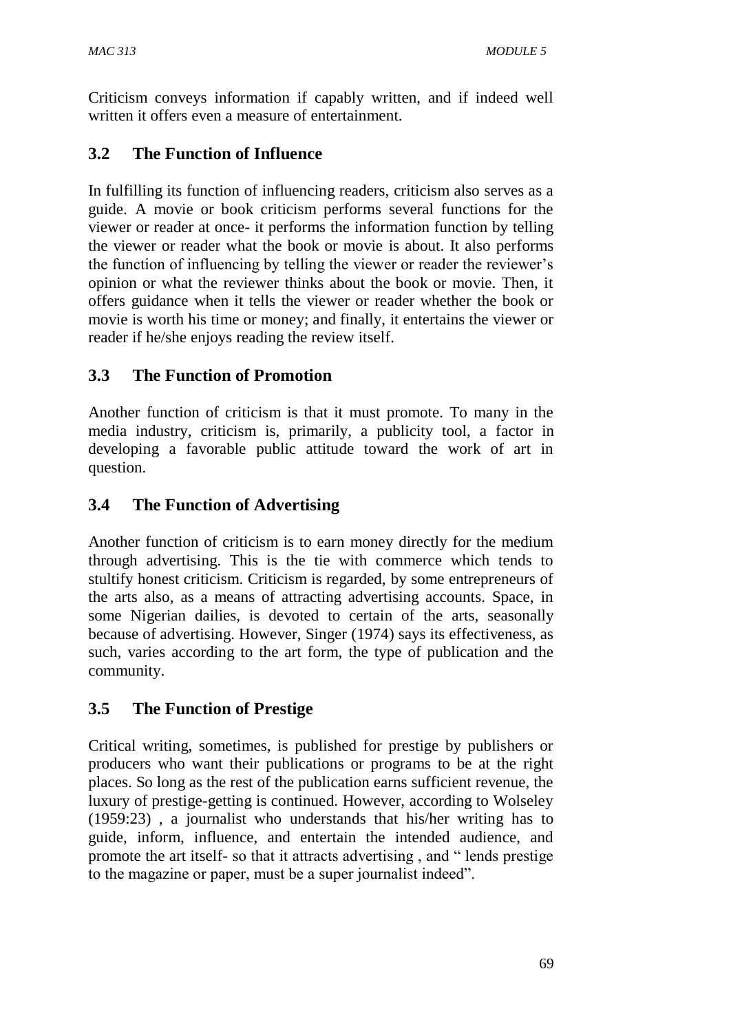Criticism conveys information if capably written, and if indeed well written it offers even a measure of entertainment.

## **3.2 The Function of Influence**

In fulfilling its function of influencing readers, criticism also serves as a guide. A movie or book criticism performs several functions for the viewer or reader at once- it performs the information function by telling the viewer or reader what the book or movie is about. It also performs the function of influencing by telling the viewer or reader the reviewer's opinion or what the reviewer thinks about the book or movie. Then, it offers guidance when it tells the viewer or reader whether the book or movie is worth his time or money; and finally, it entertains the viewer or reader if he/she enjoys reading the review itself.

## **3.3 The Function of Promotion**

Another function of criticism is that it must promote. To many in the media industry, criticism is, primarily, a publicity tool, a factor in developing a favorable public attitude toward the work of art in question.

## **3.4 The Function of Advertising**

Another function of criticism is to earn money directly for the medium through advertising. This is the tie with commerce which tends to stultify honest criticism. Criticism is regarded, by some entrepreneurs of the arts also, as a means of attracting advertising accounts. Space, in some Nigerian dailies, is devoted to certain of the arts, seasonally because of advertising. However, Singer (1974) says its effectiveness, as such, varies according to the art form, the type of publication and the community.

## **3.5 The Function of Prestige**

Critical writing, sometimes, is published for prestige by publishers or producers who want their publications or programs to be at the right places. So long as the rest of the publication earns sufficient revenue, the luxury of prestige-getting is continued. However, according to Wolseley (1959:23) , a journalist who understands that his/her writing has to guide, inform, influence, and entertain the intended audience, and promote the art itself- so that it attracts advertising , and " lends prestige to the magazine or paper, must be a super journalist indeed".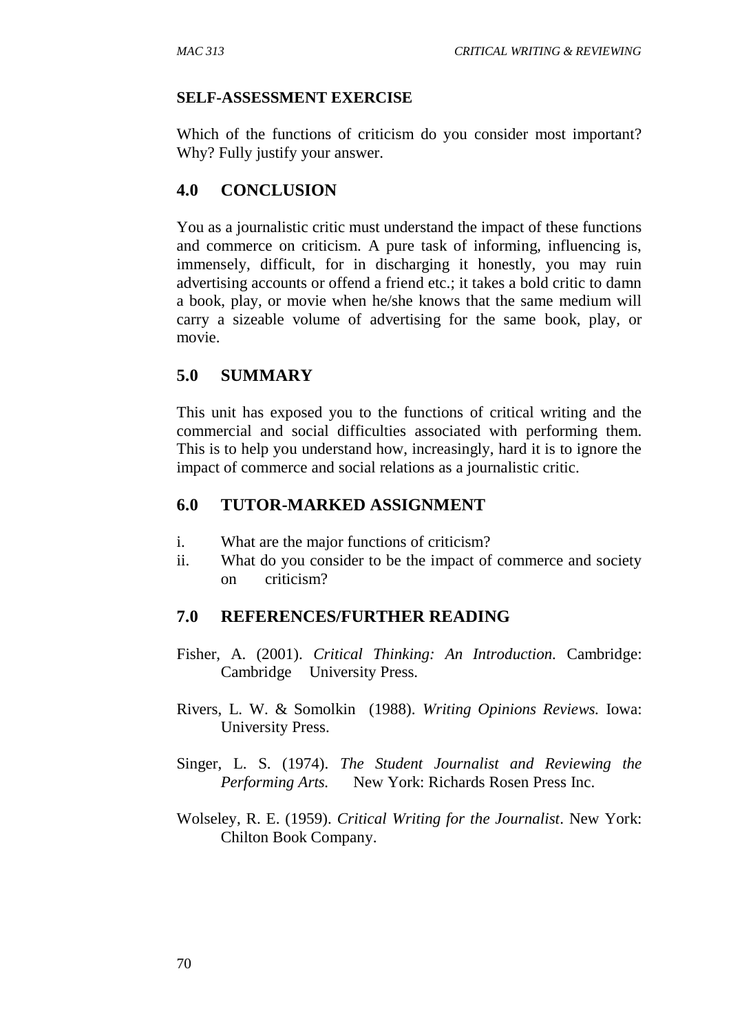#### **SELF-ASSESSMENT EXERCISE**

Which of the functions of criticism do you consider most important? Why? Fully justify your answer.

#### **4.0 CONCLUSION**

You as a journalistic critic must understand the impact of these functions and commerce on criticism. A pure task of informing, influencing is, immensely, difficult, for in discharging it honestly, you may ruin advertising accounts or offend a friend etc.; it takes a bold critic to damn a book, play, or movie when he/she knows that the same medium will carry a sizeable volume of advertising for the same book, play, or movie.

#### **5.0 SUMMARY**

This unit has exposed you to the functions of critical writing and the commercial and social difficulties associated with performing them. This is to help you understand how, increasingly, hard it is to ignore the impact of commerce and social relations as a journalistic critic.

#### **6.0 TUTOR-MARKED ASSIGNMENT**

- i. What are the major functions of criticism?
- ii. What do you consider to be the impact of commerce and society on criticism?

#### **7.0 REFERENCES/FURTHER READING**

- Fisher, A. (2001). *Critical Thinking: An Introduction.* Cambridge: Cambridge University Press.
- Rivers, L. W. & Somolkin (1988). *Writing Opinions Reviews.* Iowa: University Press.
- Singer, L. S. (1974). *The Student Journalist and Reviewing the Performing Arts.* New York: Richards Rosen Press Inc.
- Wolseley, R. E. (1959). *Critical Writing for the Journalist*. New York: Chilton Book Company.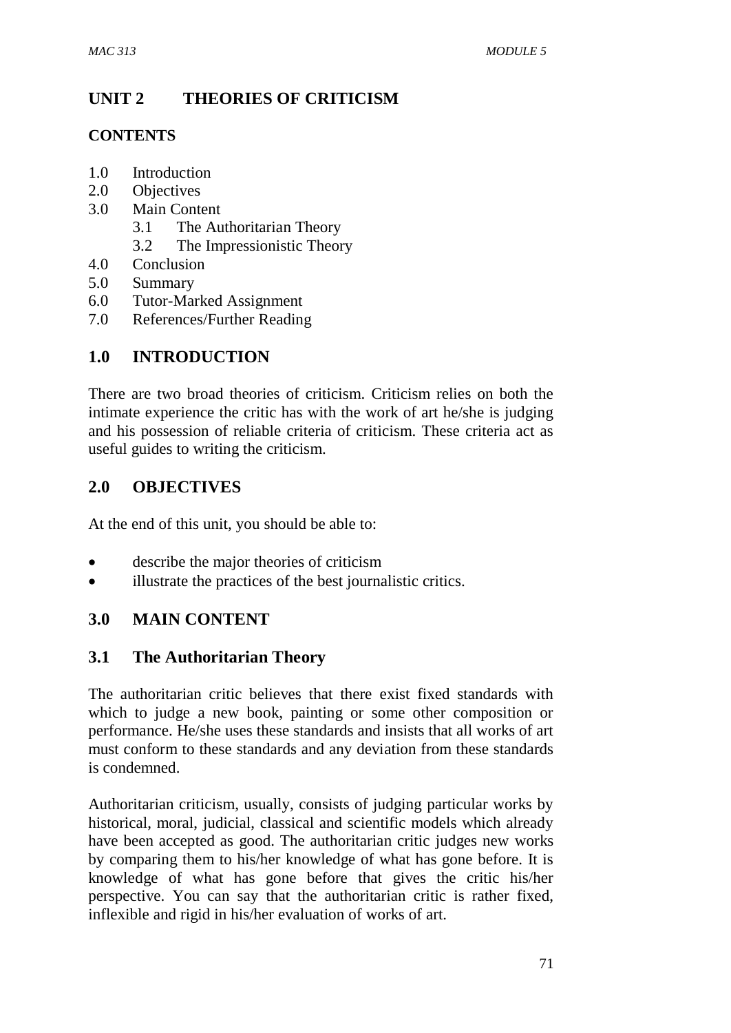## **UNIT 2 THEORIES OF CRITICISM**

#### **CONTENTS**

- 1.0 Introduction
- 2.0 Objectives
- 3.0 Main Content
	- 3.1 The Authoritarian Theory
	- 3.2 The Impressionistic Theory
- 4.0 Conclusion
- 5.0 Summary
- 6.0 Tutor-Marked Assignment
- 7.0 References/Further Reading

## **1.0 INTRODUCTION**

There are two broad theories of criticism. Criticism relies on both the intimate experience the critic has with the work of art he/she is judging and his possession of reliable criteria of criticism. These criteria act as useful guides to writing the criticism.

#### **2.0 OBJECTIVES**

At the end of this unit, you should be able to:

- describe the major theories of criticism
- illustrate the practices of the best journalistic critics.

## **3.0 MAIN CONTENT**

#### **3.1 The Authoritarian Theory**

The authoritarian critic believes that there exist fixed standards with which to judge a new book, painting or some other composition or performance. He/she uses these standards and insists that all works of art must conform to these standards and any deviation from these standards is condemned.

Authoritarian criticism, usually, consists of judging particular works by historical, moral, judicial, classical and scientific models which already have been accepted as good. The authoritarian critic judges new works by comparing them to his/her knowledge of what has gone before. It is knowledge of what has gone before that gives the critic his/her perspective. You can say that the authoritarian critic is rather fixed, inflexible and rigid in his/her evaluation of works of art.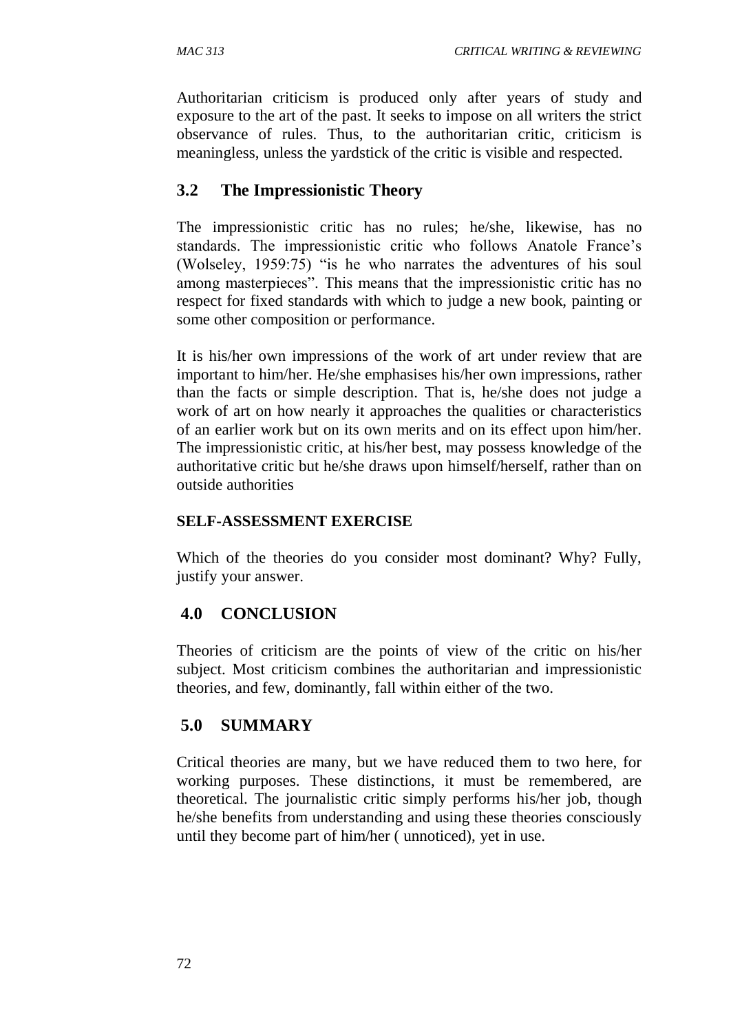Authoritarian criticism is produced only after years of study and exposure to the art of the past. It seeks to impose on all writers the strict observance of rules. Thus, to the authoritarian critic, criticism is meaningless, unless the yardstick of the critic is visible and respected.

#### **3.2 The Impressionistic Theory**

The impressionistic critic has no rules; he/she, likewise, has no standards. The impressionistic critic who follows Anatole France's (Wolseley, 1959:75) "is he who narrates the adventures of his soul among masterpieces". This means that the impressionistic critic has no respect for fixed standards with which to judge a new book, painting or some other composition or performance.

It is his/her own impressions of the work of art under review that are important to him/her. He/she emphasises his/her own impressions, rather than the facts or simple description. That is, he/she does not judge a work of art on how nearly it approaches the qualities or characteristics of an earlier work but on its own merits and on its effect upon him/her. The impressionistic critic, at his/her best, may possess knowledge of the authoritative critic but he/she draws upon himself/herself, rather than on outside authorities

#### **SELF-ASSESSMENT EXERCISE**

Which of the theories do you consider most dominant? Why? Fully, justify your answer.

## **4.0 CONCLUSION**

Theories of criticism are the points of view of the critic on his/her subject. Most criticism combines the authoritarian and impressionistic theories, and few, dominantly, fall within either of the two.

## **5.0 SUMMARY**

Critical theories are many, but we have reduced them to two here, for working purposes. These distinctions, it must be remembered, are theoretical. The journalistic critic simply performs his/her job, though he/she benefits from understanding and using these theories consciously until they become part of him/her ( unnoticed), yet in use.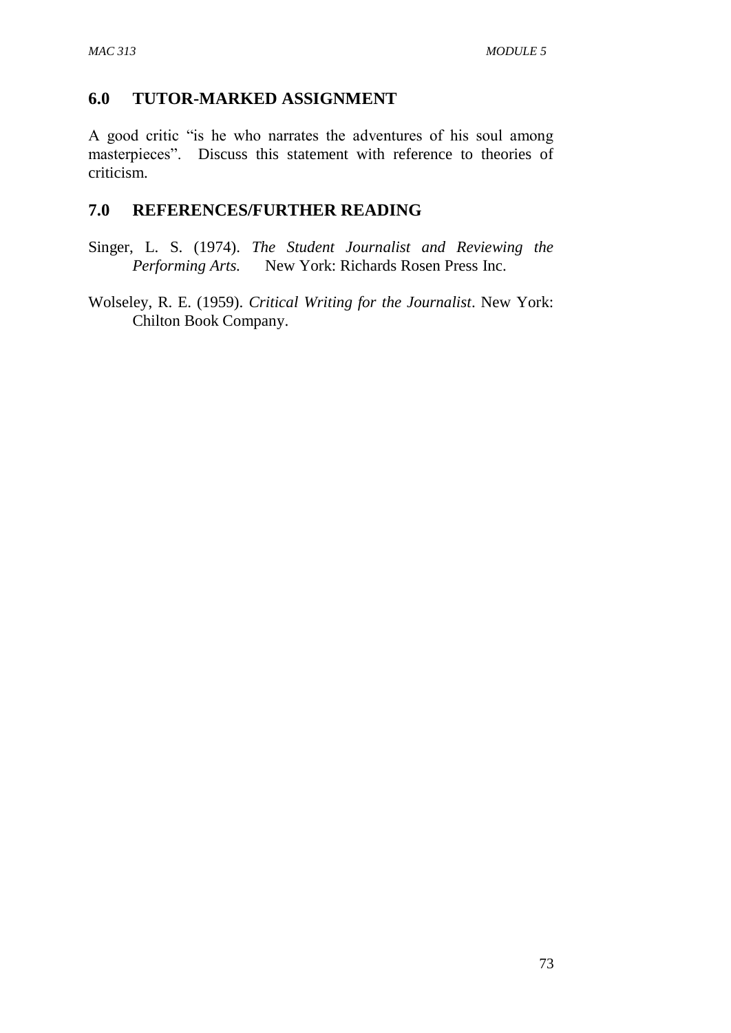#### **6.0 TUTOR-MARKED ASSIGNMENT**

A good critic "is he who narrates the adventures of his soul among masterpieces". Discuss this statement with reference to theories of criticism.

## **7.0 REFERENCES/FURTHER READING**

Singer, L. S. (1974). *The Student Journalist and Reviewing the*  **New York: Richards Rosen Press Inc.** 

Wolseley, R. E. (1959). *Critical Writing for the Journalist*. New York: Chilton Book Company.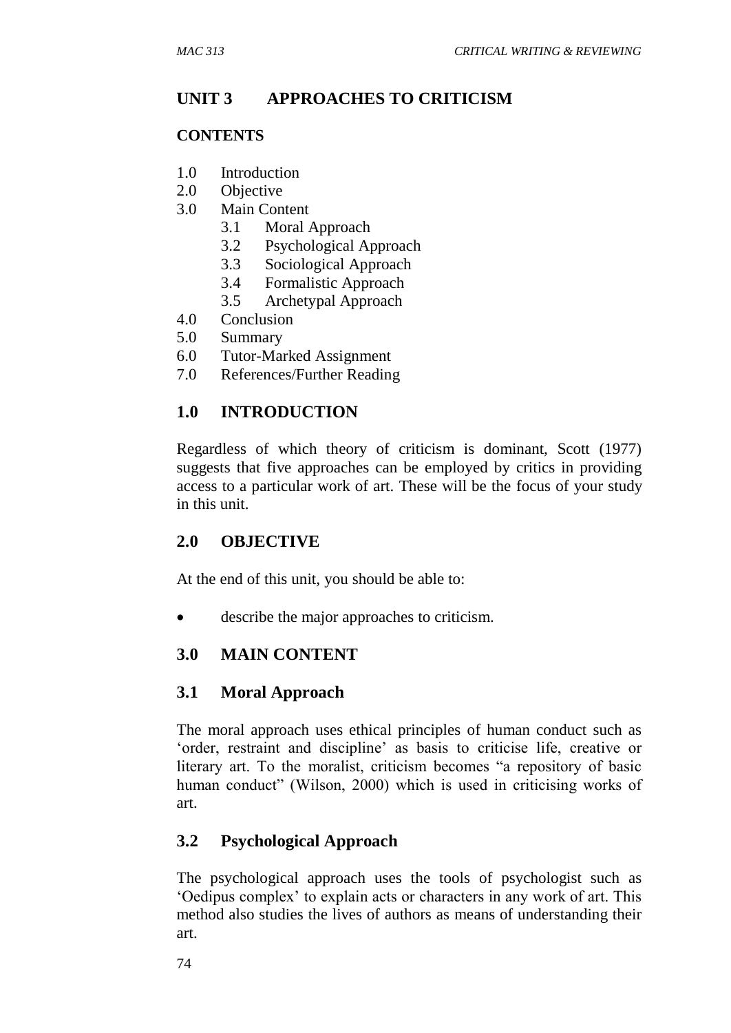#### **UNIT 3 APPROACHES TO CRITICISM**

#### **CONTENTS**

- 1.0 Introduction
- 2.0 Objective
- 3.0 Main Content
	- 3.1 Moral Approach
	- 3.2 Psychological Approach
	- 3.3 Sociological Approach
	- 3.4 Formalistic Approach
	- 3.5 Archetypal Approach
- 4.0 Conclusion
- 5.0 Summary
- 6.0 Tutor-Marked Assignment
- 7.0 References/Further Reading

#### **1.0 INTRODUCTION**

Regardless of which theory of criticism is dominant, Scott (1977) suggests that five approaches can be employed by critics in providing access to a particular work of art. These will be the focus of your study in this unit.

#### **2.0 OBJECTIVE**

At the end of this unit, you should be able to:

describe the major approaches to criticism.

#### **3.0 MAIN CONTENT**

#### **3.1 Moral Approach**

The moral approach uses ethical principles of human conduct such as 'order, restraint and discipline' as basis to criticise life, creative or literary art. To the moralist, criticism becomes "a repository of basic human conduct" (Wilson, 2000) which is used in criticising works of art.

#### **3.2 Psychological Approach**

The psychological approach uses the tools of psychologist such as 'Oedipus complex' to explain acts or characters in any work of art. This method also studies the lives of authors as means of understanding their art.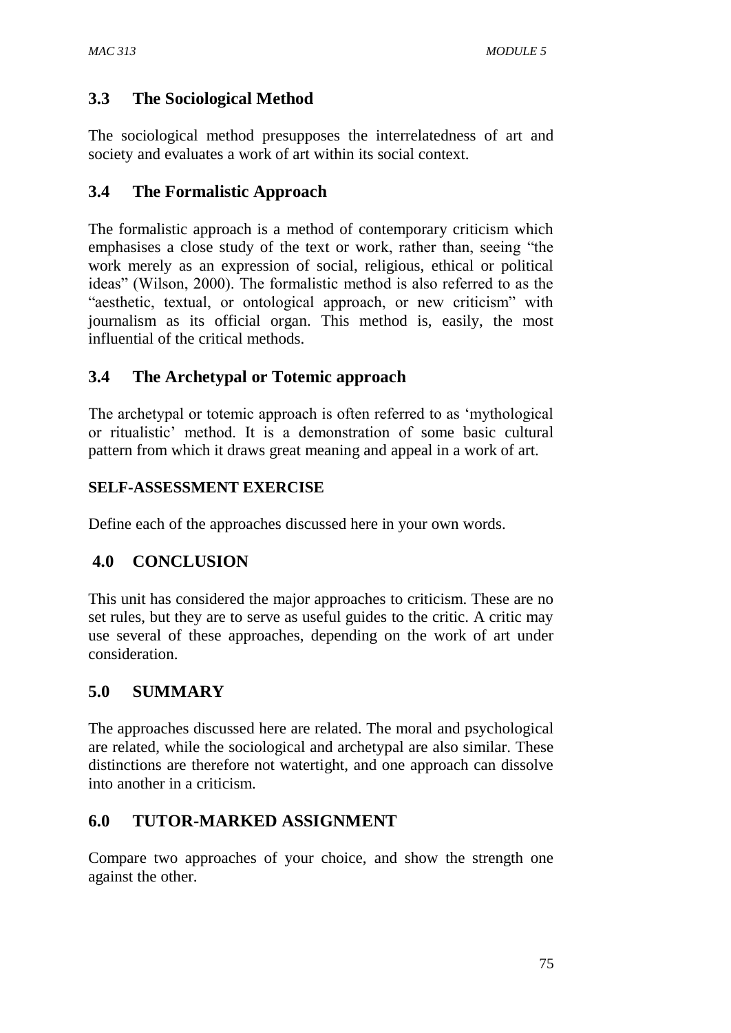## **3.3 The Sociological Method**

The sociological method presupposes the interrelatedness of art and society and evaluates a work of art within its social context.

#### **3.4 The Formalistic Approach**

The formalistic approach is a method of contemporary criticism which emphasises a close study of the text or work, rather than, seeing "the work merely as an expression of social, religious, ethical or political ideas" (Wilson, 2000). The formalistic method is also referred to as the "aesthetic, textual, or ontological approach, or new criticism" with journalism as its official organ. This method is, easily, the most influential of the critical methods.

#### **3.4 The Archetypal or Totemic approach**

The archetypal or totemic approach is often referred to as 'mythological or ritualistic' method. It is a demonstration of some basic cultural pattern from which it draws great meaning and appeal in a work of art.

#### **SELF-ASSESSMENT EXERCISE**

Define each of the approaches discussed here in your own words.

## **4.0 CONCLUSION**

This unit has considered the major approaches to criticism. These are no set rules, but they are to serve as useful guides to the critic. A critic may use several of these approaches, depending on the work of art under consideration.

## **5.0 SUMMARY**

The approaches discussed here are related. The moral and psychological are related, while the sociological and archetypal are also similar. These distinctions are therefore not watertight, and one approach can dissolve into another in a criticism.

#### **6.0 TUTOR-MARKED ASSIGNMENT**

Compare two approaches of your choice, and show the strength one against the other.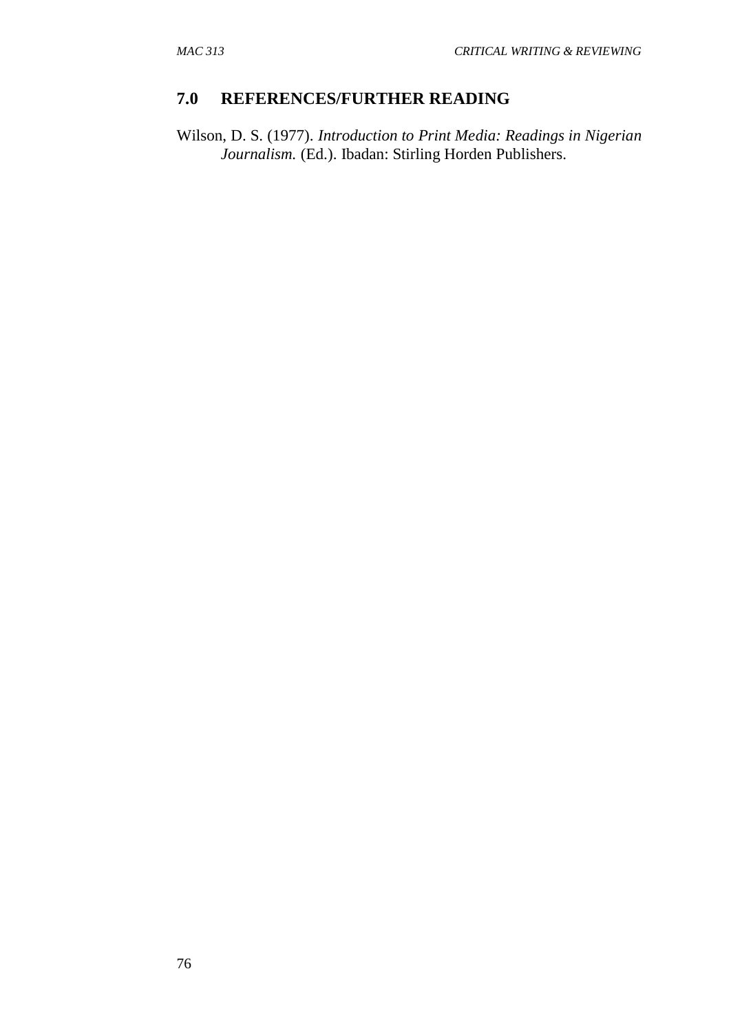#### **7.0 REFERENCES/FURTHER READING**

Wilson, D. S. (1977). *Introduction to Print Media: Readings in Nigerian Journalism.* (Ed.). Ibadan: Stirling Horden Publishers.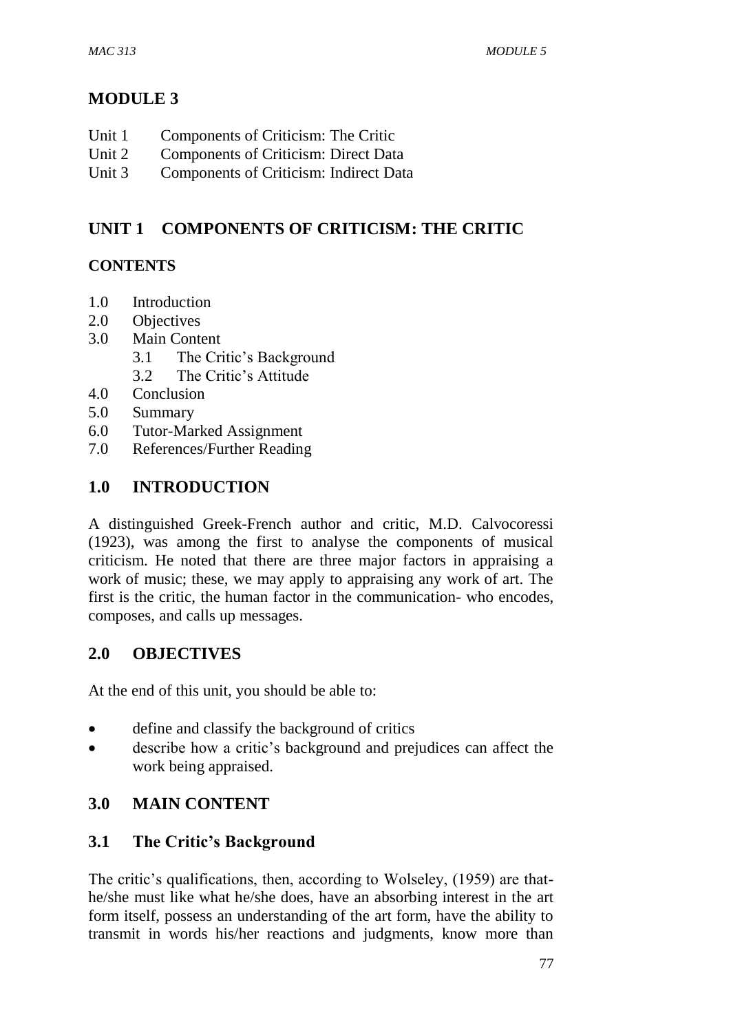## **MODULE 3**

- Unit 1 Components of Criticism: The Critic
- Unit 2 Components of Criticism: Direct Data
- Unit 3 Components of Criticism: Indirect Data

## **UNIT 1 COMPONENTS OF CRITICISM: THE CRITIC**

## **CONTENTS**

- 1.0 Introduction
- 2.0 Objectives
- 3.0 Main Content
	- 3.1 The Critic's Background
	- 3.2 The Critic's Attitude
- 4.0 Conclusion
- 5.0 Summary
- 6.0 Tutor-Marked Assignment
- 7.0 References/Further Reading

## **1.0 INTRODUCTION**

A distinguished Greek-French author and critic, M.D. Calvocoressi (1923), was among the first to analyse the components of musical criticism. He noted that there are three major factors in appraising a work of music; these, we may apply to appraising any work of art. The first is the critic, the human factor in the communication- who encodes, composes, and calls up messages.

## **2.0 OBJECTIVES**

At the end of this unit, you should be able to:

- define and classify the background of critics
- describe how a critic's background and prejudices can affect the work being appraised.

## **3.0 MAIN CONTENT**

## **3.1 The Critic's Background**

The critic's qualifications, then, according to Wolseley, (1959) are thathe/she must like what he/she does, have an absorbing interest in the art form itself, possess an understanding of the art form, have the ability to transmit in words his/her reactions and judgments, know more than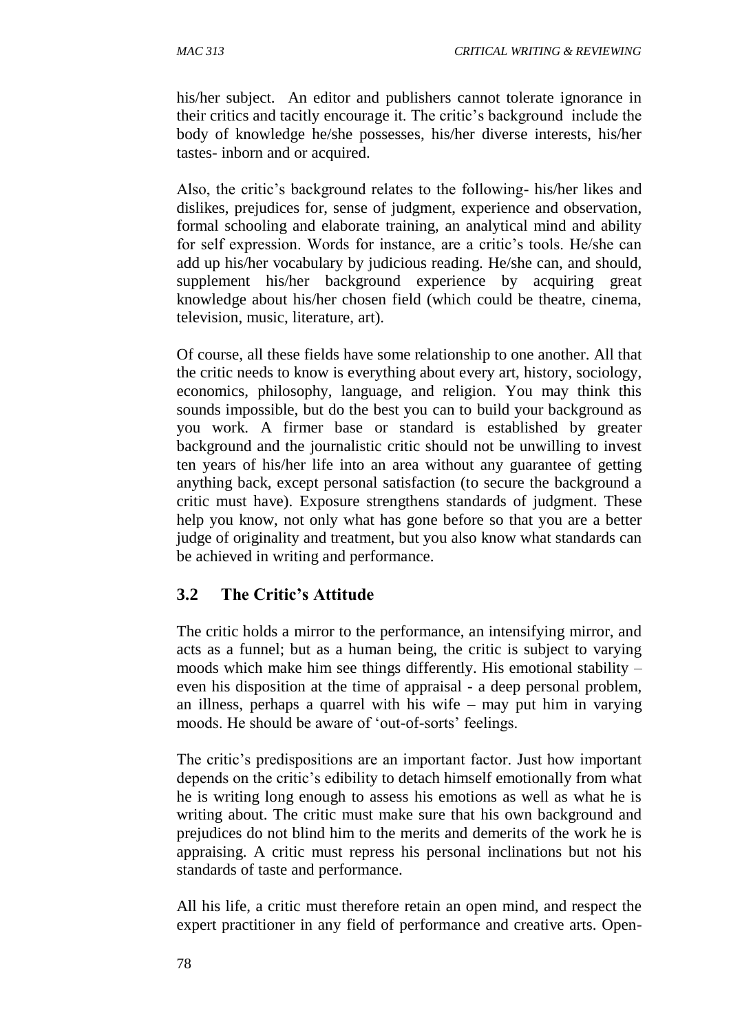his/her subject. An editor and publishers cannot tolerate ignorance in their critics and tacitly encourage it. The critic's background include the body of knowledge he/she possesses, his/her diverse interests, his/her tastes- inborn and or acquired.

Also, the critic's background relates to the following- his/her likes and dislikes, prejudices for, sense of judgment, experience and observation, formal schooling and elaborate training, an analytical mind and ability for self expression. Words for instance, are a critic's tools. He/she can add up his/her vocabulary by judicious reading. He/she can, and should, supplement his/her background experience by acquiring great knowledge about his/her chosen field (which could be theatre, cinema, television, music, literature, art).

Of course, all these fields have some relationship to one another. All that the critic needs to know is everything about every art, history, sociology, economics, philosophy, language, and religion. You may think this sounds impossible, but do the best you can to build your background as you work. A firmer base or standard is established by greater background and the journalistic critic should not be unwilling to invest ten years of his/her life into an area without any guarantee of getting anything back, except personal satisfaction (to secure the background a critic must have). Exposure strengthens standards of judgment. These help you know, not only what has gone before so that you are a better judge of originality and treatment, but you also know what standards can be achieved in writing and performance.

## **3.2 The Critic's Attitude**

The critic holds a mirror to the performance, an intensifying mirror, and acts as a funnel; but as a human being, the critic is subject to varying moods which make him see things differently. His emotional stability – even his disposition at the time of appraisal - a deep personal problem, an illness, perhaps a quarrel with his wife – may put him in varying moods. He should be aware of 'out-of-sorts' feelings.

The critic's predispositions are an important factor. Just how important depends on the critic's edibility to detach himself emotionally from what he is writing long enough to assess his emotions as well as what he is writing about. The critic must make sure that his own background and prejudices do not blind him to the merits and demerits of the work he is appraising. A critic must repress his personal inclinations but not his standards of taste and performance.

All his life, a critic must therefore retain an open mind, and respect the expert practitioner in any field of performance and creative arts. Open-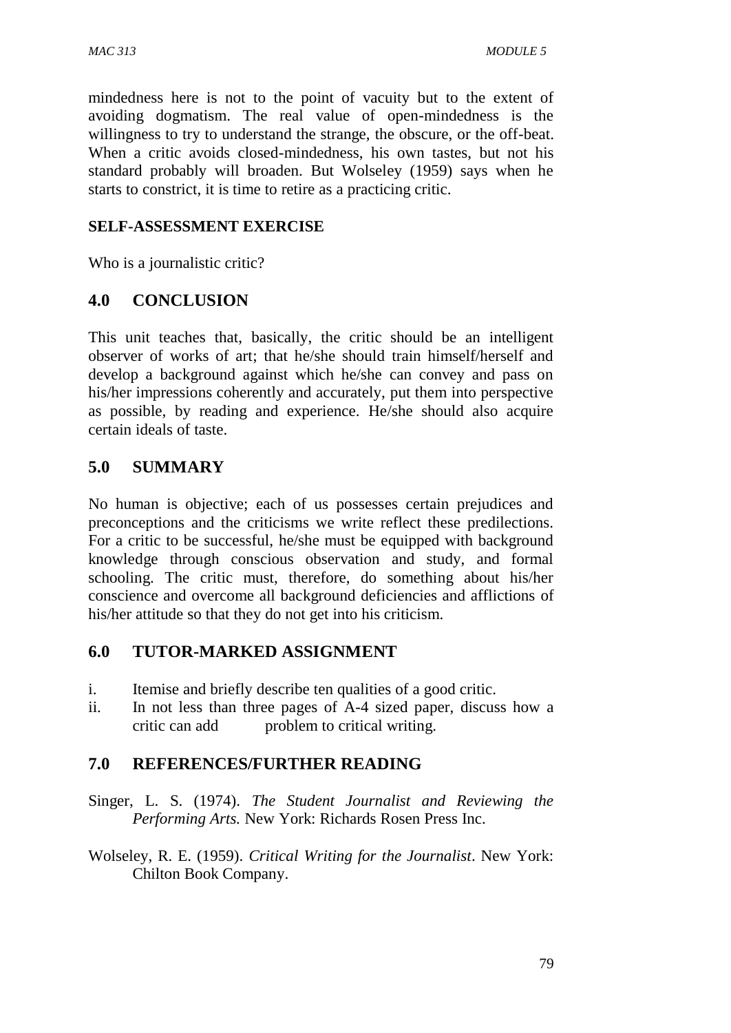mindedness here is not to the point of vacuity but to the extent of avoiding dogmatism. The real value of open-mindedness is the willingness to try to understand the strange, the obscure, or the off-beat. When a critic avoids closed-mindedness, his own tastes, but not his standard probably will broaden. But Wolseley (1959) says when he starts to constrict, it is time to retire as a practicing critic.

### **SELF-ASSESSMENT EXERCISE**

Who is a journalistic critic?

### **4.0 CONCLUSION**

This unit teaches that, basically, the critic should be an intelligent observer of works of art; that he/she should train himself/herself and develop a background against which he/she can convey and pass on his/her impressions coherently and accurately, put them into perspective as possible, by reading and experience. He/she should also acquire certain ideals of taste.

## **5.0 SUMMARY**

No human is objective; each of us possesses certain prejudices and preconceptions and the criticisms we write reflect these predilections. For a critic to be successful, he/she must be equipped with background knowledge through conscious observation and study, and formal schooling. The critic must, therefore, do something about his/her conscience and overcome all background deficiencies and afflictions of his/her attitude so that they do not get into his criticism.

#### **6.0 TUTOR-MARKED ASSIGNMENT**

- i. Itemise and briefly describe ten qualities of a good critic.
- ii. In not less than three pages of A-4 sized paper, discuss how a critic can add problem to critical writing.

## **7.0 REFERENCES/FURTHER READING**

- Singer, L. S. (1974). *The Student Journalist and Reviewing the Performing Arts.* New York: Richards Rosen Press Inc.
- Wolseley, R. E. (1959). *Critical Writing for the Journalist*. New York: Chilton Book Company.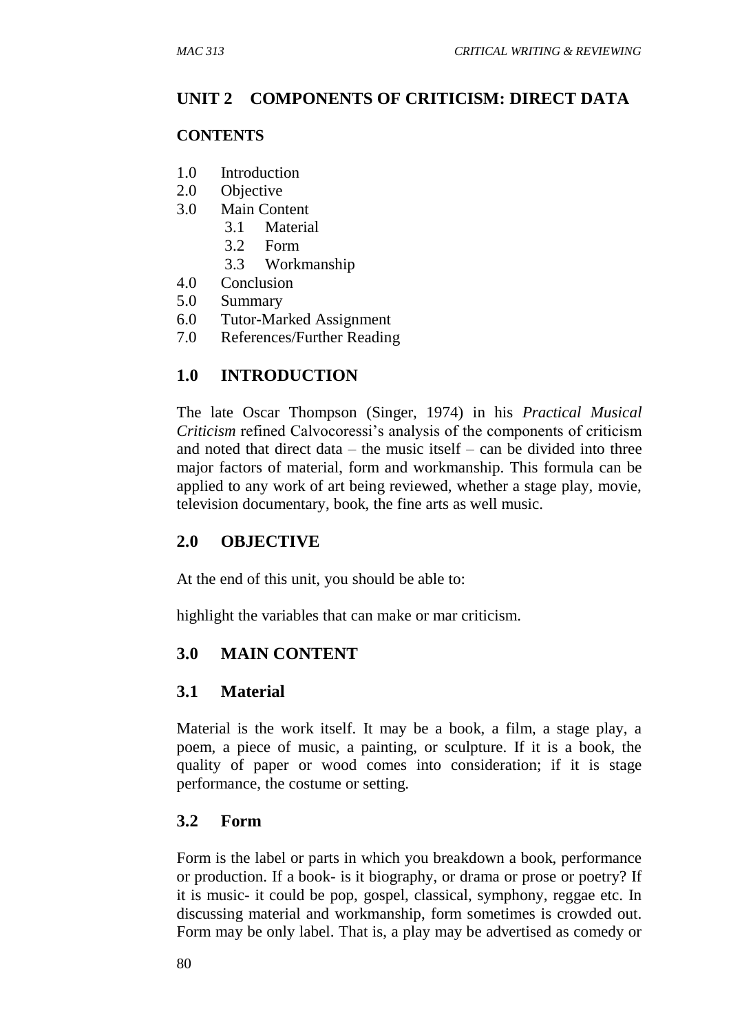## **UNIT 2 COMPONENTS OF CRITICISM: DIRECT DATA**

#### **CONTENTS**

- 1.0 Introduction
- 2.0 Objective
- 3.0 Main Content
	- 3.1 Material
	- 3.2 Form
	- 3.3 Workmanship
- 4.0 Conclusion
- 5.0 Summary
- 6.0 Tutor-Marked Assignment
- 7.0 References/Further Reading

## **1.0 INTRODUCTION**

The late Oscar Thompson (Singer, 1974) in his *Practical Musical Criticism* refined Calvocoressi's analysis of the components of criticism and noted that direct data – the music itself – can be divided into three major factors of material, form and workmanship. This formula can be applied to any work of art being reviewed, whether a stage play, movie, television documentary, book, the fine arts as well music.

## **2.0 OBJECTIVE**

At the end of this unit, you should be able to:

highlight the variables that can make or mar criticism.

## **3.0 MAIN CONTENT**

## **3.1 Material**

Material is the work itself. It may be a book, a film, a stage play, a poem, a piece of music, a painting, or sculpture. If it is a book, the quality of paper or wood comes into consideration; if it is stage performance, the costume or setting.

#### **3.2 Form**

Form is the label or parts in which you breakdown a book, performance or production. If a book- is it biography, or drama or prose or poetry? If it is music- it could be pop, gospel, classical, symphony, reggae etc. In discussing material and workmanship, form sometimes is crowded out. Form may be only label. That is, a play may be advertised as comedy or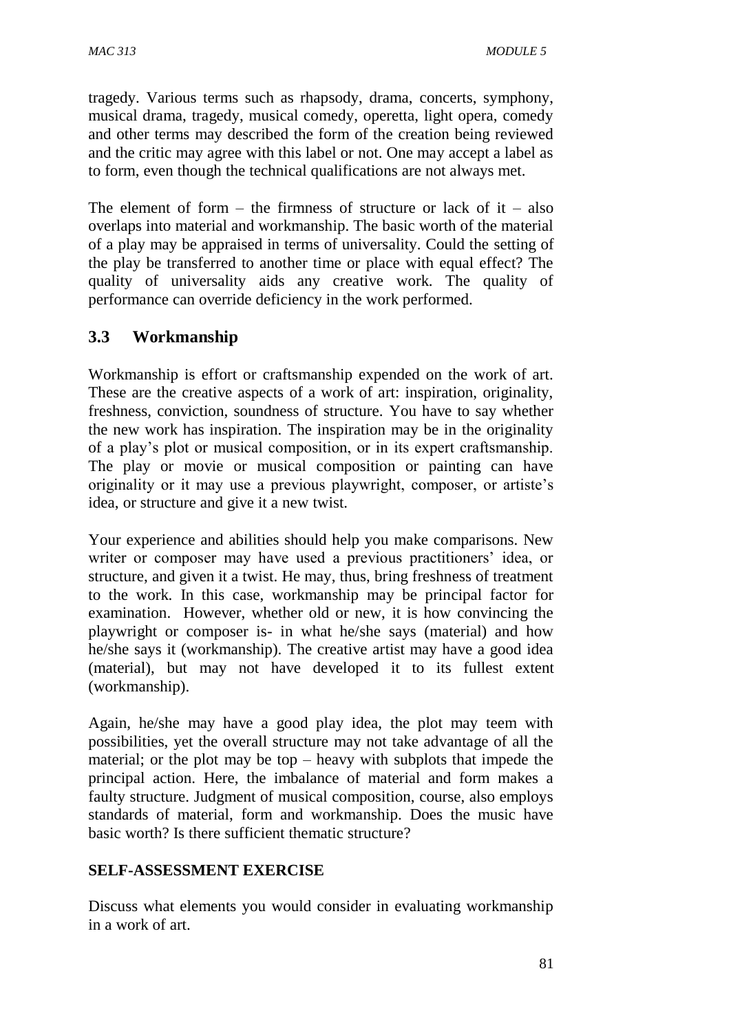tragedy. Various terms such as rhapsody, drama, concerts, symphony, musical drama, tragedy, musical comedy, operetta, light opera, comedy and other terms may described the form of the creation being reviewed and the critic may agree with this label or not. One may accept a label as to form, even though the technical qualifications are not always met.

The element of form  $-$  the firmness of structure or lack of it  $-$  also overlaps into material and workmanship. The basic worth of the material of a play may be appraised in terms of universality. Could the setting of the play be transferred to another time or place with equal effect? The quality of universality aids any creative work. The quality of performance can override deficiency in the work performed.

## **3.3 Workmanship**

Workmanship is effort or craftsmanship expended on the work of art. These are the creative aspects of a work of art: inspiration, originality, freshness, conviction, soundness of structure. You have to say whether the new work has inspiration. The inspiration may be in the originality of a play's plot or musical composition, or in its expert craftsmanship. The play or movie or musical composition or painting can have originality or it may use a previous playwright, composer, or artiste's idea, or structure and give it a new twist.

Your experience and abilities should help you make comparisons. New writer or composer may have used a previous practitioners' idea, or structure, and given it a twist. He may, thus, bring freshness of treatment to the work. In this case, workmanship may be principal factor for examination. However, whether old or new, it is how convincing the playwright or composer is- in what he/she says (material) and how he/she says it (workmanship). The creative artist may have a good idea (material), but may not have developed it to its fullest extent (workmanship).

Again, he/she may have a good play idea, the plot may teem with possibilities, yet the overall structure may not take advantage of all the material; or the plot may be top – heavy with subplots that impede the principal action. Here, the imbalance of material and form makes a faulty structure. Judgment of musical composition, course, also employs standards of material, form and workmanship. Does the music have basic worth? Is there sufficient thematic structure?

#### **SELF-ASSESSMENT EXERCISE**

Discuss what elements you would consider in evaluating workmanship in a work of art.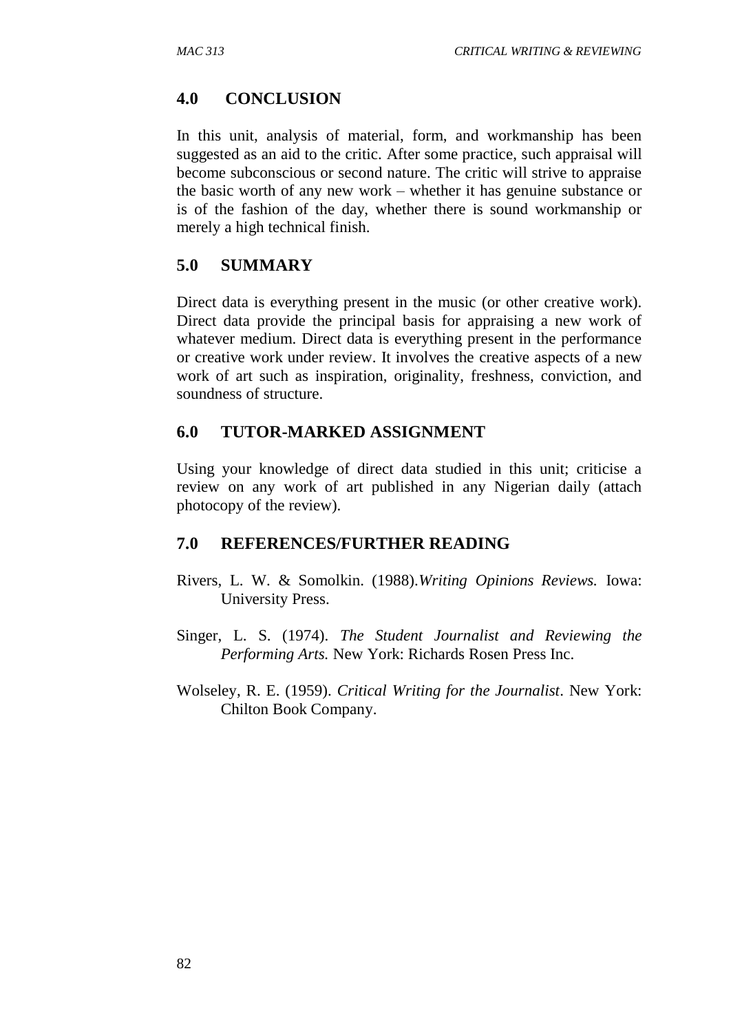### **4.0 CONCLUSION**

In this unit, analysis of material, form, and workmanship has been suggested as an aid to the critic. After some practice, such appraisal will become subconscious or second nature. The critic will strive to appraise the basic worth of any new work – whether it has genuine substance or is of the fashion of the day, whether there is sound workmanship or merely a high technical finish.

#### **5.0 SUMMARY**

Direct data is everything present in the music (or other creative work). Direct data provide the principal basis for appraising a new work of whatever medium. Direct data is everything present in the performance or creative work under review. It involves the creative aspects of a new work of art such as inspiration, originality, freshness, conviction, and soundness of structure.

#### **6.0 TUTOR-MARKED ASSIGNMENT**

Using your knowledge of direct data studied in this unit; criticise a review on any work of art published in any Nigerian daily (attach photocopy of the review).

#### **7.0 REFERENCES/FURTHER READING**

- Rivers, L. W. & Somolkin. (1988).*Writing Opinions Reviews.* Iowa: University Press.
- Singer, L. S. (1974). *The Student Journalist and Reviewing the Performing Arts.* New York: Richards Rosen Press Inc.
- Wolseley, R. E. (1959). *Critical Writing for the Journalist*. New York: Chilton Book Company.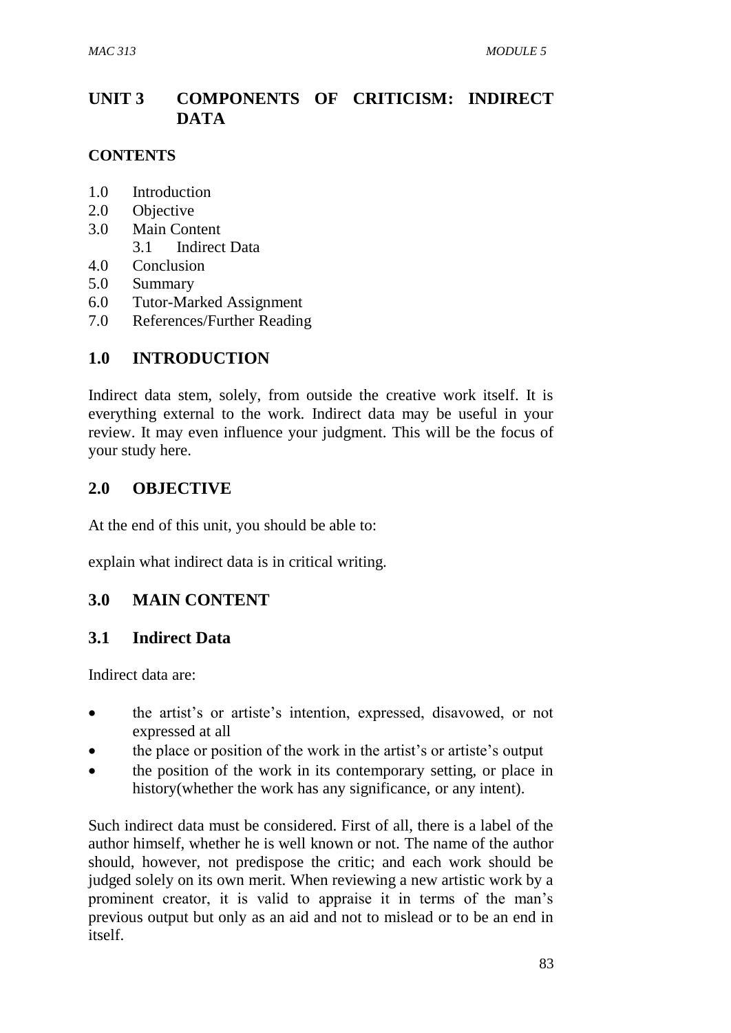# **UNIT 3 COMPONENTS OF CRITICISM: INDIRECT DATA**

### **CONTENTS**

- 1.0 Introduction
- 2.0 Objective
- 3.0 Main Content 3.1 Indirect Data
- 4.0 Conclusion
- 5.0 Summary
- 
- 6.0 Tutor-Marked Assignment
- 7.0 References/Further Reading

## **1.0 INTRODUCTION**

Indirect data stem, solely, from outside the creative work itself. It is everything external to the work. Indirect data may be useful in your review. It may even influence your judgment. This will be the focus of your study here.

## **2.0 OBJECTIVE**

At the end of this unit, you should be able to:

explain what indirect data is in critical writing.

## **3.0 MAIN CONTENT**

## **3.1 Indirect Data**

Indirect data are:

- the artist's or artiste's intention, expressed, disavowed, or not expressed at all
- the place or position of the work in the artist's or artiste's output
- the position of the work in its contemporary setting, or place in history(whether the work has any significance, or any intent).

Such indirect data must be considered. First of all, there is a label of the author himself, whether he is well known or not. The name of the author should, however, not predispose the critic; and each work should be judged solely on its own merit. When reviewing a new artistic work by a prominent creator, it is valid to appraise it in terms of the man's previous output but only as an aid and not to mislead or to be an end in itself.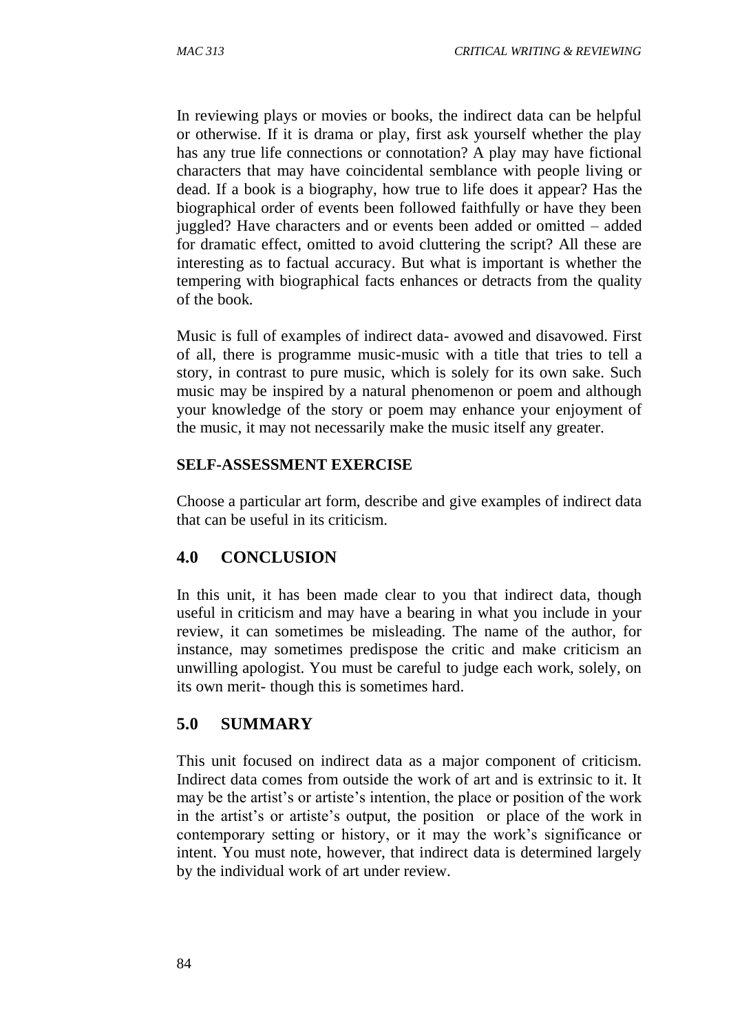In reviewing plays or movies or books, the indirect data can be helpful or otherwise. If it is drama or play, first ask yourself whether the play has any true life connections or connotation? A play may have fictional characters that may have coincidental semblance with people living or dead. If a book is a biography, how true to life does it appear? Has the biographical order of events been followed faithfully or have they been juggled? Have characters and or events been added or omitted – added for dramatic effect, omitted to avoid cluttering the script? All these are interesting as to factual accuracy. But what is important is whether the tempering with biographical facts enhances or detracts from the quality of the book.

Music is full of examples of indirect data- avowed and disavowed. First of all, there is programme music-music with a title that tries to tell a story, in contrast to pure music, which is solely for its own sake. Such music may be inspired by a natural phenomenon or poem and although your knowledge of the story or poem may enhance your enjoyment of the music, it may not necessarily make the music itself any greater.

#### **SELF-ASSESSMENT EXERCISE**

Choose a particular art form, describe and give examples of indirect data that can be useful in its criticism.

## **4.0 CONCLUSION**

In this unit, it has been made clear to you that indirect data, though useful in criticism and may have a bearing in what you include in your review, it can sometimes be misleading. The name of the author, for instance, may sometimes predispose the critic and make criticism an unwilling apologist. You must be careful to judge each work, solely, on its own merit- though this is sometimes hard.

## **5.0 SUMMARY**

This unit focused on indirect data as a major component of criticism. Indirect data comes from outside the work of art and is extrinsic to it. It may be the artist's or artiste's intention, the place or position of the work in the artist's or artiste's output, the position or place of the work in contemporary setting or history, or it may the work's significance or intent. You must note, however, that indirect data is determined largely by the individual work of art under review.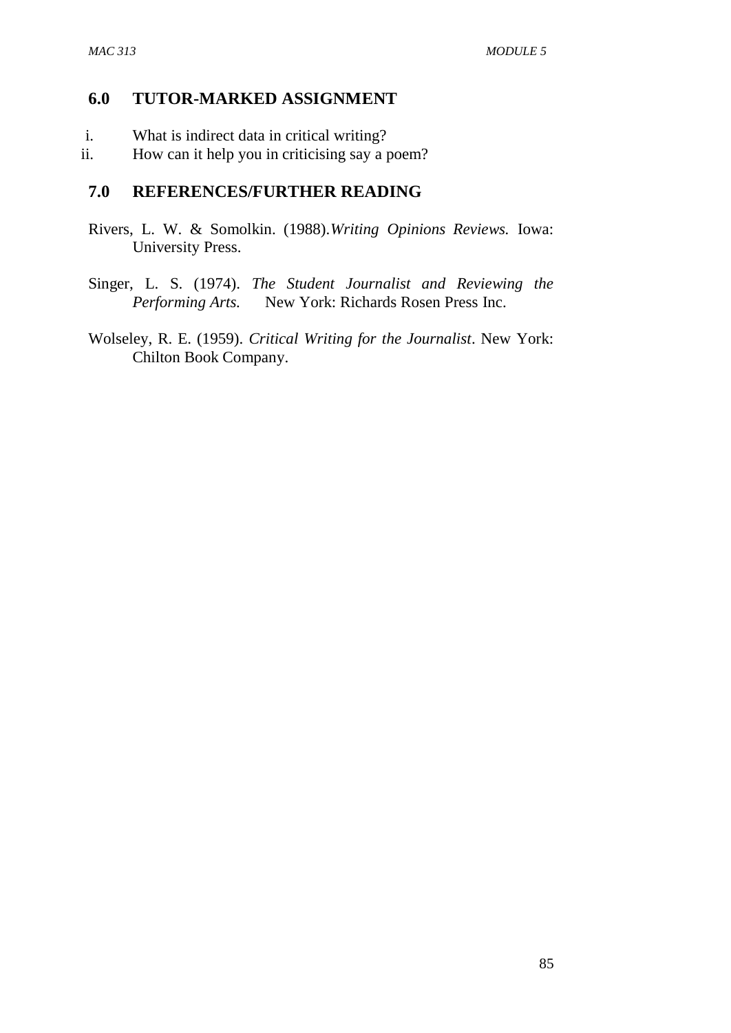#### **6.0 TUTOR-MARKED ASSIGNMENT**

- i. What is indirect data in critical writing?
- ii. How can it help you in criticising say a poem?

#### **7.0 REFERENCES/FURTHER READING**

- Rivers, L. W. & Somolkin. (1988).*Writing Opinions Reviews.* Iowa: University Press.
- Singer, L. S. (1974). *The Student Journalist and Reviewing the Performing Arts.* New York: Richards Rosen Press Inc.
- Wolseley, R. E. (1959). *Critical Writing for the Journalist*. New York: Chilton Book Company.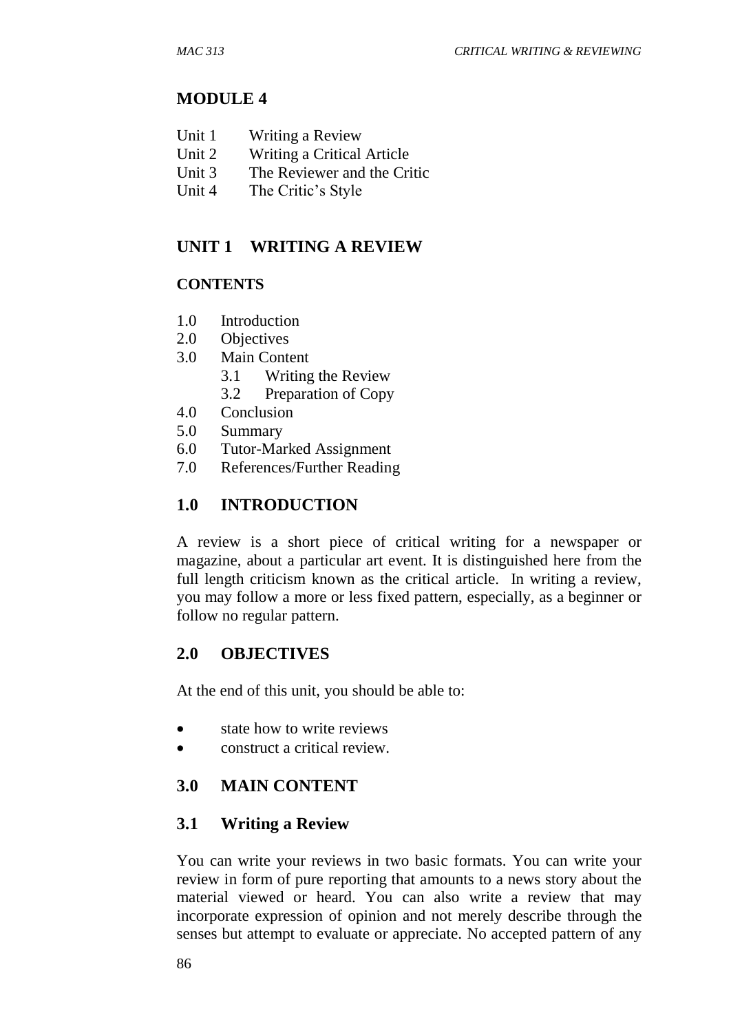## **MODULE 4**

- Unit 1 Writing a Review
- Unit 2 Writing a Critical Article
- Unit 3 The Reviewer and the Critic
- Unit 4 The Critic's Style

## **UNIT 1 WRITING A REVIEW**

## **CONTENTS**

- 1.0 Introduction
- 2.0 Objectives
- 3.0 Main Content
	- 3.1 Writing the Review
	- 3.2 Preparation of Copy
- 4.0 Conclusion
- 5.0 Summary
- 6.0 Tutor-Marked Assignment
- 7.0 References/Further Reading

## **1.0 INTRODUCTION**

A review is a short piece of critical writing for a newspaper or magazine, about a particular art event. It is distinguished here from the full length criticism known as the critical article. In writing a review, you may follow a more or less fixed pattern, especially, as a beginner or follow no regular pattern.

## **2.0 OBJECTIVES**

At the end of this unit, you should be able to:

- state how to write reviews
- construct a critical review.

## **3.0 MAIN CONTENT**

## **3.1 Writing a Review**

You can write your reviews in two basic formats. You can write your review in form of pure reporting that amounts to a news story about the material viewed or heard. You can also write a review that may incorporate expression of opinion and not merely describe through the senses but attempt to evaluate or appreciate. No accepted pattern of any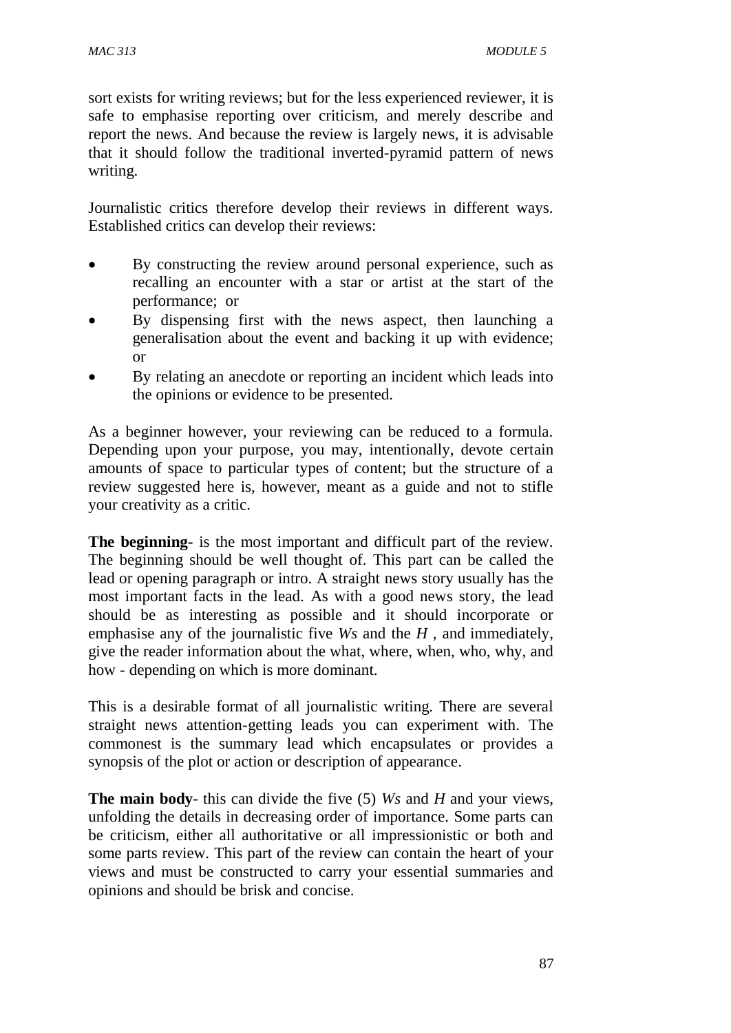sort exists for writing reviews; but for the less experienced reviewer, it is safe to emphasise reporting over criticism, and merely describe and report the news. And because the review is largely news, it is advisable that it should follow the traditional inverted-pyramid pattern of news writing.

Journalistic critics therefore develop their reviews in different ways. Established critics can develop their reviews:

- By constructing the review around personal experience, such as recalling an encounter with a star or artist at the start of the performance; or
- By dispensing first with the news aspect, then launching a generalisation about the event and backing it up with evidence; or
- By relating an anecdote or reporting an incident which leads into the opinions or evidence to be presented.

As a beginner however, your reviewing can be reduced to a formula. Depending upon your purpose, you may, intentionally, devote certain amounts of space to particular types of content; but the structure of a review suggested here is, however, meant as a guide and not to stifle your creativity as a critic.

**The beginning***-* is the most important and difficult part of the review. The beginning should be well thought of. This part can be called the lead or opening paragraph or intro. A straight news story usually has the most important facts in the lead. As with a good news story, the lead should be as interesting as possible and it should incorporate or emphasise any of the journalistic five *Ws* and the *H* , and immediately, give the reader information about the what, where, when, who, why, and how - depending on which is more dominant.

This is a desirable format of all journalistic writing. There are several straight news attention-getting leads you can experiment with. The commonest is the summary lead which encapsulates or provides a synopsis of the plot or action or description of appearance.

**The main body**- this can divide the five (5) *Ws* and *H* and your views, unfolding the details in decreasing order of importance. Some parts can be criticism, either all authoritative or all impressionistic or both and some parts review. This part of the review can contain the heart of your views and must be constructed to carry your essential summaries and opinions and should be brisk and concise.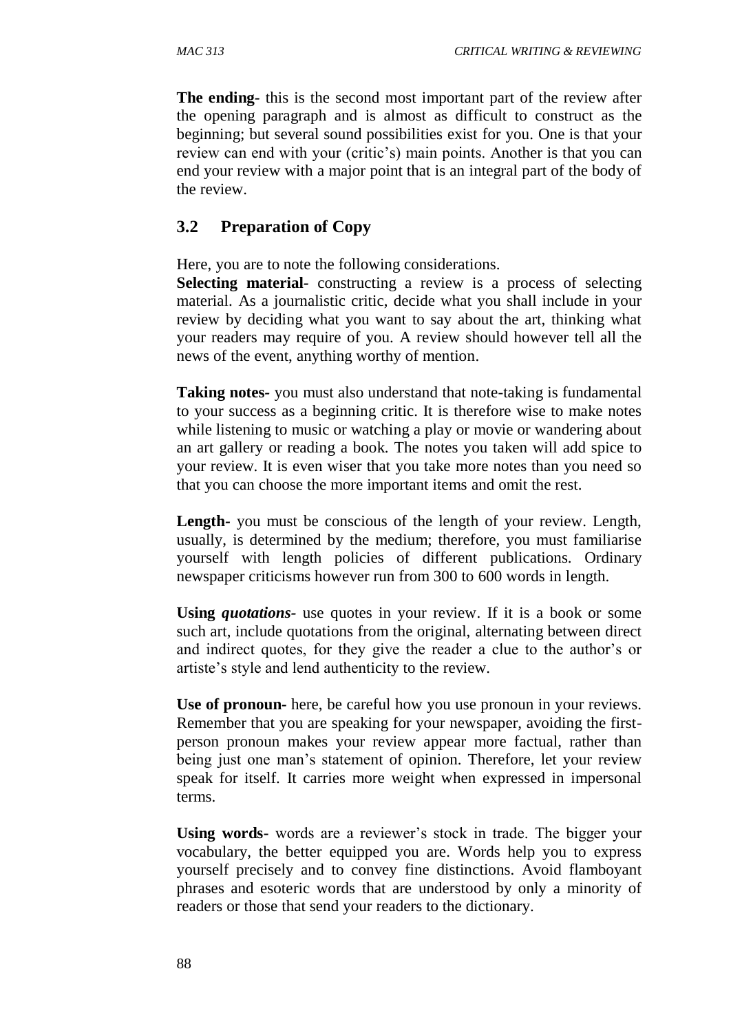**The ending***-* this is the second most important part of the review after the opening paragraph and is almost as difficult to construct as the beginning; but several sound possibilities exist for you. One is that your review can end with your (critic's) main points. Another is that you can end your review with a major point that is an integral part of the body of the review.

### **3.2 Preparation of Copy**

Here, you are to note the following considerations.

**Selecting material***-* constructing a review is a process of selecting material. As a journalistic critic, decide what you shall include in your review by deciding what you want to say about the art, thinking what your readers may require of you. A review should however tell all the news of the event, anything worthy of mention.

**Taking notes***-* you must also understand that note-taking is fundamental to your success as a beginning critic. It is therefore wise to make notes while listening to music or watching a play or movie or wandering about an art gallery or reading a book. The notes you taken will add spice to your review. It is even wiser that you take more notes than you need so that you can choose the more important items and omit the rest.

**Length***-* you must be conscious of the length of your review. Length, usually, is determined by the medium; therefore, you must familiarise yourself with length policies of different publications. Ordinary newspaper criticisms however run from 300 to 600 words in length.

**Using** *quotations-* use quotes in your review. If it is a book or some such art, include quotations from the original, alternating between direct and indirect quotes, for they give the reader a clue to the author's or artiste's style and lend authenticity to the review.

**Use of pronoun***-* here, be careful how you use pronoun in your reviews. Remember that you are speaking for your newspaper, avoiding the firstperson pronoun makes your review appear more factual, rather than being just one man's statement of opinion. Therefore, let your review speak for itself. It carries more weight when expressed in impersonal terms.

**Using words-** words are a reviewer's stock in trade. The bigger your vocabulary, the better equipped you are. Words help you to express yourself precisely and to convey fine distinctions. Avoid flamboyant phrases and esoteric words that are understood by only a minority of readers or those that send your readers to the dictionary.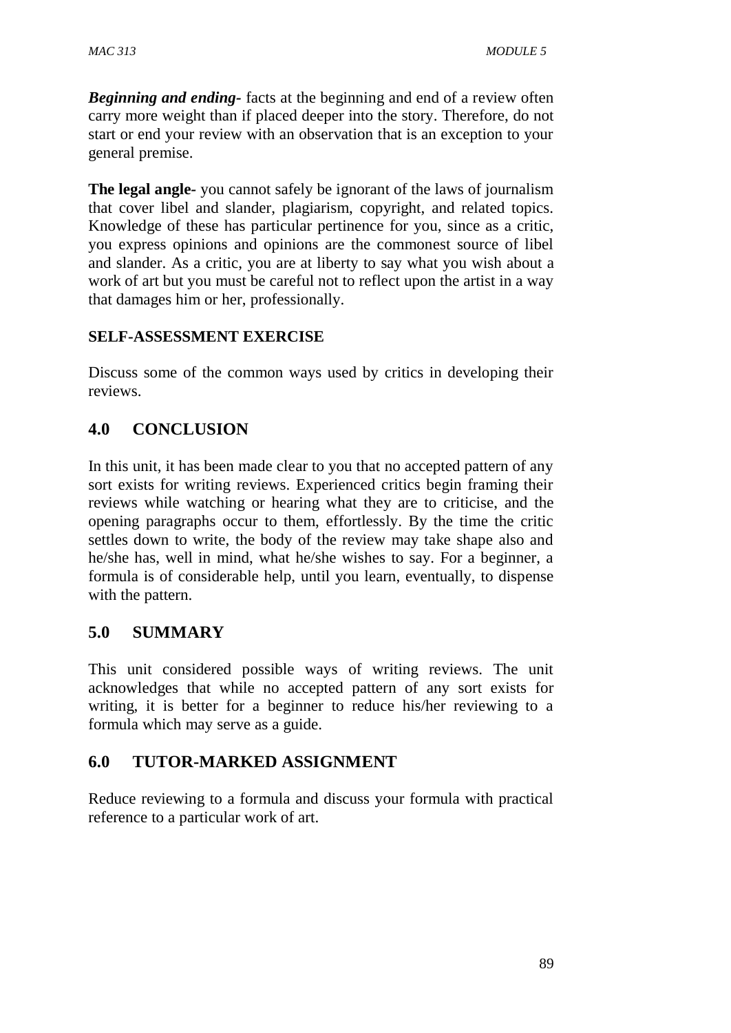*Beginning and ending-* facts at the beginning and end of a review often carry more weight than if placed deeper into the story. Therefore, do not start or end your review with an observation that is an exception to your general premise.

**The legal angle***-* you cannot safely be ignorant of the laws of journalism that cover libel and slander, plagiarism, copyright, and related topics. Knowledge of these has particular pertinence for you, since as a critic, you express opinions and opinions are the commonest source of libel and slander. As a critic, you are at liberty to say what you wish about a work of art but you must be careful not to reflect upon the artist in a way that damages him or her, professionally.

## **SELF-ASSESSMENT EXERCISE**

Discuss some of the common ways used by critics in developing their reviews.

## **4.0 CONCLUSION**

In this unit, it has been made clear to you that no accepted pattern of any sort exists for writing reviews. Experienced critics begin framing their reviews while watching or hearing what they are to criticise, and the opening paragraphs occur to them, effortlessly. By the time the critic settles down to write, the body of the review may take shape also and he/she has, well in mind, what he/she wishes to say. For a beginner, a formula is of considerable help, until you learn, eventually, to dispense with the pattern.

## **5.0 SUMMARY**

This unit considered possible ways of writing reviews. The unit acknowledges that while no accepted pattern of any sort exists for writing, it is better for a beginner to reduce his/her reviewing to a formula which may serve as a guide.

## **6.0 TUTOR-MARKED ASSIGNMENT**

Reduce reviewing to a formula and discuss your formula with practical reference to a particular work of art.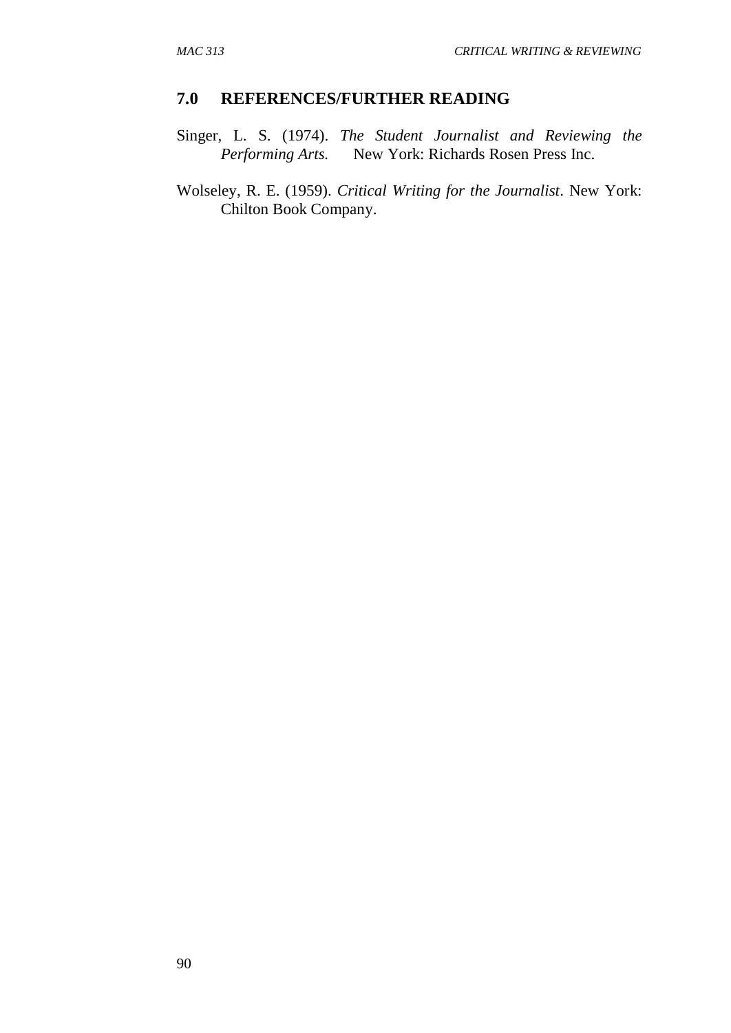#### **7.0 REFERENCES/FURTHER READING**

Singer, L. S. (1974). *The Student Journalist and Reviewing the Performing Arts.* New York: Richards Rosen Press Inc.

Wolseley, R. E. (1959). *Critical Writing for the Journalist*. New York: Chilton Book Company.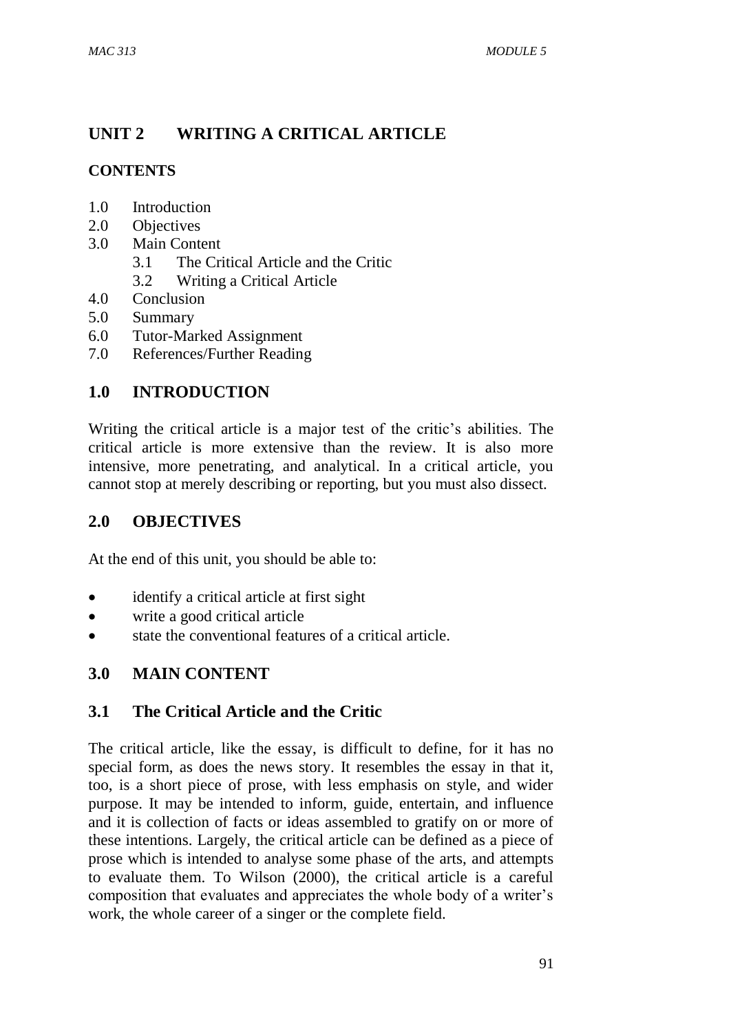# **UNIT 2 WRITING A CRITICAL ARTICLE**

## **CONTENTS**

- 1.0 Introduction
- 2.0 Objectives
- 3.0 Main Content
	- 3.1 The Critical Article and the Critic
	- 3.2 Writing a Critical Article
- 4.0 Conclusion
- 5.0 Summary
- 6.0 Tutor-Marked Assignment
- 7.0 References/Further Reading

## **1.0 INTRODUCTION**

Writing the critical article is a major test of the critic's abilities. The critical article is more extensive than the review. It is also more intensive, more penetrating, and analytical. In a critical article, you cannot stop at merely describing or reporting, but you must also dissect.

## **2.0 OBJECTIVES**

At the end of this unit, you should be able to:

- identify a critical article at first sight
- write a good critical article
- state the conventional features of a critical article.

## **3.0 MAIN CONTENT**

## **3.1 The Critical Article and the Critic**

The critical article, like the essay, is difficult to define, for it has no special form, as does the news story. It resembles the essay in that it, too, is a short piece of prose, with less emphasis on style, and wider purpose. It may be intended to inform, guide, entertain, and influence and it is collection of facts or ideas assembled to gratify on or more of these intentions. Largely, the critical article can be defined as a piece of prose which is intended to analyse some phase of the arts, and attempts to evaluate them. To Wilson (2000), the critical article is a careful composition that evaluates and appreciates the whole body of a writer's work, the whole career of a singer or the complete field.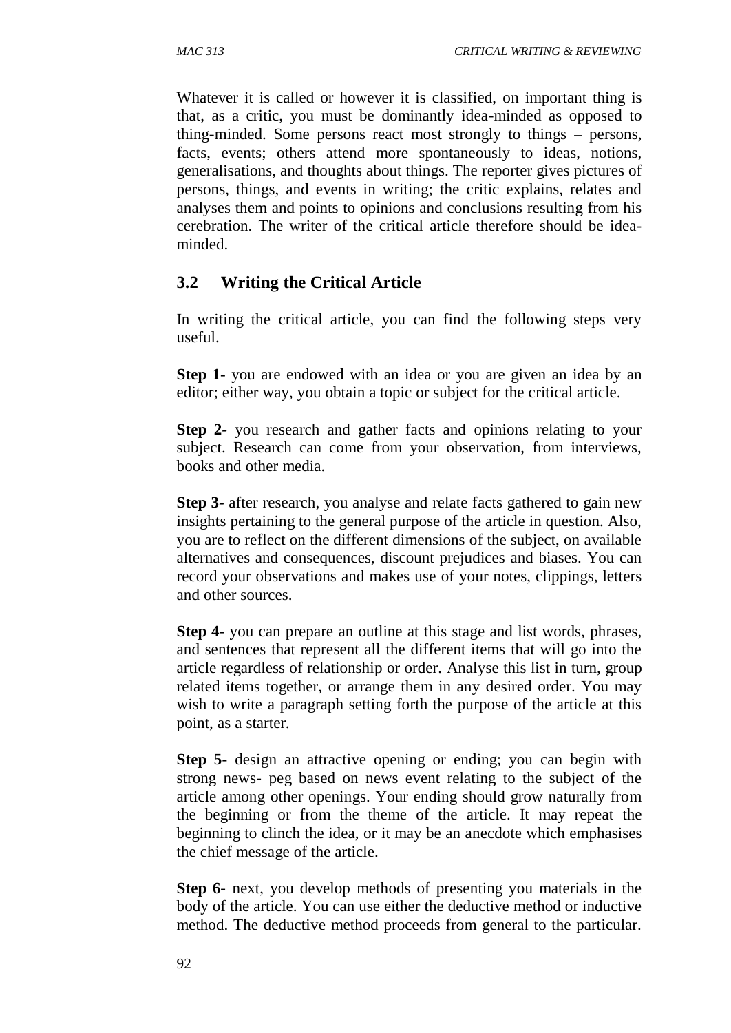Whatever it is called or however it is classified, on important thing is that, as a critic, you must be dominantly idea-minded as opposed to thing-minded. Some persons react most strongly to things – persons, facts, events; others attend more spontaneously to ideas, notions, generalisations, and thoughts about things. The reporter gives pictures of persons, things, and events in writing; the critic explains, relates and analyses them and points to opinions and conclusions resulting from his cerebration. The writer of the critical article therefore should be ideaminded.

## **3.2 Writing the Critical Article**

In writing the critical article, you can find the following steps very useful.

**Step 1-** you are endowed with an idea or you are given an idea by an editor; either way, you obtain a topic or subject for the critical article.

**Step 2***-* you research and gather facts and opinions relating to your subject. Research can come from your observation, from interviews, books and other media.

**Step 3***-* after research, you analyse and relate facts gathered to gain new insights pertaining to the general purpose of the article in question. Also, you are to reflect on the different dimensions of the subject, on available alternatives and consequences, discount prejudices and biases. You can record your observations and makes use of your notes, clippings, letters and other sources.

**Step 4***-* you can prepare an outline at this stage and list words, phrases, and sentences that represent all the different items that will go into the article regardless of relationship or order. Analyse this list in turn, group related items together, or arrange them in any desired order. You may wish to write a paragraph setting forth the purpose of the article at this point, as a starter.

**Step 5-** design an attractive opening or ending; you can begin with strong news- peg based on news event relating to the subject of the article among other openings. Your ending should grow naturally from the beginning or from the theme of the article. It may repeat the beginning to clinch the idea, or it may be an anecdote which emphasises the chief message of the article.

**Step 6-** next, you develop methods of presenting you materials in the body of the article. You can use either the deductive method or inductive method. The deductive method proceeds from general to the particular.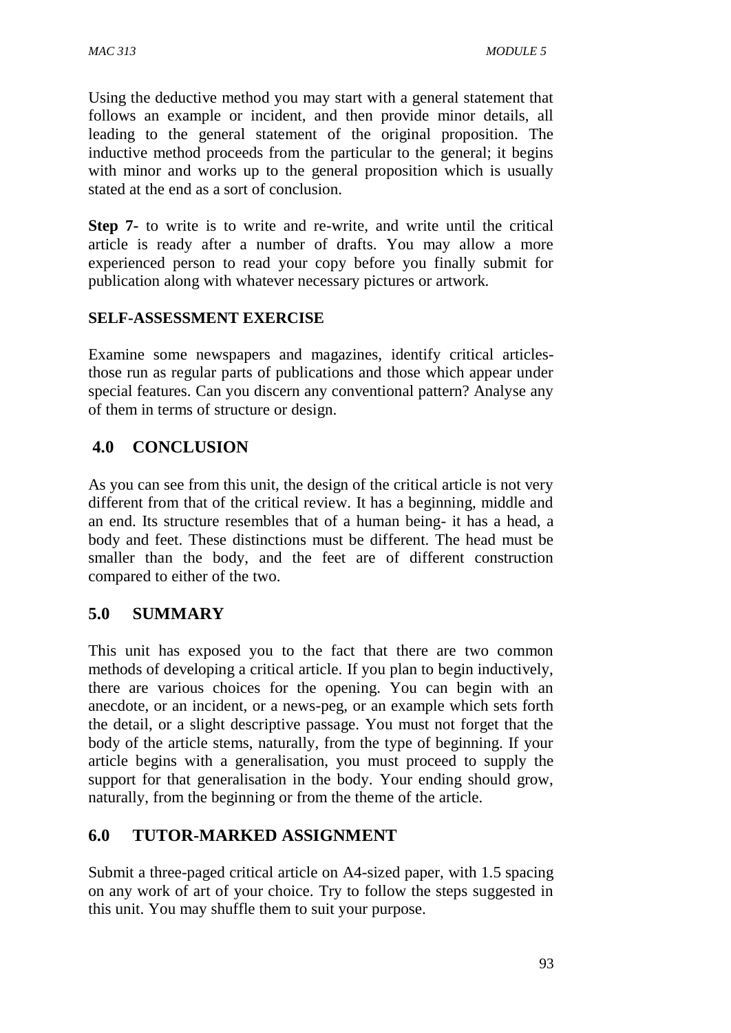Using the deductive method you may start with a general statement that follows an example or incident, and then provide minor details, all leading to the general statement of the original proposition. The inductive method proceeds from the particular to the general; it begins with minor and works up to the general proposition which is usually stated at the end as a sort of conclusion.

**Step 7-** to write is to write and re-write, and write until the critical article is ready after a number of drafts. You may allow a more experienced person to read your copy before you finally submit for publication along with whatever necessary pictures or artwork.

### **SELF-ASSESSMENT EXERCISE**

Examine some newspapers and magazines, identify critical articlesthose run as regular parts of publications and those which appear under special features. Can you discern any conventional pattern? Analyse any of them in terms of structure or design.

## **4.0 CONCLUSION**

As you can see from this unit, the design of the critical article is not very different from that of the critical review. It has a beginning, middle and an end. Its structure resembles that of a human being- it has a head, a body and feet. These distinctions must be different. The head must be smaller than the body, and the feet are of different construction compared to either of the two.

## **5.0 SUMMARY**

This unit has exposed you to the fact that there are two common methods of developing a critical article. If you plan to begin inductively, there are various choices for the opening. You can begin with an anecdote, or an incident, or a news-peg, or an example which sets forth the detail, or a slight descriptive passage. You must not forget that the body of the article stems, naturally, from the type of beginning. If your article begins with a generalisation, you must proceed to supply the support for that generalisation in the body. Your ending should grow, naturally, from the beginning or from the theme of the article.

## **6.0 TUTOR-MARKED ASSIGNMENT**

Submit a three-paged critical article on A4-sized paper, with 1.5 spacing on any work of art of your choice. Try to follow the steps suggested in this unit. You may shuffle them to suit your purpose.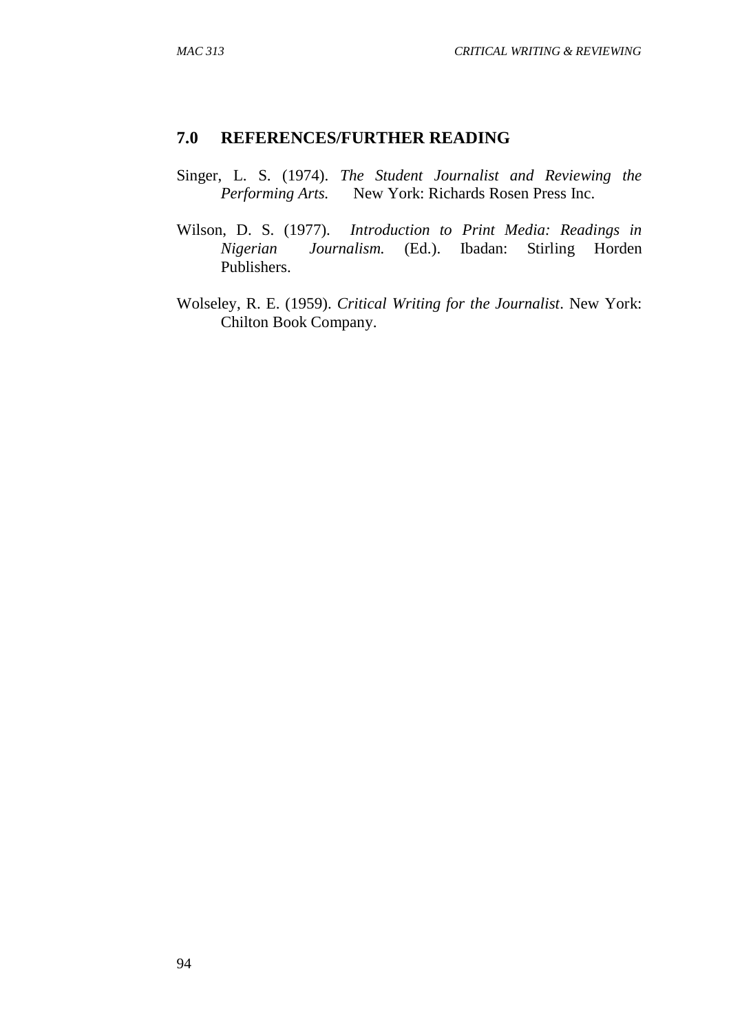### **7.0 REFERENCES/FURTHER READING**

- Singer, L. S. (1974). *The Student Journalist and Reviewing the Performing Arts.* New York: Richards Rosen Press Inc.
- Wilson, D. S. (1977). *Introduction to Print Media: Readings in Nigerian Journalism.* (Ed.). Ibadan: Stirling Horden Publishers.
- Wolseley, R. E. (1959). *Critical Writing for the Journalist*. New York: Chilton Book Company.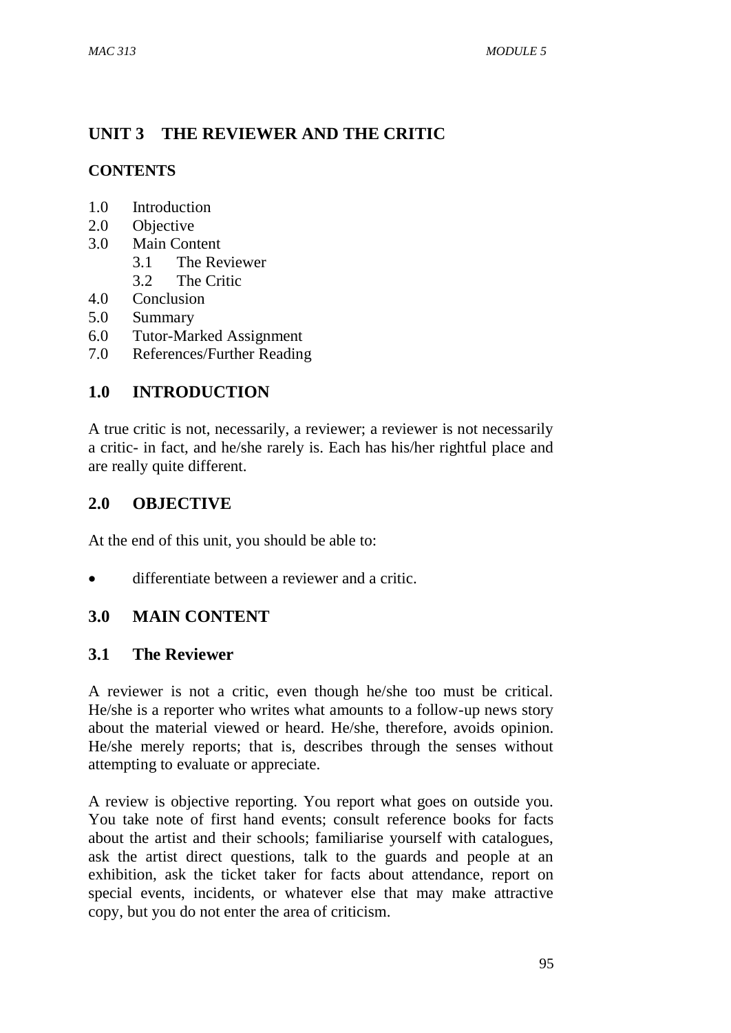# **UNIT 3 THE REVIEWER AND THE CRITIC**

## **CONTENTS**

- 1.0 Introduction
- 2.0 Objective
- 3.0 Main Content
	- 3.1 The Reviewer
	- 3.2 The Critic
- 4.0 Conclusion
- 5.0 Summary
- 6.0 Tutor-Marked Assignment
- 7.0 References/Further Reading

## **1.0 INTRODUCTION**

A true critic is not, necessarily, a reviewer; a reviewer is not necessarily a critic- in fact, and he/she rarely is. Each has his/her rightful place and are really quite different.

## **2.0 OBJECTIVE**

At the end of this unit, you should be able to:

differentiate between a reviewer and a critic.

## **3.0 MAIN CONTENT**

## **3.1 The Reviewer**

A reviewer is not a critic, even though he/she too must be critical. He/she is a reporter who writes what amounts to a follow-up news story about the material viewed or heard. He/she, therefore, avoids opinion. He/she merely reports; that is, describes through the senses without attempting to evaluate or appreciate.

A review is objective reporting. You report what goes on outside you. You take note of first hand events; consult reference books for facts about the artist and their schools; familiarise yourself with catalogues, ask the artist direct questions, talk to the guards and people at an exhibition, ask the ticket taker for facts about attendance, report on special events, incidents, or whatever else that may make attractive copy, but you do not enter the area of criticism.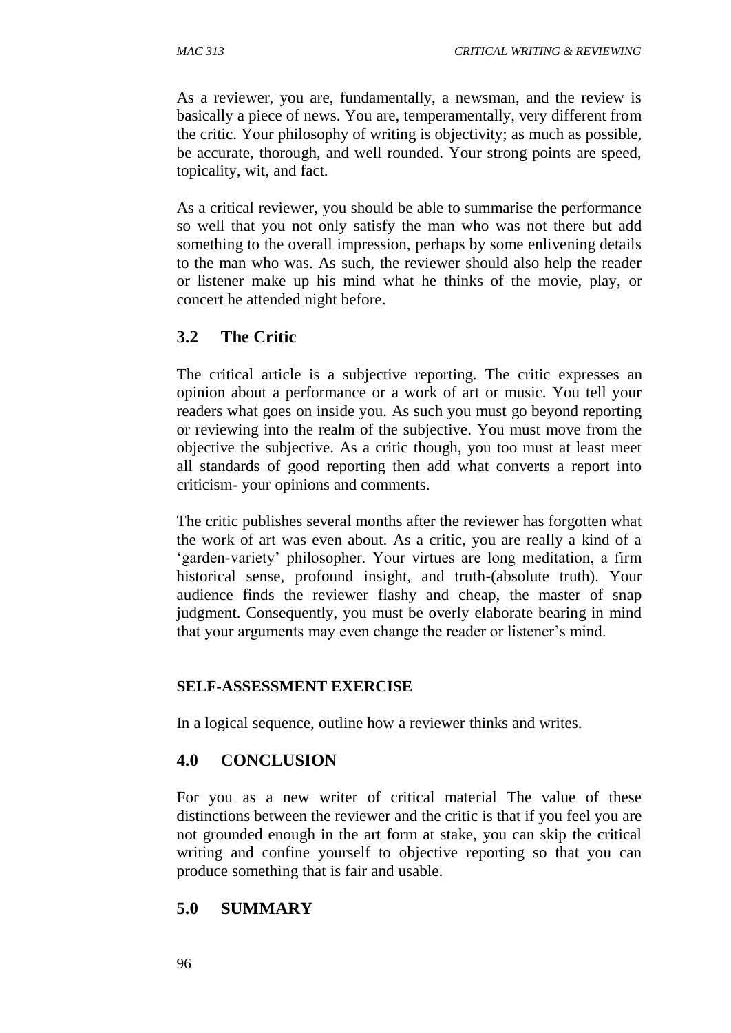As a reviewer, you are, fundamentally, a newsman, and the review is basically a piece of news. You are, temperamentally, very different from the critic. Your philosophy of writing is objectivity; as much as possible, be accurate, thorough, and well rounded. Your strong points are speed, topicality, wit, and fact.

As a critical reviewer, you should be able to summarise the performance so well that you not only satisfy the man who was not there but add something to the overall impression, perhaps by some enlivening details to the man who was. As such, the reviewer should also help the reader or listener make up his mind what he thinks of the movie, play, or concert he attended night before.

## **3.2 The Critic**

The critical article is a subjective reporting. The critic expresses an opinion about a performance or a work of art or music. You tell your readers what goes on inside you. As such you must go beyond reporting or reviewing into the realm of the subjective. You must move from the objective the subjective. As a critic though, you too must at least meet all standards of good reporting then add what converts a report into criticism- your opinions and comments.

The critic publishes several months after the reviewer has forgotten what the work of art was even about. As a critic, you are really a kind of a 'garden-variety' philosopher. Your virtues are long meditation, a firm historical sense, profound insight, and truth-(absolute truth). Your audience finds the reviewer flashy and cheap, the master of snap judgment. Consequently, you must be overly elaborate bearing in mind that your arguments may even change the reader or listener's mind.

#### **SELF-ASSESSMENT EXERCISE**

In a logical sequence, outline how a reviewer thinks and writes.

## **4.0 CONCLUSION**

For you as a new writer of critical material The value of these distinctions between the reviewer and the critic is that if you feel you are not grounded enough in the art form at stake, you can skip the critical writing and confine yourself to objective reporting so that you can produce something that is fair and usable.

## **5.0 SUMMARY**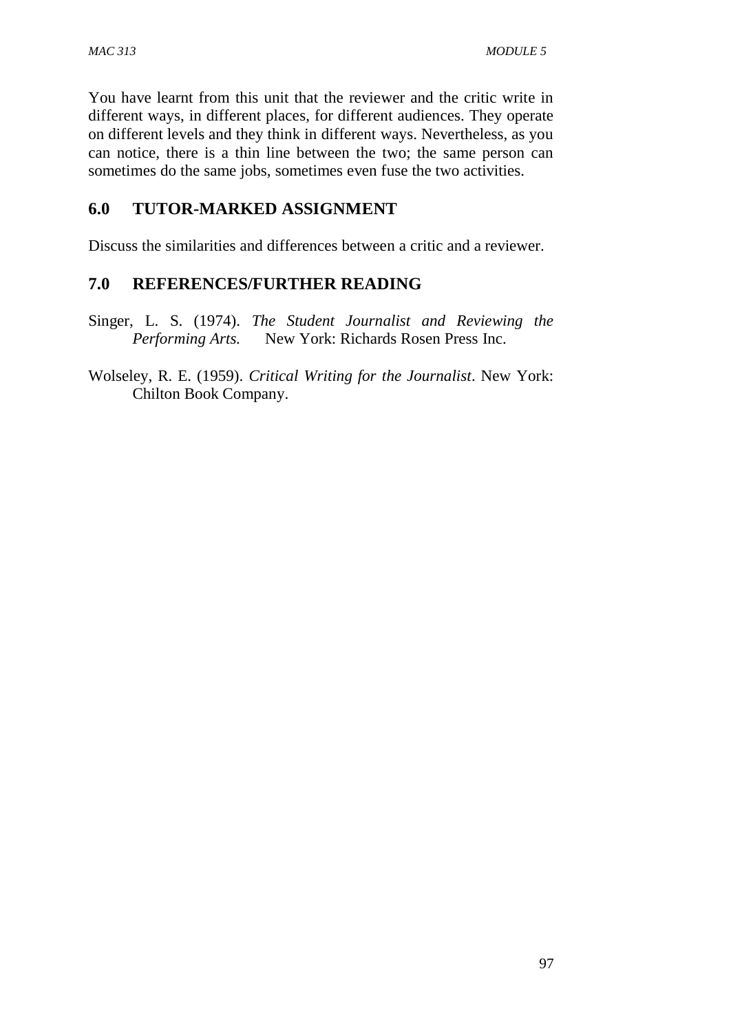You have learnt from this unit that the reviewer and the critic write in different ways, in different places, for different audiences. They operate on different levels and they think in different ways. Nevertheless, as you can notice, there is a thin line between the two; the same person can sometimes do the same jobs, sometimes even fuse the two activities.

## **6.0 TUTOR-MARKED ASSIGNMENT**

Discuss the similarities and differences between a critic and a reviewer.

### **7.0 REFERENCES/FURTHER READING**

Singer, L. S. (1974). *The Student Journalist and Reviewing the Performing Arts.* New York: Richards Rosen Press Inc.

Wolseley, R. E. (1959). *Critical Writing for the Journalist*. New York: Chilton Book Company.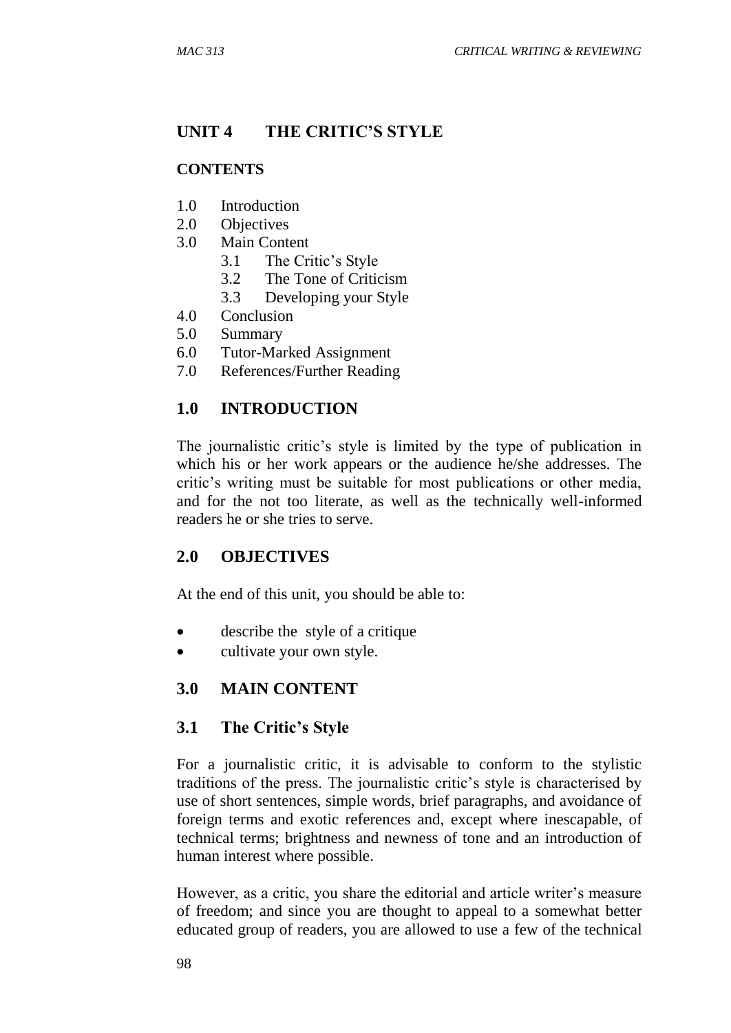# **UNIT 4 THE CRITIC'S STYLE**

### **CONTENTS**

- 1.0 Introduction
- 2.0 Objectives
- 3.0 Main Content
	- 3.1 The Critic's Style
	- 3.2 The Tone of Criticism
	- 3.3 Developing your Style
- 4.0 Conclusion
- 5.0 Summary
- 6.0 Tutor-Marked Assignment
- 7.0 References/Further Reading

## **1.0 INTRODUCTION**

The journalistic critic's style is limited by the type of publication in which his or her work appears or the audience he/she addresses. The critic's writing must be suitable for most publications or other media, and for the not too literate, as well as the technically well-informed readers he or she tries to serve.

## **2.0 OBJECTIVES**

At the end of this unit, you should be able to:

- describe the style of a critique
- cultivate your own style.

## **3.0 MAIN CONTENT**

## **3.1 The Critic's Style**

For a journalistic critic, it is advisable to conform to the stylistic traditions of the press. The journalistic critic's style is characterised by use of short sentences, simple words, brief paragraphs, and avoidance of foreign terms and exotic references and, except where inescapable, of technical terms; brightness and newness of tone and an introduction of human interest where possible.

However, as a critic, you share the editorial and article writer's measure of freedom; and since you are thought to appeal to a somewhat better educated group of readers, you are allowed to use a few of the technical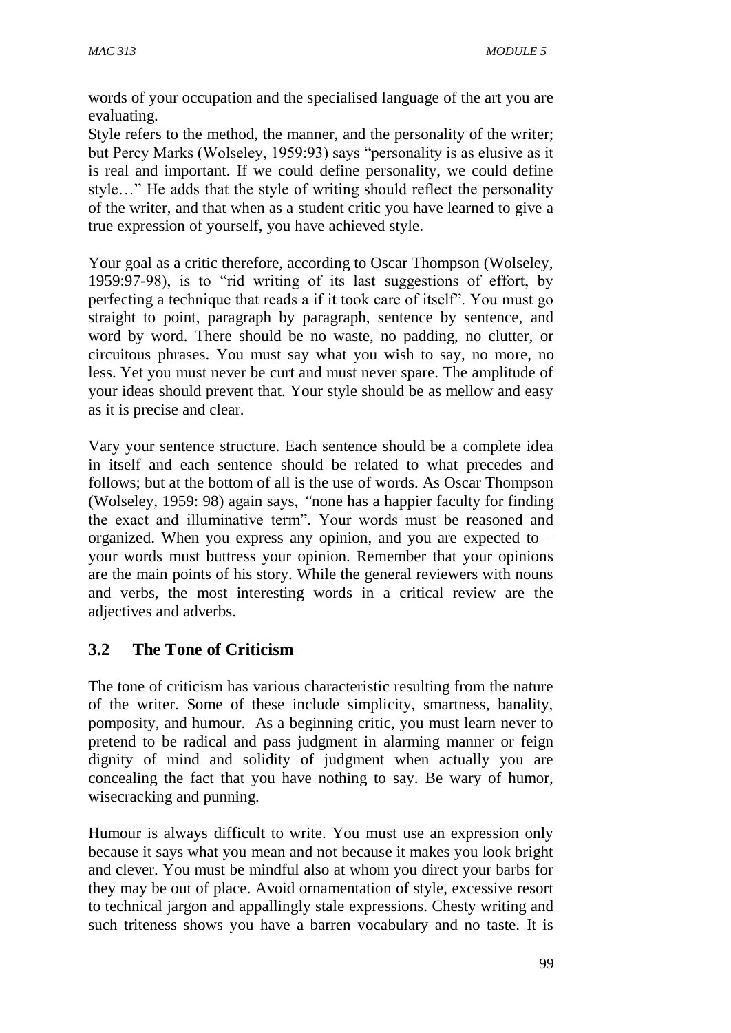words of your occupation and the specialised language of the art you are evaluating.

Style refers to the method, the manner, and the personality of the writer; but Percy Marks (Wolseley, 1959:93) says "personality is as elusive as it is real and important. If we could define personality, we could define style…" He adds that the style of writing should reflect the personality of the writer, and that when as a student critic you have learned to give a true expression of yourself, you have achieved style.

Your goal as a critic therefore, according to Oscar Thompson (Wolseley, 1959:97-98), is to "rid writing of its last suggestions of effort, by perfecting a technique that reads a if it took care of itself". You must go straight to point, paragraph by paragraph, sentence by sentence, and word by word. There should be no waste, no padding, no clutter, or circuitous phrases. You must say what you wish to say, no more, no less. Yet you must never be curt and must never spare. The amplitude of your ideas should prevent that. Your style should be as mellow and easy as it is precise and clear.

Vary your sentence structure. Each sentence should be a complete idea in itself and each sentence should be related to what precedes and follows; but at the bottom of all is the use of words. As Oscar Thompson (Wolseley, 1959: 98) again says, *"*none has a happier faculty for finding the exact and illuminative term". Your words must be reasoned and organized. When you express any opinion, and you are expected to – your words must buttress your opinion. Remember that your opinions are the main points of his story. While the general reviewers with nouns and verbs, the most interesting words in a critical review are the adjectives and adverbs.

## **3.2 The Tone of Criticism**

The tone of criticism has various characteristic resulting from the nature of the writer. Some of these include simplicity, smartness, banality, pomposity, and humour. As a beginning critic, you must learn never to pretend to be radical and pass judgment in alarming manner or feign dignity of mind and solidity of judgment when actually you are concealing the fact that you have nothing to say. Be wary of humor, wisecracking and punning.

Humour is always difficult to write. You must use an expression only because it says what you mean and not because it makes you look bright and clever. You must be mindful also at whom you direct your barbs for they may be out of place. Avoid ornamentation of style, excessive resort to technical jargon and appallingly stale expressions. Chesty writing and such triteness shows you have a barren vocabulary and no taste. It is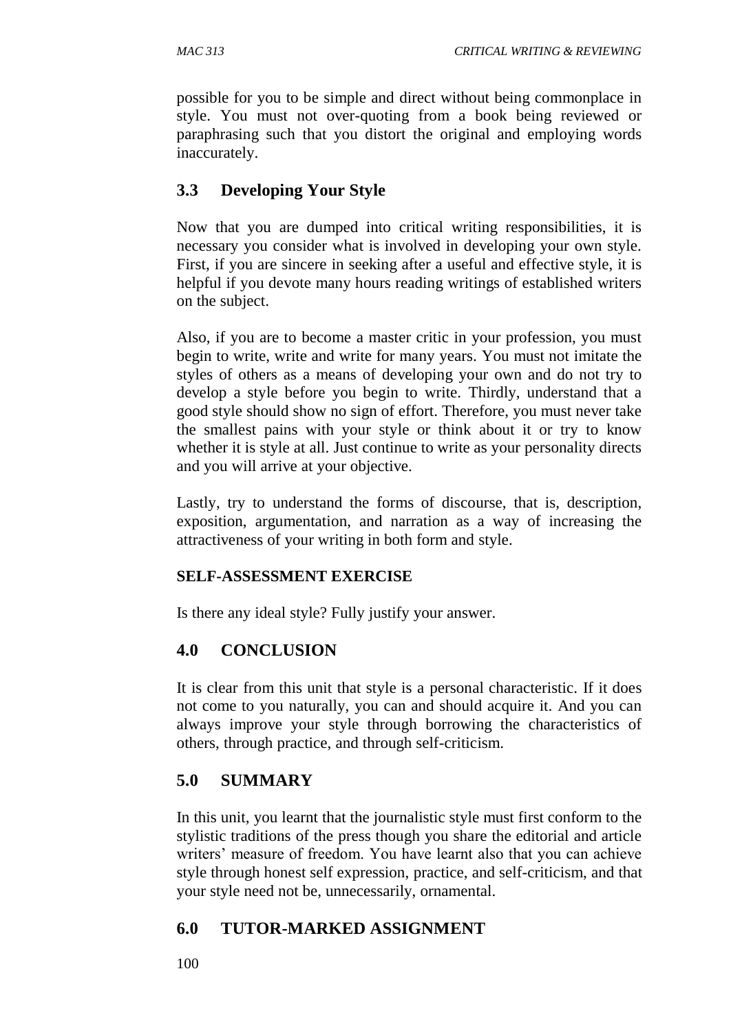possible for you to be simple and direct without being commonplace in style. You must not over-quoting from a book being reviewed or paraphrasing such that you distort the original and employing words inaccurately.

## **3.3 Developing Your Style**

Now that you are dumped into critical writing responsibilities, it is necessary you consider what is involved in developing your own style. First, if you are sincere in seeking after a useful and effective style, it is helpful if you devote many hours reading writings of established writers on the subject.

Also, if you are to become a master critic in your profession, you must begin to write, write and write for many years. You must not imitate the styles of others as a means of developing your own and do not try to develop a style before you begin to write. Thirdly, understand that a good style should show no sign of effort. Therefore, you must never take the smallest pains with your style or think about it or try to know whether it is style at all. Just continue to write as your personality directs and you will arrive at your objective.

Lastly, try to understand the forms of discourse, that is, description, exposition, argumentation, and narration as a way of increasing the attractiveness of your writing in both form and style.

## **SELF-ASSESSMENT EXERCISE**

Is there any ideal style? Fully justify your answer.

## **4.0 CONCLUSION**

It is clear from this unit that style is a personal characteristic. If it does not come to you naturally, you can and should acquire it. And you can always improve your style through borrowing the characteristics of others, through practice, and through self-criticism.

## **5.0 SUMMARY**

In this unit, you learnt that the journalistic style must first conform to the stylistic traditions of the press though you share the editorial and article writers' measure of freedom. You have learnt also that you can achieve style through honest self expression, practice, and self-criticism, and that your style need not be, unnecessarily, ornamental.

## **6.0 TUTOR-MARKED ASSIGNMENT**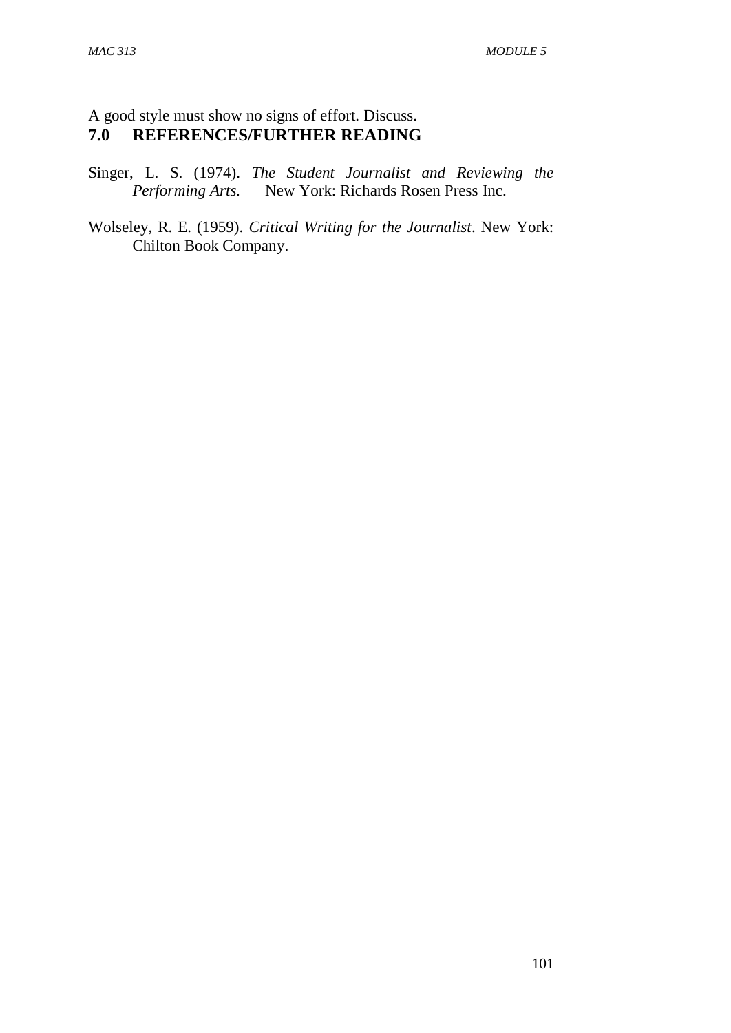## A good style must show no signs of effort. Discuss.<br> **7.0 REFERENCES/FURTHER READING 7.0 REFERENCES/FURTHER READING**

Singer, L. S. (1974). *The Student Journalist and Reviewing the Performing Arts.* New York: Richards Rosen Press Inc.

Wolseley, R. E. (1959). *Critical Writing for the Journalist*. New York: Chilton Book Company.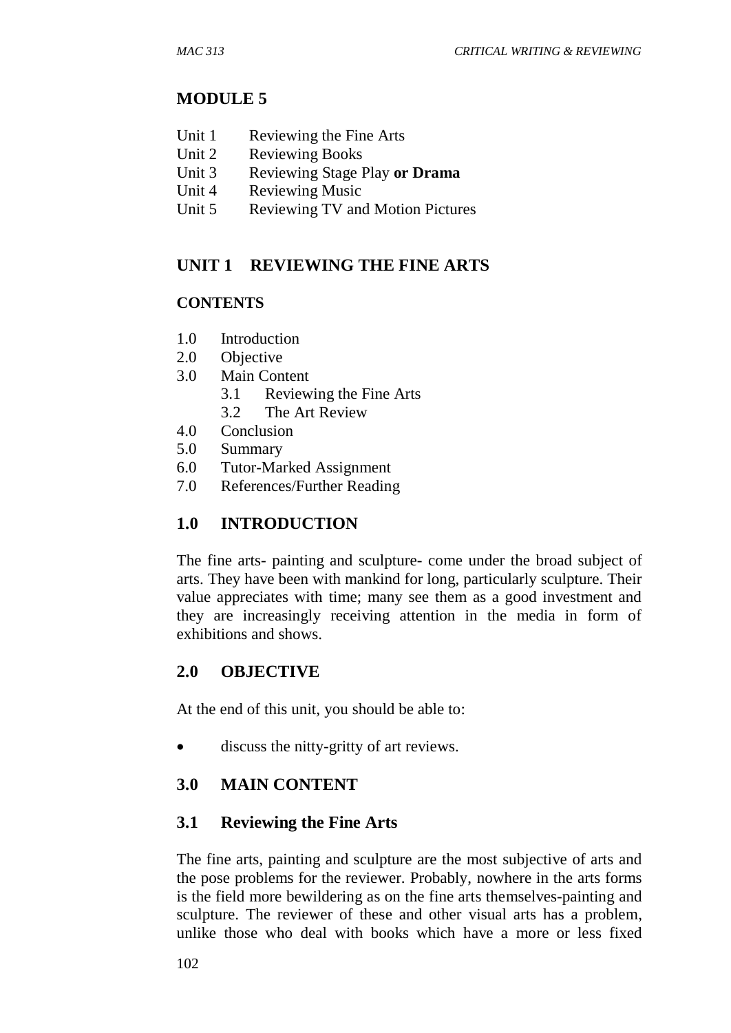## **MODULE 5**

- Unit 1 Reviewing the Fine Arts
- Unit 2 Reviewing Books
- Unit 3 Reviewing Stage Play **or Drama**
- Unit 4 Reviewing Music
- Unit 5 Reviewing TV and Motion Pictures

## **UNIT 1 REVIEWING THE FINE ARTS**

#### **CONTENTS**

- 1.0 Introduction
- 2.0 Objective
- 3.0 Main Content
	- 3.1 Reviewing the Fine Arts
	- 3.2 The Art Review
- 4.0 Conclusion
- 5.0 Summary
- 6.0 Tutor-Marked Assignment
- 7.0 References/Further Reading

## **1.0 INTRODUCTION**

The fine arts- painting and sculpture- come under the broad subject of arts. They have been with mankind for long, particularly sculpture. Their value appreciates with time; many see them as a good investment and they are increasingly receiving attention in the media in form of exhibitions and shows.

## **2.0 OBJECTIVE**

At the end of this unit, you should be able to:

discuss the nitty-gritty of art reviews.

## **3.0 MAIN CONTENT**

## **3.1 Reviewing the Fine Arts**

The fine arts, painting and sculpture are the most subjective of arts and the pose problems for the reviewer. Probably, nowhere in the arts forms is the field more bewildering as on the fine arts themselves-painting and sculpture. The reviewer of these and other visual arts has a problem, unlike those who deal with books which have a more or less fixed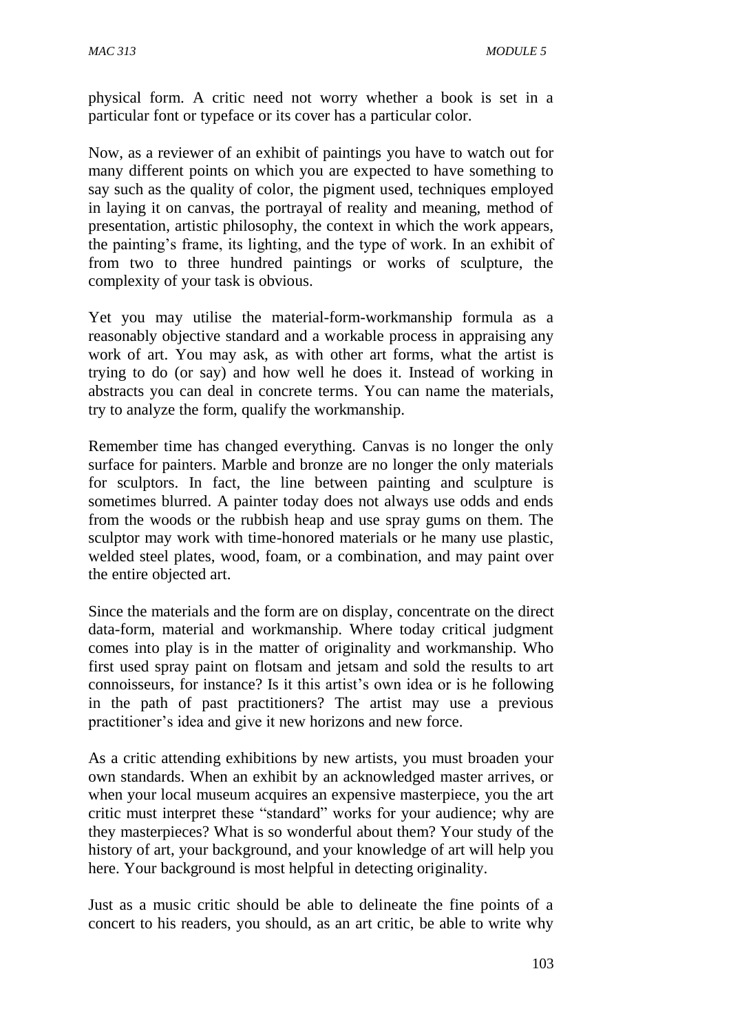physical form. A critic need not worry whether a book is set in a particular font or typeface or its cover has a particular color.

Now, as a reviewer of an exhibit of paintings you have to watch out for many different points on which you are expected to have something to say such as the quality of color, the pigment used, techniques employed in laying it on canvas, the portrayal of reality and meaning, method of presentation, artistic philosophy, the context in which the work appears, the painting's frame, its lighting, and the type of work. In an exhibit of from two to three hundred paintings or works of sculpture, the complexity of your task is obvious.

Yet you may utilise the material-form-workmanship formula as a reasonably objective standard and a workable process in appraising any work of art. You may ask, as with other art forms, what the artist is trying to do (or say) and how well he does it. Instead of working in abstracts you can deal in concrete terms. You can name the materials, try to analyze the form, qualify the workmanship.

Remember time has changed everything. Canvas is no longer the only surface for painters. Marble and bronze are no longer the only materials for sculptors. In fact, the line between painting and sculpture is sometimes blurred. A painter today does not always use odds and ends from the woods or the rubbish heap and use spray gums on them. The sculptor may work with time-honored materials or he many use plastic, welded steel plates, wood, foam, or a combination, and may paint over the entire objected art.

Since the materials and the form are on display, concentrate on the direct data-form, material and workmanship. Where today critical judgment comes into play is in the matter of originality and workmanship. Who first used spray paint on flotsam and jetsam and sold the results to art connoisseurs, for instance? Is it this artist's own idea or is he following in the path of past practitioners? The artist may use a previous practitioner's idea and give it new horizons and new force.

As a critic attending exhibitions by new artists, you must broaden your own standards. When an exhibit by an acknowledged master arrives, or when your local museum acquires an expensive masterpiece, you the art critic must interpret these "standard" works for your audience; why are they masterpieces? What is so wonderful about them? Your study of the history of art, your background, and your knowledge of art will help you here. Your background is most helpful in detecting originality.

Just as a music critic should be able to delineate the fine points of a concert to his readers, you should, as an art critic, be able to write why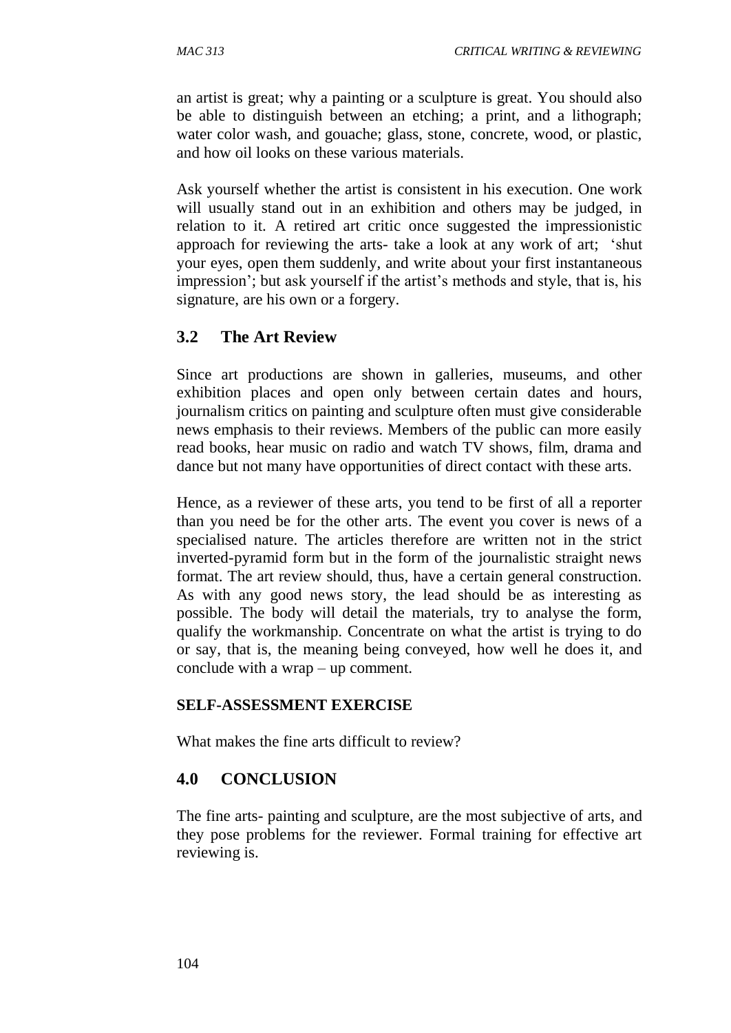an artist is great; why a painting or a sculpture is great. You should also be able to distinguish between an etching; a print, and a lithograph; water color wash, and gouache; glass, stone, concrete, wood, or plastic, and how oil looks on these various materials.

Ask yourself whether the artist is consistent in his execution. One work will usually stand out in an exhibition and others may be judged, in relation to it. A retired art critic once suggested the impressionistic approach for reviewing the arts- take a look at any work of art; 'shut your eyes, open them suddenly, and write about your first instantaneous impression'; but ask yourself if the artist's methods and style, that is, his signature, are his own or a forgery.

## **3.2 The Art Review**

Since art productions are shown in galleries, museums, and other exhibition places and open only between certain dates and hours, journalism critics on painting and sculpture often must give considerable news emphasis to their reviews. Members of the public can more easily read books, hear music on radio and watch TV shows, film, drama and dance but not many have opportunities of direct contact with these arts.

Hence, as a reviewer of these arts, you tend to be first of all a reporter than you need be for the other arts. The event you cover is news of a specialised nature. The articles therefore are written not in the strict inverted-pyramid form but in the form of the journalistic straight news format. The art review should, thus, have a certain general construction. As with any good news story, the lead should be as interesting as possible. The body will detail the materials, try to analyse the form, qualify the workmanship. Concentrate on what the artist is trying to do or say, that is, the meaning being conveyed, how well he does it, and conclude with a wrap – up comment.

#### **SELF-ASSESSMENT EXERCISE**

What makes the fine arts difficult to review?

## **4.0 CONCLUSION**

The fine arts- painting and sculpture, are the most subjective of arts, and they pose problems for the reviewer. Formal training for effective art reviewing is.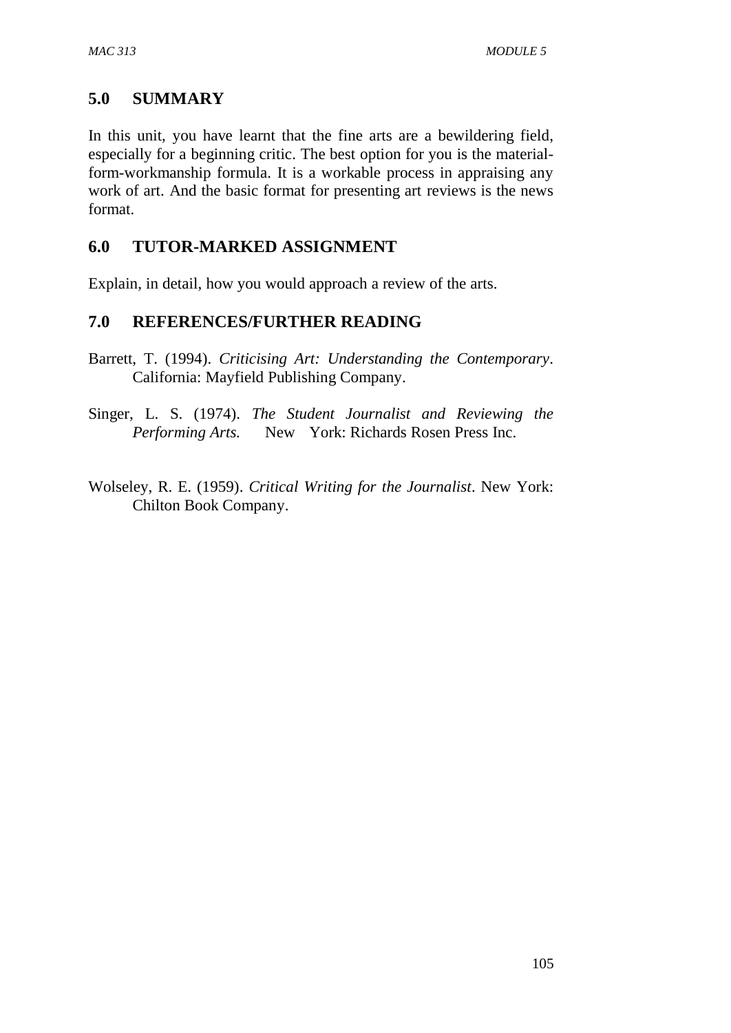## **5.0 SUMMARY**

In this unit, you have learnt that the fine arts are a bewildering field, especially for a beginning critic. The best option for you is the materialform-workmanship formula. It is a workable process in appraising any work of art. And the basic format for presenting art reviews is the news format.

## **6.0 TUTOR-MARKED ASSIGNMENT**

Explain, in detail, how you would approach a review of the arts.

## **7.0 REFERENCES/FURTHER READING**

- Barrett, T. (1994). *Criticising Art: Understanding the Contemporary*. California: Mayfield Publishing Company.
- Singer, L. S. (1974). *The Student Journalist and Reviewing the Performing Arts.* New York: Richards Rosen Press Inc.

Wolseley, R. E. (1959). *Critical Writing for the Journalist*. New York: Chilton Book Company.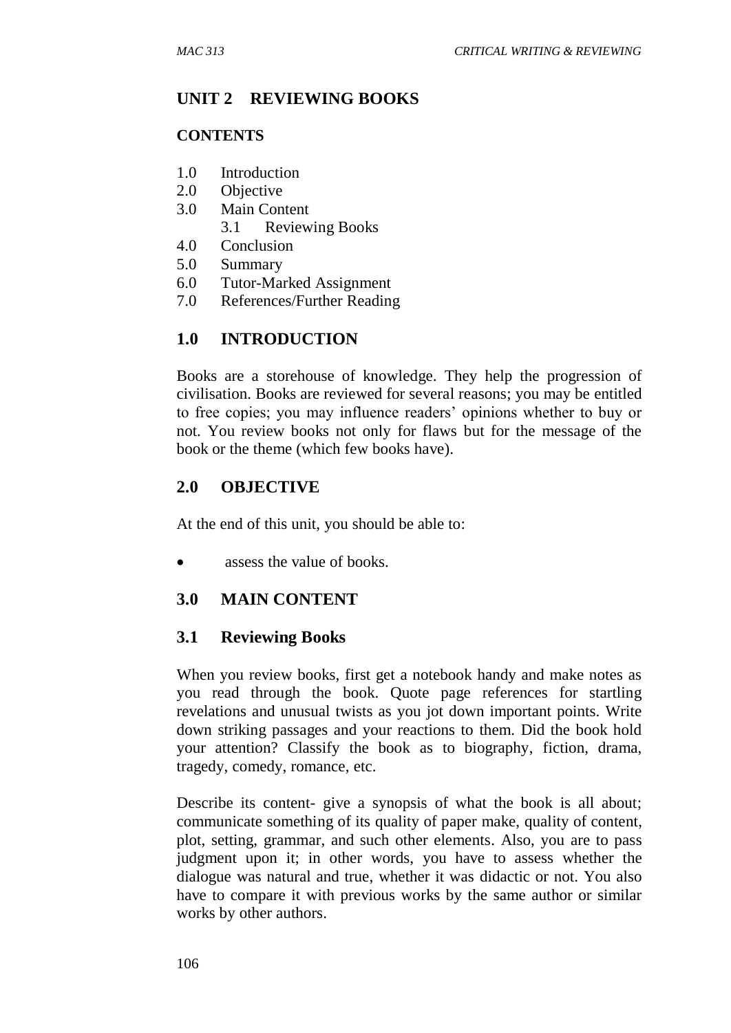### **UNIT 2 REVIEWING BOOKS**

#### **CONTENTS**

- 1.0 Introduction
- 2.0 Objective
- 3.0 Main Content
	- 3.1 Reviewing Books
- 4.0 Conclusion
- 5.0 Summary
- 6.0 Tutor-Marked Assignment
- 7.0 References/Further Reading

## **1.0 INTRODUCTION**

Books are a storehouse of knowledge. They help the progression of civilisation. Books are reviewed for several reasons; you may be entitled to free copies; you may influence readers' opinions whether to buy or not. You review books not only for flaws but for the message of the book or the theme (which few books have).

## **2.0 OBJECTIVE**

At the end of this unit, you should be able to:

• assess the value of books.

#### **3.0 MAIN CONTENT**

#### **3.1 Reviewing Books**

When you review books, first get a notebook handy and make notes as you read through the book. Quote page references for startling revelations and unusual twists as you jot down important points. Write down striking passages and your reactions to them. Did the book hold your attention? Classify the book as to biography, fiction, drama, tragedy, comedy, romance, etc.

Describe its content- give a synopsis of what the book is all about; communicate something of its quality of paper make, quality of content, plot, setting, grammar, and such other elements. Also, you are to pass judgment upon it; in other words, you have to assess whether the dialogue was natural and true, whether it was didactic or not. You also have to compare it with previous works by the same author or similar works by other authors.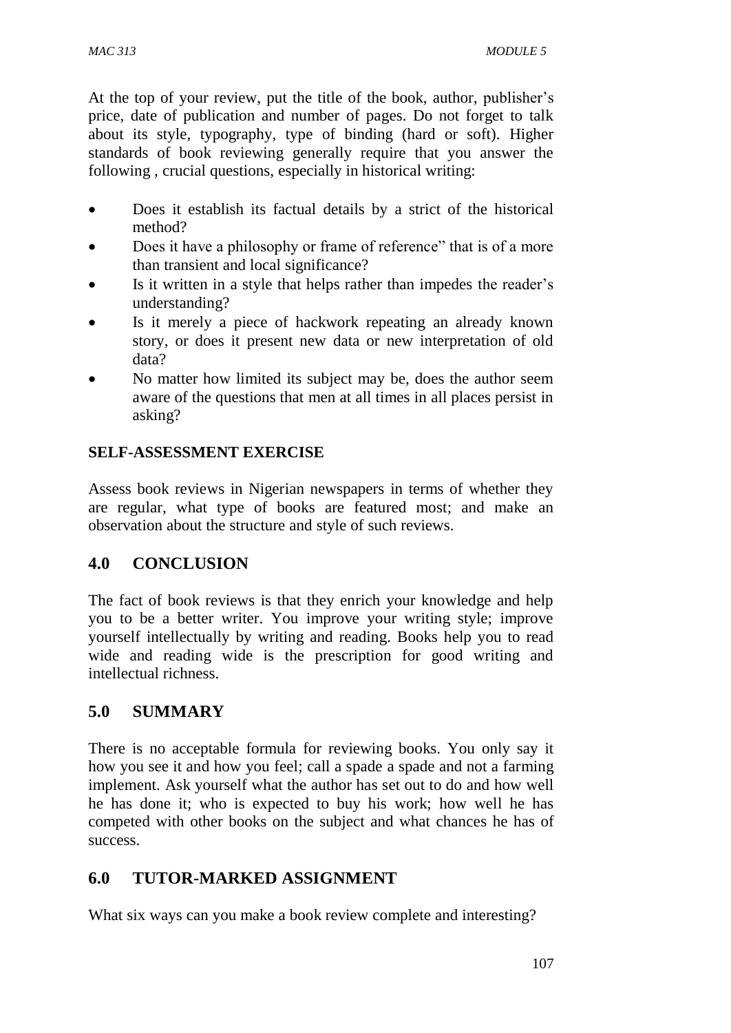At the top of your review, put the title of the book, author, publisher's price, date of publication and number of pages. Do not forget to talk about its style, typography, type of binding (hard or soft). Higher standards of book reviewing generally require that you answer the following , crucial questions, especially in historical writing:

- Does it establish its factual details by a strict of the historical method?
- Does it have a philosophy or frame of reference" that is of a more than transient and local significance?
- Is it written in a style that helps rather than impedes the reader's understanding?
- Is it merely a piece of hackwork repeating an already known story, or does it present new data or new interpretation of old data?
- No matter how limited its subject may be, does the author seem aware of the questions that men at all times in all places persist in asking?

## **SELF-ASSESSMENT EXERCISE**

Assess book reviews in Nigerian newspapers in terms of whether they are regular, what type of books are featured most; and make an observation about the structure and style of such reviews.

## **4.0 CONCLUSION**

The fact of book reviews is that they enrich your knowledge and help you to be a better writer. You improve your writing style; improve yourself intellectually by writing and reading. Books help you to read wide and reading wide is the prescription for good writing and intellectual richness.

## **5.0 SUMMARY**

There is no acceptable formula for reviewing books. You only say it how you see it and how you feel; call a spade a spade and not a farming implement. Ask yourself what the author has set out to do and how well he has done it; who is expected to buy his work; how well he has competed with other books on the subject and what chances he has of success.

## **6.0 TUTOR-MARKED ASSIGNMENT**

What six ways can you make a book review complete and interesting?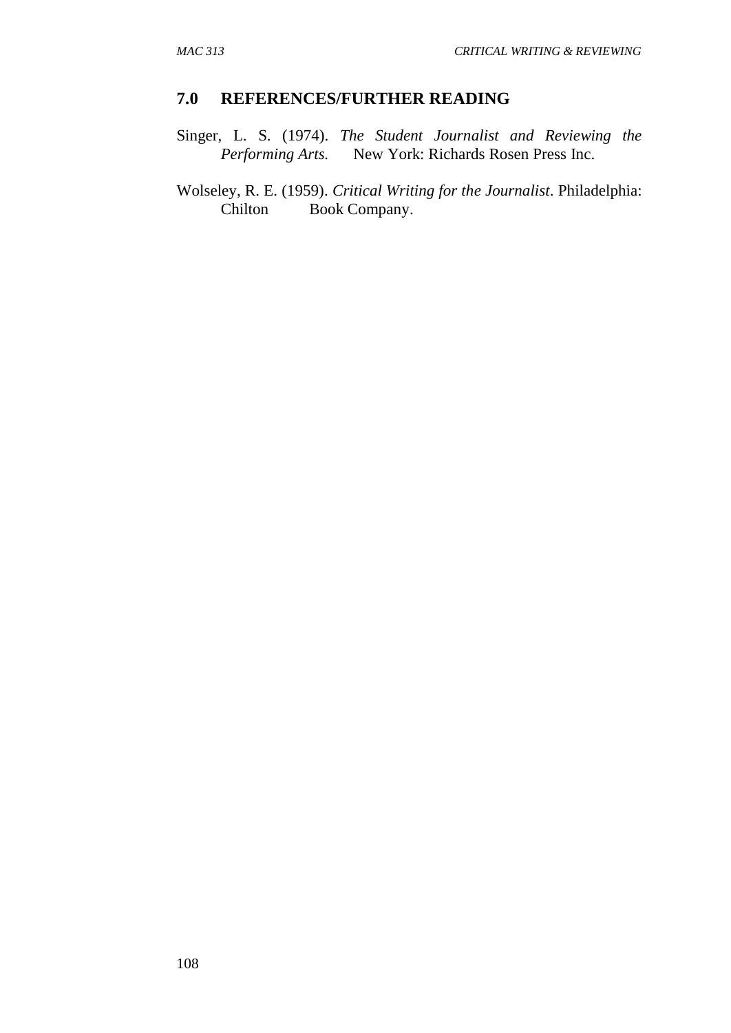#### **7.0 REFERENCES/FURTHER READING**

Singer, L. S. (1974). *The Student Journalist and Reviewing the Performing Arts.* New York: Richards Rosen Press Inc.

Wolseley, R. E. (1959). *Critical Writing for the Journalist*. Philadelphia: Chilton Book Company.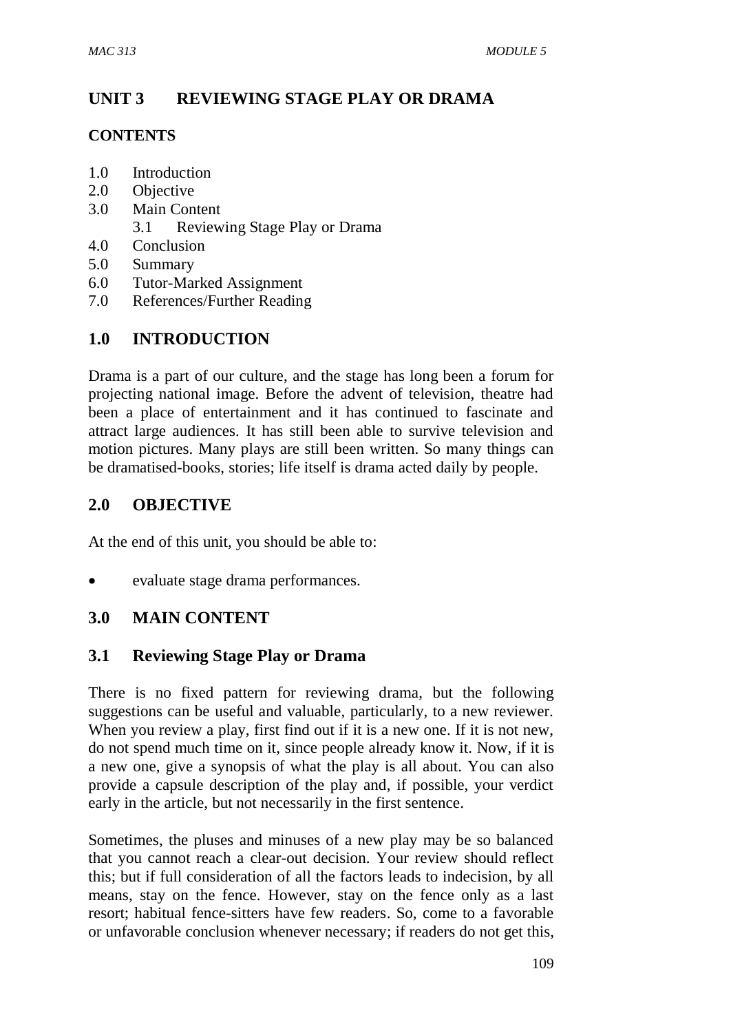# **UNIT 3 REVIEWING STAGE PLAY OR DRAMA**

## **CONTENTS**

- 1.0 Introduction
- 2.0 Objective
- 3.0 Main Content
	- 3.1 Reviewing Stage Play or Drama
- 4.0 Conclusion
- 5.0 Summary
- 6.0 Tutor-Marked Assignment
- 7.0 References/Further Reading

# **1.0 INTRODUCTION**

Drama is a part of our culture, and the stage has long been a forum for projecting national image. Before the advent of television, theatre had been a place of entertainment and it has continued to fascinate and attract large audiences. It has still been able to survive television and motion pictures. Many plays are still been written. So many things can be dramatised-books, stories; life itself is drama acted daily by people.

## **2.0 OBJECTIVE**

At the end of this unit, you should be able to:

evaluate stage drama performances.

## **3.0 MAIN CONTENT**

## **3.1 Reviewing Stage Play or Drama**

There is no fixed pattern for reviewing drama, but the following suggestions can be useful and valuable, particularly, to a new reviewer. When you review a play, first find out if it is a new one. If it is not new, do not spend much time on it, since people already know it. Now, if it is a new one, give a synopsis of what the play is all about. You can also provide a capsule description of the play and, if possible, your verdict early in the article, but not necessarily in the first sentence.

Sometimes, the pluses and minuses of a new play may be so balanced that you cannot reach a clear-out decision. Your review should reflect this; but if full consideration of all the factors leads to indecision, by all means, stay on the fence. However, stay on the fence only as a last resort; habitual fence-sitters have few readers. So, come to a favorable or unfavorable conclusion whenever necessary; if readers do not get this,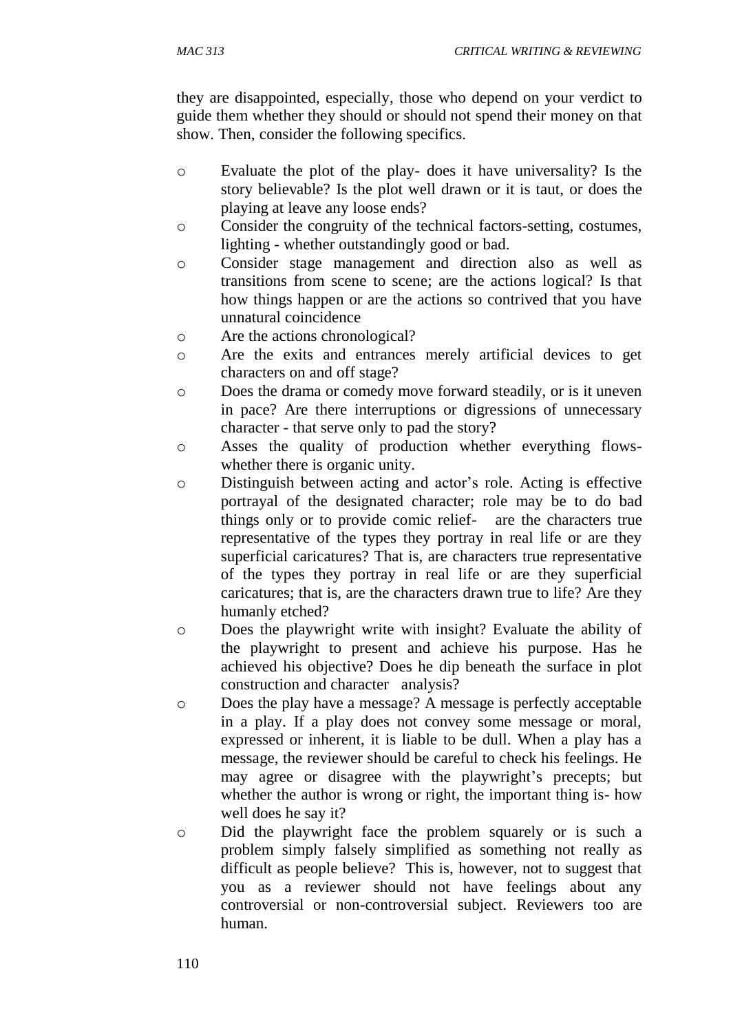they are disappointed, especially, those who depend on your verdict to guide them whether they should or should not spend their money on that show. Then, consider the following specifics.

- o Evaluate the plot of the play- does it have universality? Is the story believable? Is the plot well drawn or it is taut, or does the playing at leave any loose ends?
- o Consider the congruity of the technical factors-setting, costumes, lighting - whether outstandingly good or bad.
- o Consider stage management and direction also as well as transitions from scene to scene; are the actions logical? Is that how things happen or are the actions so contrived that you have unnatural coincidence
- o Are the actions chronological?
- o Are the exits and entrances merely artificial devices to get characters on and off stage?
- o Does the drama or comedy move forward steadily, or is it uneven in pace? Are there interruptions or digressions of unnecessary character - that serve only to pad the story?
- o Asses the quality of production whether everything flowswhether there is organic unity.
- o Distinguish between acting and actor's role. Acting is effective portrayal of the designated character; role may be to do bad things only or to provide comic relief- are the characters true representative of the types they portray in real life or are they superficial caricatures? That is, are characters true representative of the types they portray in real life or are they superficial caricatures; that is, are the characters drawn true to life? Are they humanly etched?
- o Does the playwright write with insight? Evaluate the ability of the playwright to present and achieve his purpose. Has he achieved his objective? Does he dip beneath the surface in plot construction and character analysis?
- o Does the play have a message? A message is perfectly acceptable in a play. If a play does not convey some message or moral, expressed or inherent, it is liable to be dull. When a play has a message, the reviewer should be careful to check his feelings. He may agree or disagree with the playwright's precepts; but whether the author is wrong or right, the important thing is- how well does he say it?
- o Did the playwright face the problem squarely or is such a problem simply falsely simplified as something not really as difficult as people believe? This is, however, not to suggest that you as a reviewer should not have feelings about any controversial or non-controversial subject. Reviewers too are human.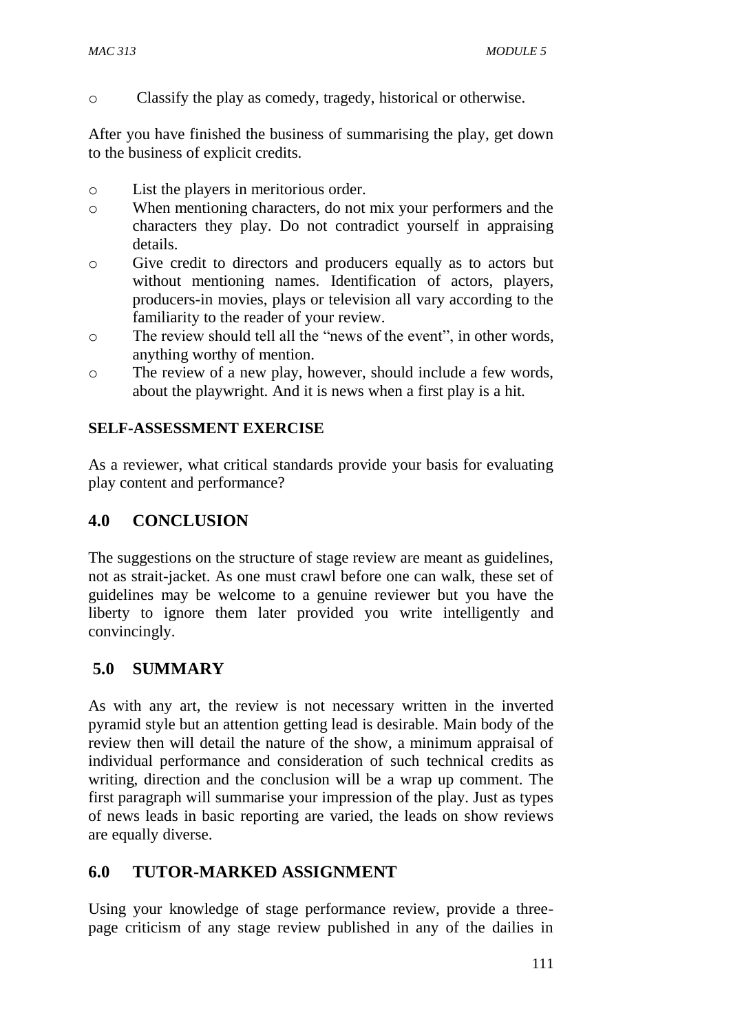o Classify the play as comedy, tragedy, historical or otherwise.

After you have finished the business of summarising the play, get down to the business of explicit credits.

- o List the players in meritorious order.
- o When mentioning characters, do not mix your performers and the characters they play. Do not contradict yourself in appraising details.
- o Give credit to directors and producers equally as to actors but without mentioning names. Identification of actors, players, producers-in movies, plays or television all vary according to the familiarity to the reader of your review.
- o The review should tell all the "news of the event", in other words, anything worthy of mention.
- o The review of a new play, however, should include a few words, about the playwright. And it is news when a first play is a hit.

## **SELF-ASSESSMENT EXERCISE**

As a reviewer, what critical standards provide your basis for evaluating play content and performance?

## **4.0 CONCLUSION**

The suggestions on the structure of stage review are meant as guidelines, not as strait-jacket. As one must crawl before one can walk, these set of guidelines may be welcome to a genuine reviewer but you have the liberty to ignore them later provided you write intelligently and convincingly.

## **5.0 SUMMARY**

As with any art, the review is not necessary written in the inverted pyramid style but an attention getting lead is desirable. Main body of the review then will detail the nature of the show, a minimum appraisal of individual performance and consideration of such technical credits as writing, direction and the conclusion will be a wrap up comment. The first paragraph will summarise your impression of the play. Just as types of news leads in basic reporting are varied, the leads on show reviews are equally diverse.

## **6.0 TUTOR-MARKED ASSIGNMENT**

Using your knowledge of stage performance review, provide a threepage criticism of any stage review published in any of the dailies in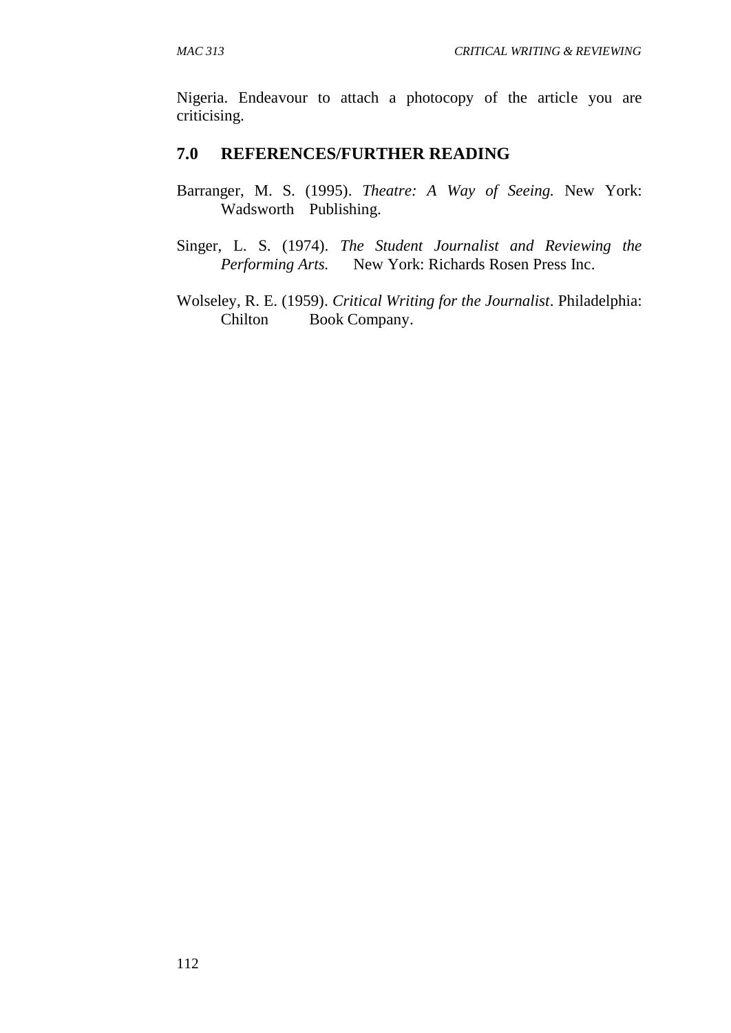Nigeria. Endeavour to attach a photocopy of the article you are criticising.

#### **7.0 REFERENCES/FURTHER READING**

- Barranger, M. S. (1995). *Theatre: A Way of Seeing.* New York: Wadsworth Publishing.
- Singer, L. S. (1974). *The Student Journalist and Reviewing the Performing Arts.* New York: Richards Rosen Press Inc.
- Wolseley, R. E. (1959). *Critical Writing for the Journalist*. Philadelphia: Chilton Book Company.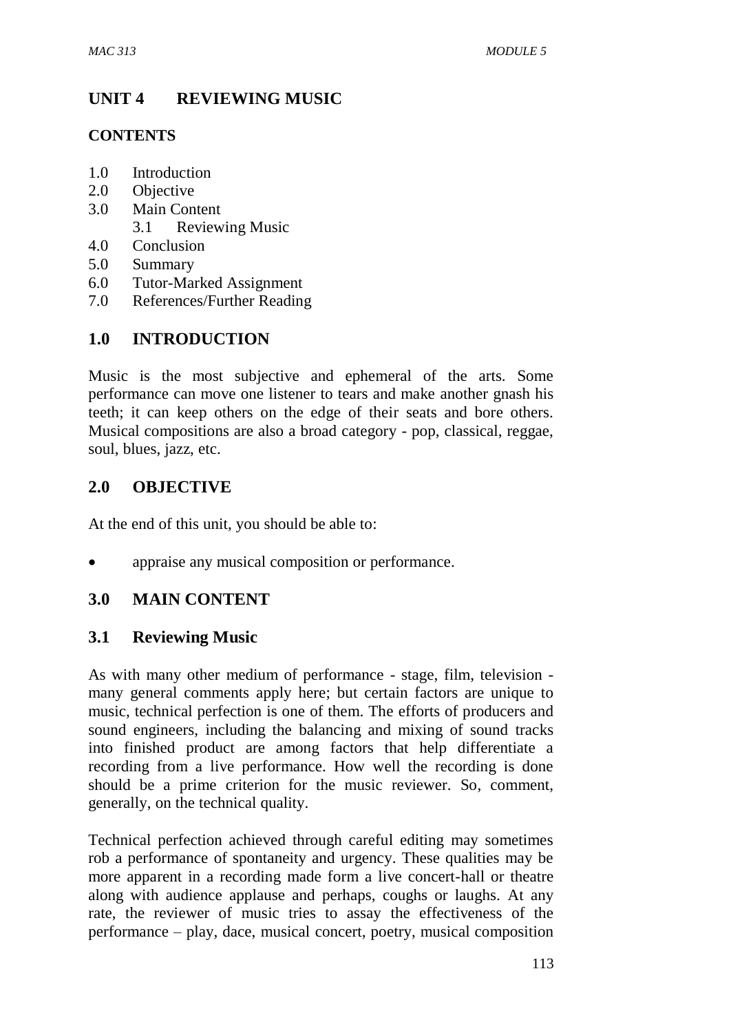# **UNIT 4 REVIEWING MUSIC**

## **CONTENTS**

- 1.0 Introduction
- 2.0 Objective
- 3.0 Main Content
	- 3.1 Reviewing Music
- 4.0 Conclusion
- 5.0 Summary
- 6.0 Tutor-Marked Assignment
- 7.0 References/Further Reading

# **1.0 INTRODUCTION**

Music is the most subjective and ephemeral of the arts. Some performance can move one listener to tears and make another gnash his teeth; it can keep others on the edge of their seats and bore others. Musical compositions are also a broad category - pop, classical, reggae, soul, blues, jazz, etc.

## **2.0 OBJECTIVE**

At the end of this unit, you should be able to:

appraise any musical composition or performance.

## **3.0 MAIN CONTENT**

## **3.1 Reviewing Music**

As with many other medium of performance - stage, film, television many general comments apply here; but certain factors are unique to music, technical perfection is one of them. The efforts of producers and sound engineers, including the balancing and mixing of sound tracks into finished product are among factors that help differentiate a recording from a live performance. How well the recording is done should be a prime criterion for the music reviewer. So, comment, generally, on the technical quality.

Technical perfection achieved through careful editing may sometimes rob a performance of spontaneity and urgency. These qualities may be more apparent in a recording made form a live concert-hall or theatre along with audience applause and perhaps, coughs or laughs. At any rate, the reviewer of music tries to assay the effectiveness of the performance – play, dace, musical concert, poetry, musical composition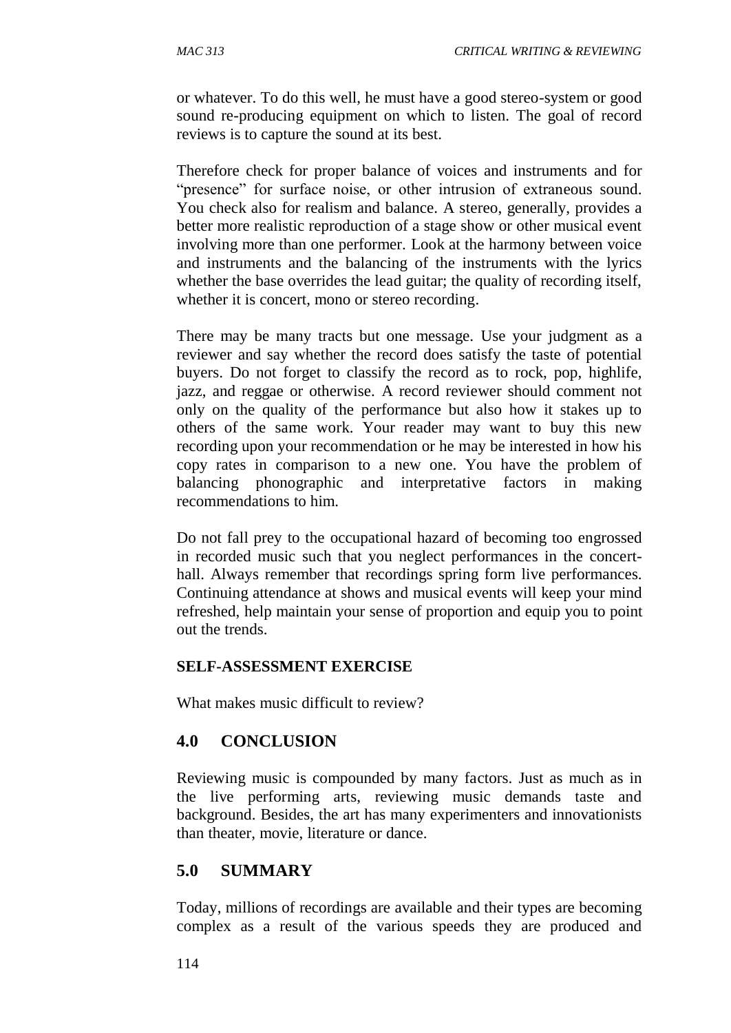or whatever. To do this well, he must have a good stereo-system or good sound re-producing equipment on which to listen. The goal of record reviews is to capture the sound at its best.

Therefore check for proper balance of voices and instruments and for "presence" for surface noise, or other intrusion of extraneous sound. You check also for realism and balance. A stereo, generally, provides a better more realistic reproduction of a stage show or other musical event involving more than one performer. Look at the harmony between voice and instruments and the balancing of the instruments with the lyrics whether the base overrides the lead guitar; the quality of recording itself, whether it is concert, mono or stereo recording.

There may be many tracts but one message. Use your judgment as a reviewer and say whether the record does satisfy the taste of potential buyers. Do not forget to classify the record as to rock, pop, highlife, jazz, and reggae or otherwise. A record reviewer should comment not only on the quality of the performance but also how it stakes up to others of the same work. Your reader may want to buy this new recording upon your recommendation or he may be interested in how his copy rates in comparison to a new one. You have the problem of balancing phonographic and interpretative factors in making recommendations to him.

Do not fall prey to the occupational hazard of becoming too engrossed in recorded music such that you neglect performances in the concerthall. Always remember that recordings spring form live performances. Continuing attendance at shows and musical events will keep your mind refreshed, help maintain your sense of proportion and equip you to point out the trends.

#### **SELF-ASSESSMENT EXERCISE**

What makes music difficult to review?

#### **4.0 CONCLUSION**

Reviewing music is compounded by many factors. Just as much as in the live performing arts, reviewing music demands taste and background. Besides, the art has many experimenters and innovationists than theater, movie, literature or dance.

#### **5.0 SUMMARY**

Today, millions of recordings are available and their types are becoming complex as a result of the various speeds they are produced and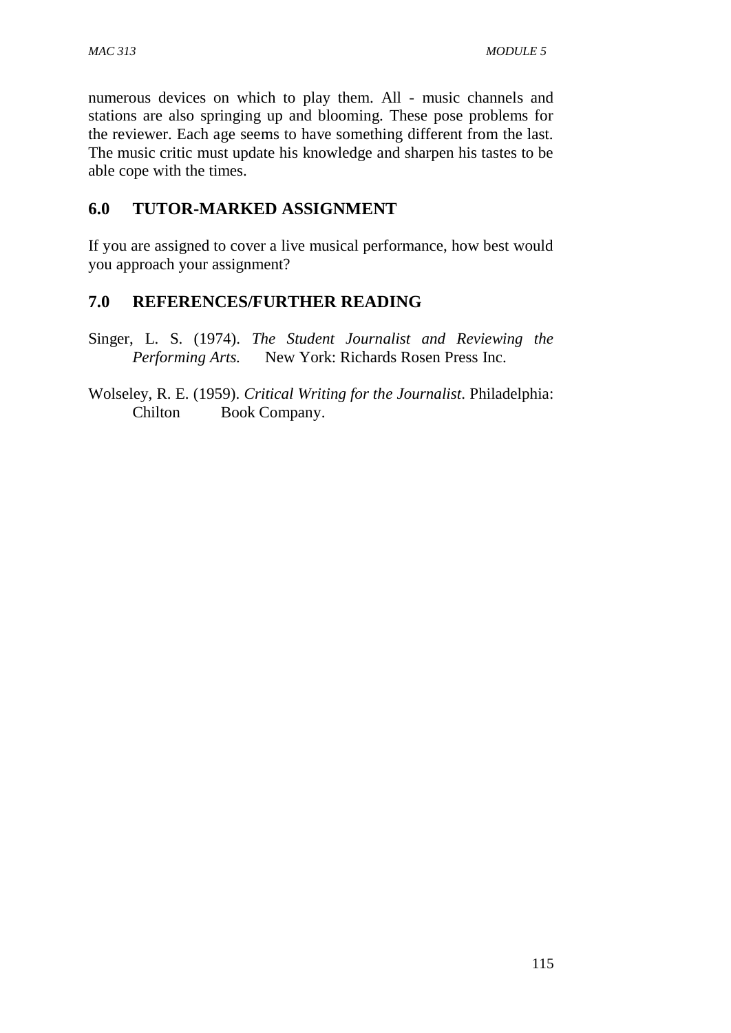numerous devices on which to play them. All - music channels and stations are also springing up and blooming. These pose problems for the reviewer. Each age seems to have something different from the last. The music critic must update his knowledge and sharpen his tastes to be able cope with the times.

# **6.0 TUTOR-MARKED ASSIGNMENT**

If you are assigned to cover a live musical performance, how best would you approach your assignment?

# **7.0 REFERENCES/FURTHER READING**

Singer, L. S. (1974). *The Student Journalist and Reviewing the Performing Arts.* New York: Richards Rosen Press Inc.

Wolseley, R. E. (1959). *Critical Writing for the Journalist*. Philadelphia: Chilton Book Company.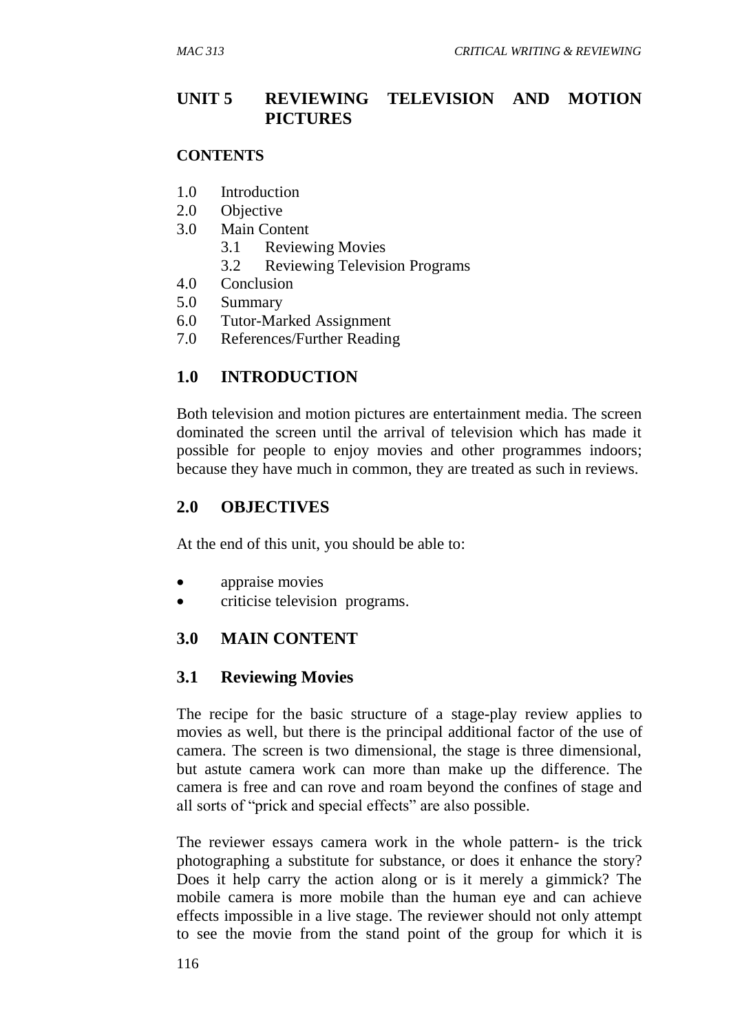### **UNIT 5 REVIEWING TELEVISION AND MOTION PICTURES**

#### **CONTENTS**

- 1.0 Introduction
- 2.0 Objective
- 3.0 Main Content
	- 3.1 Reviewing Movies
	- 3.2 Reviewing Television Programs
- 4.0 Conclusion
- 5.0 Summary
- 6.0 Tutor-Marked Assignment
- 7.0 References/Further Reading

### **1.0 INTRODUCTION**

Both television and motion pictures are entertainment media. The screen dominated the screen until the arrival of television which has made it possible for people to enjoy movies and other programmes indoors; because they have much in common, they are treated as such in reviews.

### **2.0 OBJECTIVES**

At the end of this unit, you should be able to:

- appraise movies
- criticise television programs.

#### **3.0 MAIN CONTENT**

#### **3.1 Reviewing Movies**

The recipe for the basic structure of a stage-play review applies to movies as well, but there is the principal additional factor of the use of camera. The screen is two dimensional, the stage is three dimensional, but astute camera work can more than make up the difference. The camera is free and can rove and roam beyond the confines of stage and all sorts of "prick and special effects" are also possible.

The reviewer essays camera work in the whole pattern- is the trick photographing a substitute for substance, or does it enhance the story? Does it help carry the action along or is it merely a gimmick? The mobile camera is more mobile than the human eye and can achieve effects impossible in a live stage. The reviewer should not only attempt to see the movie from the stand point of the group for which it is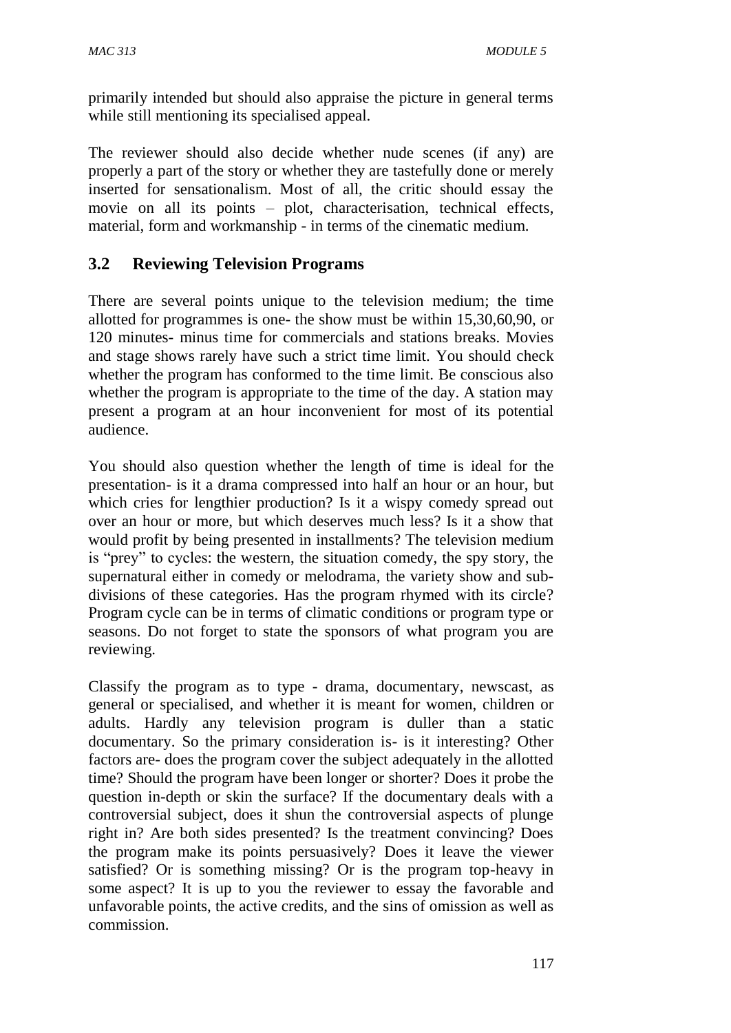primarily intended but should also appraise the picture in general terms while still mentioning its specialised appeal.

The reviewer should also decide whether nude scenes (if any) are properly a part of the story or whether they are tastefully done or merely inserted for sensationalism. Most of all, the critic should essay the movie on all its points – plot, characterisation, technical effects, material, form and workmanship - in terms of the cinematic medium.

# **3.2 Reviewing Television Programs**

There are several points unique to the television medium; the time allotted for programmes is one- the show must be within 15,30,60,90, or 120 minutes- minus time for commercials and stations breaks. Movies and stage shows rarely have such a strict time limit. You should check whether the program has conformed to the time limit. Be conscious also whether the program is appropriate to the time of the day. A station may present a program at an hour inconvenient for most of its potential audience.

You should also question whether the length of time is ideal for the presentation- is it a drama compressed into half an hour or an hour, but which cries for lengthier production? Is it a wispy comedy spread out over an hour or more, but which deserves much less? Is it a show that would profit by being presented in installments? The television medium is "prey" to cycles: the western, the situation comedy, the spy story, the supernatural either in comedy or melodrama, the variety show and subdivisions of these categories. Has the program rhymed with its circle? Program cycle can be in terms of climatic conditions or program type or seasons. Do not forget to state the sponsors of what program you are reviewing.

Classify the program as to type - drama, documentary, newscast, as general or specialised, and whether it is meant for women, children or adults. Hardly any television program is duller than a static documentary. So the primary consideration is- is it interesting? Other factors are- does the program cover the subject adequately in the allotted time? Should the program have been longer or shorter? Does it probe the question in-depth or skin the surface? If the documentary deals with a controversial subject, does it shun the controversial aspects of plunge right in? Are both sides presented? Is the treatment convincing? Does the program make its points persuasively? Does it leave the viewer satisfied? Or is something missing? Or is the program top-heavy in some aspect? It is up to you the reviewer to essay the favorable and unfavorable points, the active credits, and the sins of omission as well as commission.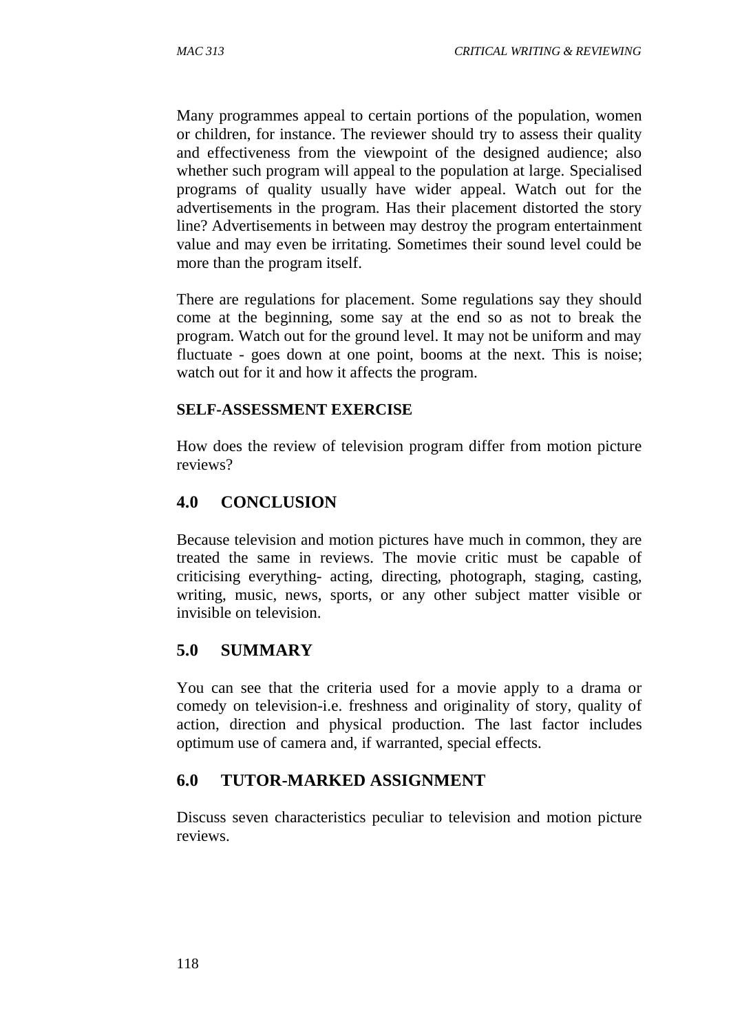Many programmes appeal to certain portions of the population, women or children, for instance. The reviewer should try to assess their quality and effectiveness from the viewpoint of the designed audience; also whether such program will appeal to the population at large. Specialised programs of quality usually have wider appeal. Watch out for the advertisements in the program. Has their placement distorted the story line? Advertisements in between may destroy the program entertainment value and may even be irritating. Sometimes their sound level could be more than the program itself.

There are regulations for placement. Some regulations say they should come at the beginning, some say at the end so as not to break the program. Watch out for the ground level. It may not be uniform and may fluctuate - goes down at one point, booms at the next. This is noise; watch out for it and how it affects the program.

#### **SELF-ASSESSMENT EXERCISE**

How does the review of television program differ from motion picture reviews?

### **4.0 CONCLUSION**

Because television and motion pictures have much in common, they are treated the same in reviews. The movie critic must be capable of criticising everything- acting, directing, photograph, staging, casting, writing, music, news, sports, or any other subject matter visible or invisible on television.

#### **5.0 SUMMARY**

You can see that the criteria used for a movie apply to a drama or comedy on television-i.e. freshness and originality of story, quality of action, direction and physical production. The last factor includes optimum use of camera and, if warranted, special effects.

# **6.0 TUTOR-MARKED ASSIGNMENT**

Discuss seven characteristics peculiar to television and motion picture reviews.